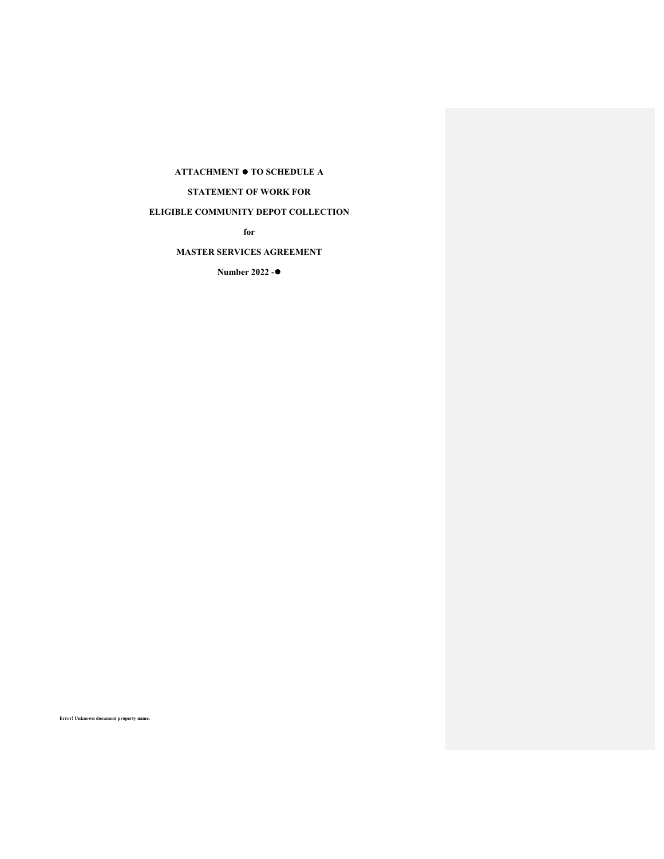# **ATTACHMENT TO SCHEDULE A**

**STATEMENT OF WORK FOR** 

# **ELIGIBLE COMMUNITY DEPOT COLLECTION**

**for** 

# **MASTER SERVICES AGREEMENT**

**Number 2022 -**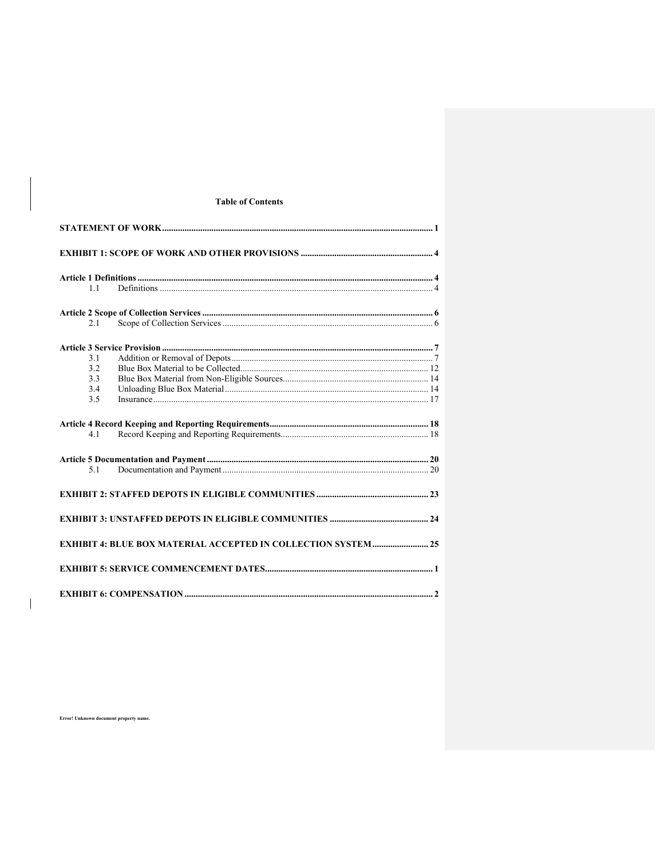# **Table of Contents**

| 1.1 |                                                                       |
|-----|-----------------------------------------------------------------------|
|     |                                                                       |
| 2.1 |                                                                       |
|     |                                                                       |
| 3.1 |                                                                       |
| 3.2 |                                                                       |
| 3.3 |                                                                       |
| 3.4 |                                                                       |
| 3.5 |                                                                       |
|     |                                                                       |
| 4.1 |                                                                       |
|     |                                                                       |
| 5.1 |                                                                       |
|     |                                                                       |
|     |                                                                       |
|     | <b>EXHIBIT 4: BLUE BOX MATERIAL ACCEPTED IN COLLECTION SYSTEM  25</b> |
|     |                                                                       |
|     |                                                                       |

Error! Unknown document property name.

 $\overline{\phantom{a}}$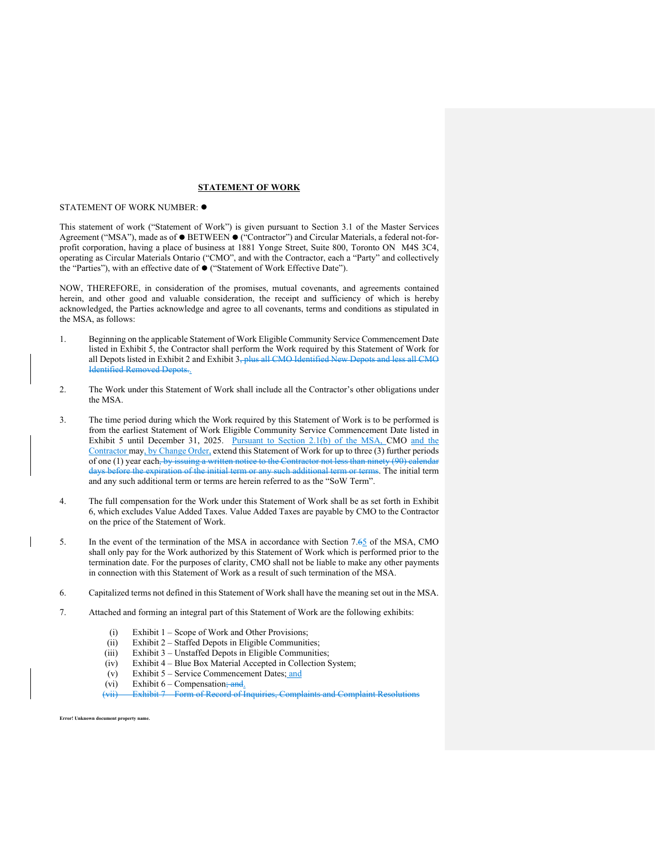#### **STATEMENT OF WORK**

#### STATEMENT OF WORK NUMBER:

This statement of work ("Statement of Work") is given pursuant to Section 3.1 of the Master Services Agreement ("MSA"), made as of  $\bullet$  BETWEEN  $\bullet$  ("Contractor") and Circular Materials, a federal not-forprofit corporation, having a place of business at 1881 Yonge Street, Suite 800, Toronto ON M4S 3C4, operating as Circular Materials Ontario ("CMO", and with the Contractor, each a "Party" and collectively the "Parties"), with an effective date of ("Statement of Work Effective Date").

NOW, THEREFORE, in consideration of the promises, mutual covenants, and agreements contained herein, and other good and valuable consideration, the receipt and sufficiency of which is hereby acknowledged, the Parties acknowledge and agree to all covenants, terms and conditions as stipulated in the MSA, as follows:

- 1. Beginning on the applicable Statement of Work Eligible Community Service Commencement Date listed in Exhibit 5, the Contractor shall perform the Work required by this Statement of Work for all Depots listed in Exhibit 2 and Exhibit 3, plus all CMO Identified New Depots and less all CMO Identified Removed Depots..
- 2. The Work under this Statement of Work shall include all the Contractor's other obligations under the MSA.
- 3. The time period during which the Work required by this Statement of Work is to be performed is from the earliest Statement of Work Eligible Community Service Commencement Date listed in Exhibit 5 until December 31, 2025. Pursuant to Section 2.1(b) of the MSA, CMO and the Contractor may, by Change Order, extend this Statement of Work for up to three (3) further periods of one (1) year each, by issuing a written notice to the Contractor not less than ninety (90) calendar days before the expiration of the initial term or any such additional term or terms. The initial term and any such additional term or terms are herein referred to as the "SoW Term".
- 4. The full compensation for the Work under this Statement of Work shall be as set forth in Exhibit 6, which excludes Value Added Taxes. Value Added Taxes are payable by CMO to the Contractor on the price of the Statement of Work.
- 5. In the event of the termination of the MSA in accordance with Section 7.65 of the MSA, CMO shall only pay for the Work authorized by this Statement of Work which is performed prior to the termination date. For the purposes of clarity, CMO shall not be liable to make any other payments in connection with this Statement of Work as a result of such termination of the MSA.
- 6. Capitalized terms not defined in this Statement of Work shall have the meaning set out in the MSA.
- 7. Attached and forming an integral part of this Statement of Work are the following exhibits:
	- (i) Exhibit 1 Scope of Work and Other Provisions;
	- (ii) Exhibit 2 Staffed Depots in Eligible Communities;
	- (iii) Exhibit 3 Unstaffed Depots in Eligible Communities;
	- (iv) Exhibit 4 Blue Box Material Accepted in Collection System;
	- (v) Exhibit 5 Service Commencement Dates; and
	- (vi) Exhibit  $6 -$  Compensation; and.
	- (vii) Exhibit 7 Form of Record of Inquiries, Complaints and Complaint Resolutions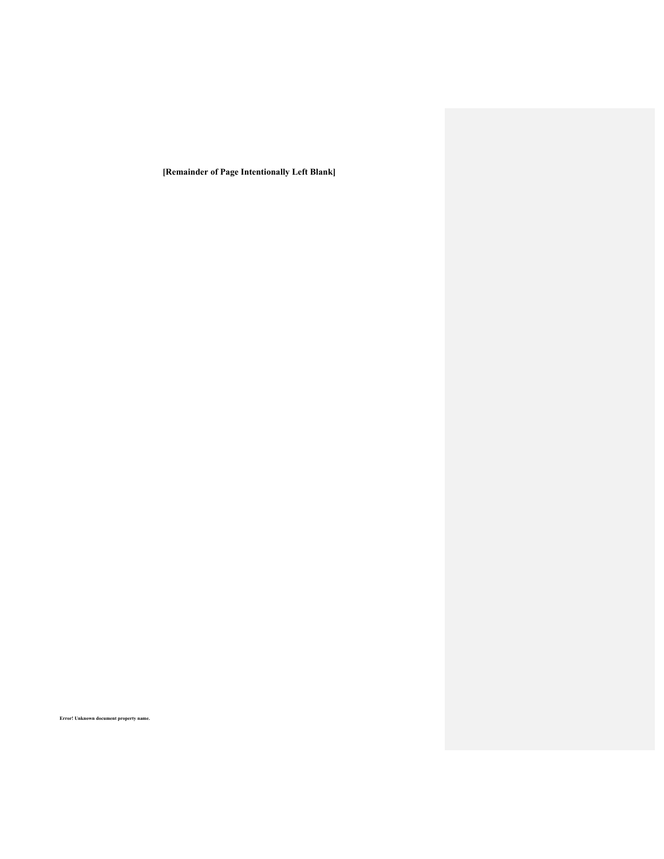**[Remainder of Page Intentionally Left Blank]**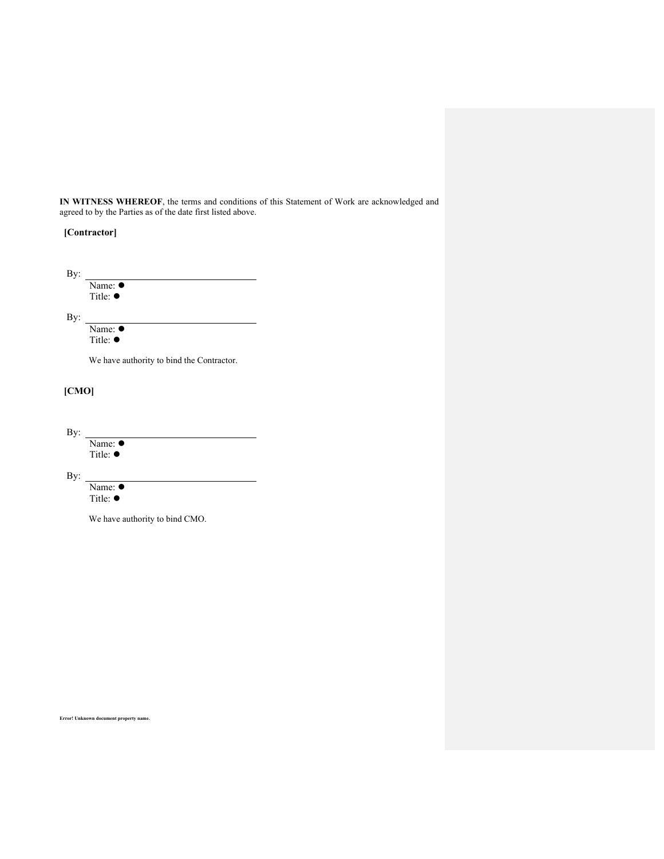**IN WITNESS WHEREOF**, the terms and conditions of this Statement of Work are acknowledged and agreed to by the Parties as of the date first listed above.

| [Contractor] |
|--------------|
|--------------|

| By: |                                          |
|-----|------------------------------------------|
|     | Name: $\bullet$                          |
|     | Title: $\bullet$                         |
| By: |                                          |
|     | Name: $\bullet$                          |
|     | Title: $\bullet$                         |
|     | We have authority to hind the Contractor |

We have authority to bind the Contractor.

# **[CMO]**

By: Name:  $\bullet$ Title: ●

By:

Name:  $\bullet$ Title: ●

We have authority to bind CMO.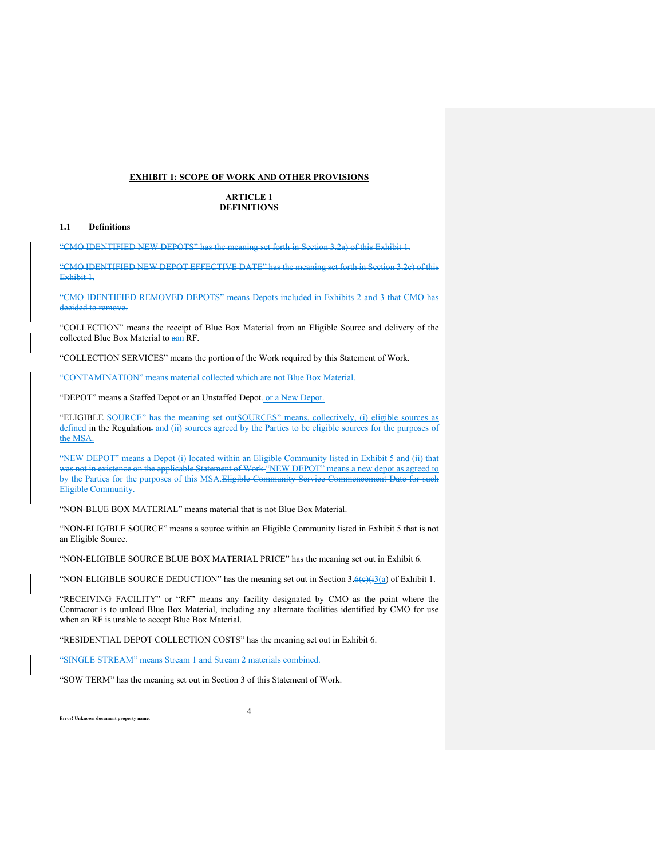#### **EXHIBIT 1: SCOPE OF WORK AND OTHER PROVISIONS**

### **ARTICLE 1 DEFINITIONS**

#### **1.1 Definitions**

"CMO IDENTIFIED NEW DEPOTS" has the meaning set forth in Section 3.2a) of this Exhibit 1.

"CMO IDENTIFIED NEW DEPOT EFFECTIVE DATE" has the meaning set forth in Section 3.2e) of this Exhibit 1.

"CMO IDENTIFIED REMOVED DEPOTS" means Depots included in Exhibits 2 and 3 that CMO has decided to remove.

"COLLECTION" means the receipt of Blue Box Material from an Eligible Source and delivery of the collected Blue Box Material to aan RF.

"COLLECTION SERVICES" means the portion of the Work required by this Statement of Work.

"CONTAMINATION" means material collected which are not Blue Box Material.

"DEPOT" means a Staffed Depot or an Unstaffed Depot- or a New Depot.

"ELIGIBLE SOURCE" has the meaning set outSOURCES" means, collectively, (i) eligible sources as defined in the Regulation- and (ii) sources agreed by the Parties to be eligible sources for the purposes of the MSA.

"NEW DEPOT" means a Depot (i) located within an Eligible Community listed in Exhibit 5 and (ii) that was not in existence on the applicable Statement of Work "NEW DEPOT" means a new depot as agreed to by the Parties for the purposes of this MSA.Eligible Community Service Commencement Date for Eligible Community.

"NON-BLUE BOX MATERIAL" means material that is not Blue Box Material.

"NON-ELIGIBLE SOURCE" means a source within an Eligible Community listed in Exhibit 5 that is not an Eligible Source.

"NON-ELIGIBLE SOURCE BLUE BOX MATERIAL PRICE" has the meaning set out in Exhibit 6.

"NON-ELIGIBLE SOURCE DEDUCTION" has the meaning set out in Section  $3.6\left(\frac{13}{a}\right)$  of Exhibit 1.

"RECEIVING FACILITY" or "RF" means any facility designated by CMO as the point where the Contractor is to unload Blue Box Material, including any alternate facilities identified by CMO for use when an RF is unable to accept Blue Box Material.

4

"RESIDENTIAL DEPOT COLLECTION COSTS" has the meaning set out in Exhibit 6.

"SINGLE STREAM" means Stream 1 and Stream 2 materials combined.

"SOW TERM" has the meaning set out in Section 3 of this Statement of Work.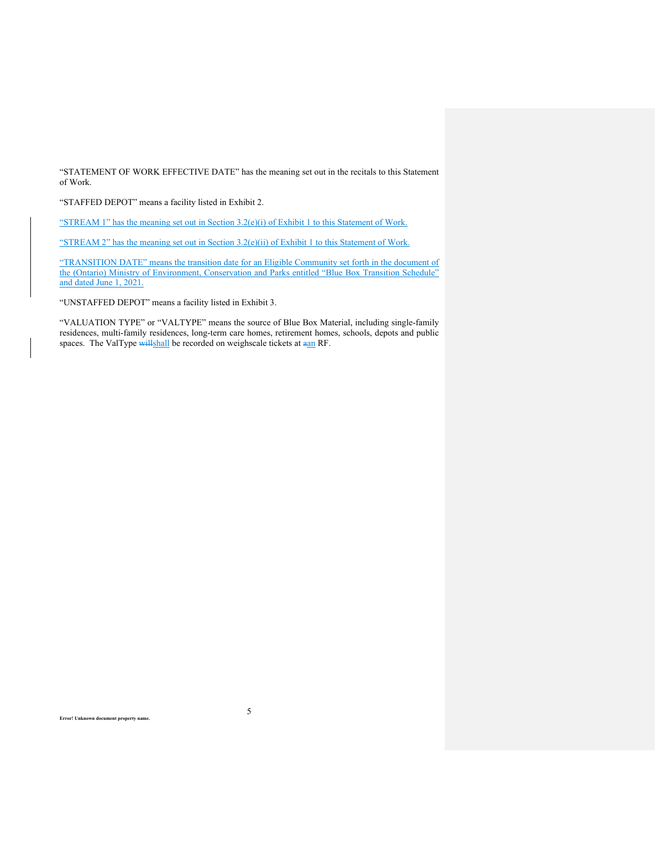"STATEMENT OF WORK EFFECTIVE DATE" has the meaning set out in the recitals to this Statement of Work.

"STAFFED DEPOT" means a facility listed in Exhibit 2.

"STREAM 1" has the meaning set out in Section 3.2(e)(i) of Exhibit 1 to this Statement of Work.

"STREAM 2" has the meaning set out in Section 3.2(e)(ii) of Exhibit 1 to this Statement of Work.

"TRANSITION DATE" means the transition date for an Eligible Community set forth in the document of the (Ontario) Ministry of Environment, Conservation and Parks entitled "Blue Box Transition Schedule" and dated June 1, 2021.

"UNSTAFFED DEPOT" means a facility listed in Exhibit 3.

"VALUATION TYPE" or "VALTYPE" means the source of Blue Box Material, including single-family residences, multi-family residences, long-term care homes, retirement homes, schools, depots and public spaces. The ValType willshall be recorded on weighscale tickets at aan RF.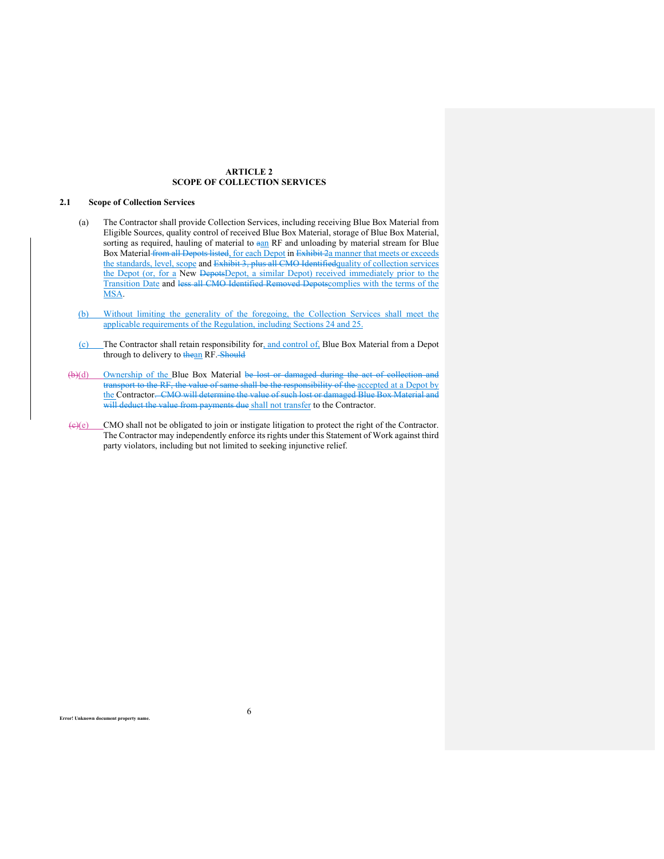# **ARTICLE 2 SCOPE OF COLLECTION SERVICES**

# **2.1 Scope of Collection Services**

- (a) The Contractor shall provide Collection Services, including receiving Blue Box Material from Eligible Sources, quality control of received Blue Box Material, storage of Blue Box Material, sorting as required, hauling of material to aan RF and unloading by material stream for Blue Box Material from all Depots listed, for each Depot in Exhibit 2a manner that meets or exceeds the standards, level, scope and Exhibit 3, plus all CMO Identifiedquality of collection services the Depot (or, for a New DepotsDepot, a similar Depot) received immediately prior to the Transition Date and less all CMO Identified Removed Depotscomplies with the terms of the MSA.
- (b) Without limiting the generality of the foregoing, the Collection Services shall meet the applicable requirements of the Regulation, including Sections 24 and 25.
- (c) The Contractor shall retain responsibility for, and control of, Blue Box Material from a Depot through to delivery to thean RF. Should
- (b)(d) Ownership of the Blue Box Material be lost or damaged during the act of collection and transport to the RF, the value of same shall be the responsibility of the accepted at a Depot by the Contractor. CMO will determine the value of such lost or damaged Blue Box Material and will deduct the value from payments due shall not transfer to the Contractor.
- $\left(\frac{e}{c}\right)$  CMO shall not be obligated to join or instigate litigation to protect the right of the Contractor. The Contractor may independently enforce its rights under this Statement of Work against third party violators, including but not limited to seeking injunctive relief.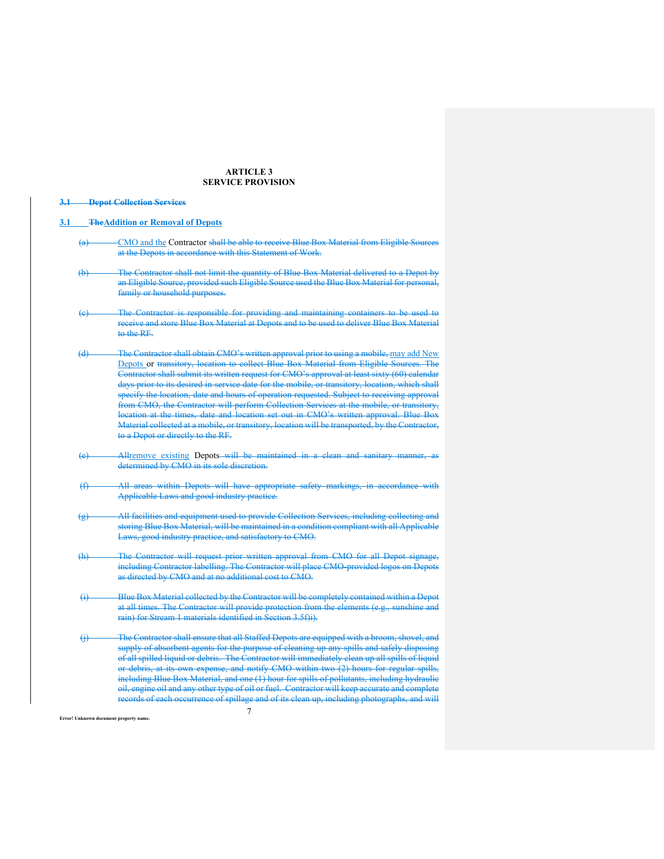# **ARTICLE 3 SERVICE PROVISION**

## **3.1 Depot Collection Services**

#### **3.1 TheAddition or Removal of Depots**

- (a) CMO and the Contractor shall be able to receive Blue Box Material from Eligible Sources at the Depots in accordance with this Statement of Work.
- (b) The Contractor shall not limit the quantity of Blue Box Material delivered to a Depot by an Eligible Source, provided such Eligible Source used the Blue Box Material for personal, family or household purposes.
- Contractor is responsible for providing and maintaining containers to be used to receive and store Blue Box Material at Depots and to be used to deliver Blue Box Material to the RF.
- (d) The Contractor shall obtain CMO's written approval prior to using a mobile, may add New Depots or transitory, location to collect Blue Box Material from Eligible Sources. The Contractor shall submit its written request for CMO's approval at least sixty (60) calendar days prior to its desired in-service date for the mobile, or transitory, location, which shall specify the location, date and hours of operation requested. Subject to receiving approval from CMO, the Contractor will perform Collection Services at the mobile, or transitory, location at the times, date and location set out in CMO's written approval. Blue Box Material collected at a mobile, or transitory, location will be transported, by the Contractor, to a Depot or directly to the RF.
- Allremove existing Depots will be maintained in a clean and sanitary manner, determined by CMO in its sole discretion.
- (f) All areas within Depots will have appropriate safety markings, in accordance with Applicable Laws and good industry practice.
- (g) All facilities and equipment used to provide Collection Services, including collecting and storing Blue Box Material, will be maintained in a condition compliant with all Applicable Laws, good industry practice, and satisfactory to CMO.
- (h) The Contractor will request prior written approval from CMO for all Depot signage, including Contractor labelling. The Contractor will place CMO-provided logos on Depots as directed by CMO and at no additional cost to CMO.
- (i) Blue Box Material collected by the Contractor will be completely contained within a Depot at all times. The Contractor will provide protection from the elements (e.g., sunshine and rain) for Stream 1 materials identified in Section 3.5f)i).
- 7 The Contractor shall ensure that all Staffed Depots are equipped with a broom, shovel, and supply of absorbent agents for the purpose of cleaning up any spills and safely disposing of all spilled liquid or debris. The Contractor will immediately clean up all spills of liquid or debris, at its own expense, and notify CMO within two (2) hours for regular spills, including Blue Box Material, and one (1) hour for spills of pollutants, including hydraulie oil, engine oil and any other type of oil or fuel. Contractor will keep accurate and complete records of each occurrence of spillage and of its clean up, including photographs, and will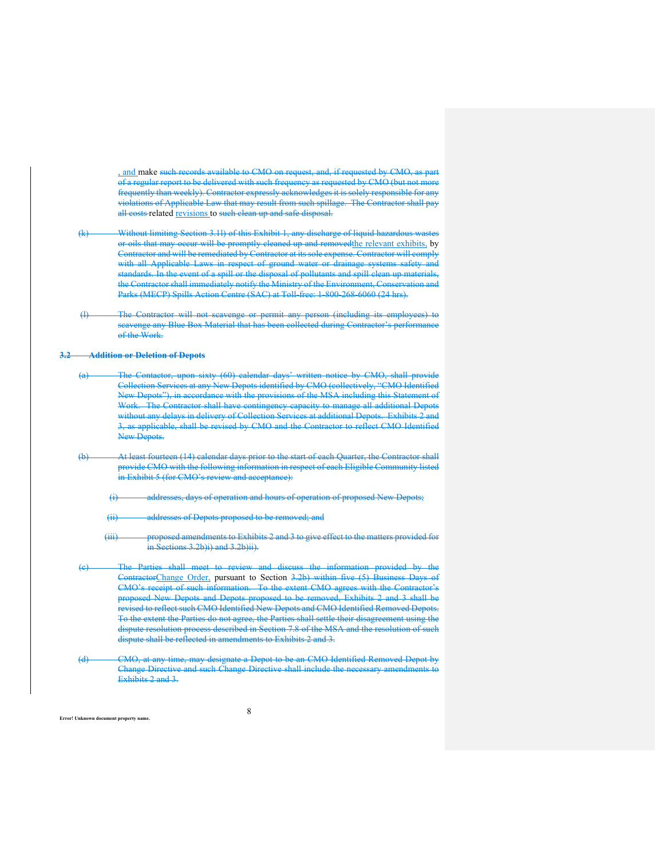, and make such records available to CMO on request, and, if requested by CMO, as part of a regular report to be delivered with such frequency as requested by CMO (but not more frequently than weekly). Contractor expressly acknowledges it is solely responsible for any violations of Applicable Law that may result from such spillage. The Contractor shall pay all costs related revisions to such clean up and safe disposal.

- (k) Without limiting Section 3.1l) of this Exhibit 1, any discharge of liquid hazardous wastes or oils that may occur will be promptly cleaned up and removedthe relevant exhibits, by Contractor and will be remediated by Contractor at its sole expense. Contractor will comply with all Applicable Laws in respect of ground water or drainage systems safety and standards. In the event of a spill or the disposal of pollutants and spill clean up materials, the Contractor shall immediately notify the Ministry of the Environment, Conservation and Parks (MECP) Spills Action Centre (SAC) at Toll-free: 1-800-268-6060 (24 hrs).
- (l) The Contractor will not scavenge or permit any person (including its employees) to scavenge any Blue Box Material that has been collected during Contractor's performance of the Work.

#### **3.2 Addition or Deletion of Depots**

- (a) The Contactor, upon sixty (60) calendar days' written notice by CMO, shall provide Collection Services at any New Depots identified by CMO (collectively, "CMO Identified New Depots"), in accordance with the provisions of the MSA including this Statement of Work. The Contractor shall have contingency capacity to manage all additional Depots without any delays in delivery of Collection Services at additional Depots. Exhibits 2 and 3, as applicable, shall be revised by CMO and the Contractor to reflect CMO Identified New Depots.
- (b) At least fourteen (14) calendar days prior to the start of each Quarter, the Contractor shall provide CMO with the following information in respect of each Eligible Community listed in Exhibit 5 (for CMO's review and acceptance):
	- (i) addresses, days of operation and hours of operation of proposed New Depots;
	- (ii) addresses of Depots proposed to be removed; and
	- (iii) proposed amendments to Exhibits 2 and 3 to give effect to the matters provided for in Sections 3.2b)i) and 3.2b)ii).
- The Parties shall meet to review and discuss the information provided by the ContractorChange Order, pursuant to Section 3.2b) within five (5) Business Days of CMO's receipt of such information. To the extent CMO agrees with the Contractor's proposed New Depots and Depots proposed to be removed, Exhibits 2 and 3 shall be revised to reflect such CMO Identified New Depots and CMO Identified Removed Depots. To the extent the Parties do not agree, the Parties shall settle their disagreement using the dispute resolution process described in Section 7.8 of the MSA and the resolution of such dispute shall be reflected in amendments to Exhibits 2 and 3.
- (d) CMO, at any time, may designate a Depot to be an CMO Identified Removed Depot by Change Directive and such Change Directive shall include the necessary amendments to Exhibits 2 and 3.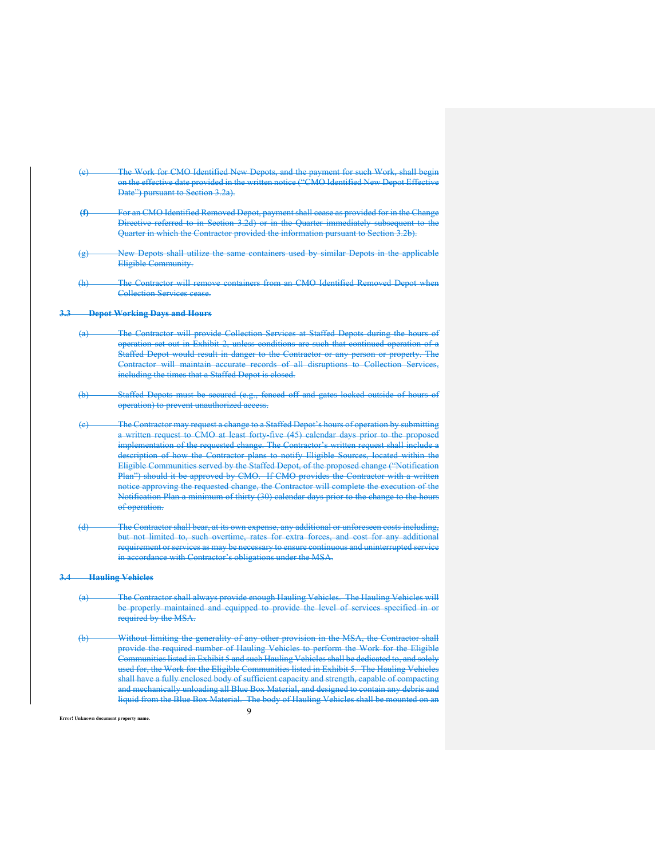- The Work for CMO Identified New Depots, and the payment for such Work, shall begin on the effective date provided in the written notice ("CMO Identified New Depot Effective Date") pursuant to Section 3.2a).
- **(f)** For an CMO Identified Removed Depot, payment shall cease as provided for in the Change Directive referred to in Section 3.2d) or in the Quarter immediately subsequent to the Quarter in which the Contractor provided the information pursuant to Section 3.2b).
- (g) New Depots shall utilize the same containers used by similar Depots in the applicable Eligible Community.
- (h) The Contractor will remove containers from an CMO Identified Removed Depot when Collection Services cease.

# **3.3 Depot Working Days and Hours**

- (a) The Contractor will provide Collection Services at Staffed Depots during the hours of operation set out in Exhibit 2, unless conditions are such that continued operation of a Staffed Depot would result in danger to the Contractor or any person or property. The Contractor will maintain accurate records of all disruptions to Collection Services, including the times that a Staffed Depot is closed.
- (b) Staffed Depots must be secured (e.g., fenced off and gates locked outside of hours of operation) to prevent unauthorized access.
- The Contractor may request a change to a Staffed Depot's hours of operation by submitting a written request to CMO at least forty-five (45) calendar days prior to the proposed implementation of the requested change. The Contractor's written request shall include a description of how the Contractor plans to notify Eligible Sources, located within the Eligible Communities served by the Staffed Depot, of the proposed change ("Notification Plan") should it be approved by CMO. If CMO provides the Contractor with a written notice approving the requested change, the Contractor will complete the execution of the Notification Plan a minimum of thirty (30) calendar days prior to the change to the hours of operation.
- (d) The Contractor shall bear, at its own expense, any additional or unforeseen costs including, but not limited to, such overtime, rates for extra forces, and cost for any additional requirement or services as may be necessary to ensure continuous and uninterrupted service in accordance with Contractor's obligations under the MSA.

### **3.4 Hauling Vehicles**

- (a) The Contractor shall always provide enough Hauling Vehicles. The Hauling Vehicles will be properly maintained and equipped to provide the level of services specified in or required by the MSA.
- $\mathbf Q$ (b) Without limiting the generality of any other provision in the MSA, the Contractor shall provide the required number of Hauling Vehicles to perform the Work for the Eligible Communities listed in Exhibit 5 and such Hauling Vehicles shall be dedicated to, and solely used for, the Work for the Eligible Communities listed in Exhibit 5. The Hauling Vehicles shall have a fully enclosed body of sufficient capacity and strength, capable of compacting and mechanically unloading all Blue Box Material, and designed to contain any debris and liquid from the Blue Box Material. The body of Hauling Vehicles shall be mounted on an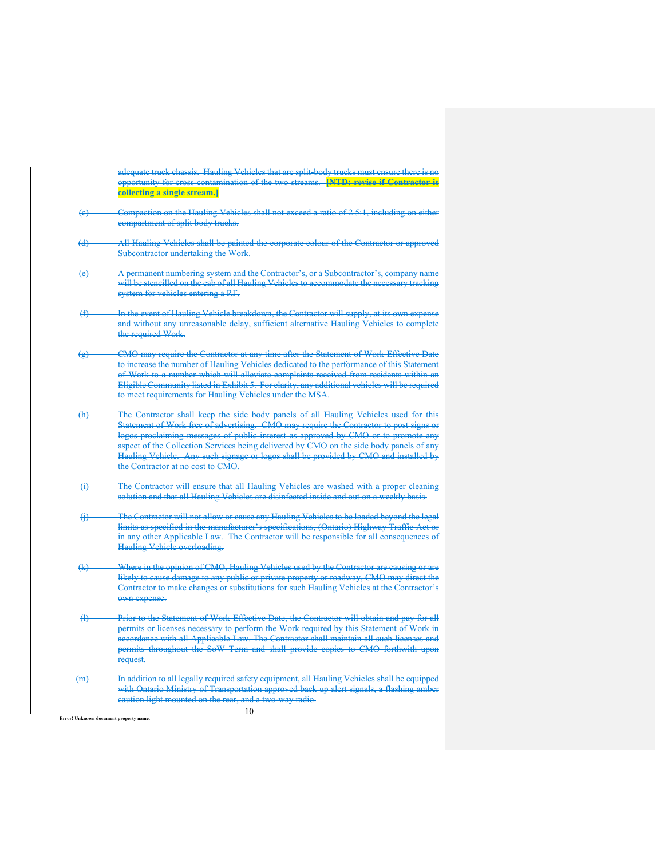adequate truck chassis. Hauling Vehicles that are split-body trucks must ensure there is no opportunity for cross-contamination of the two streams. **[NTD: revise if Contractor is collecting a single stream.]**

- Compaction on the Hauling Vehicles shall not exceed a ratio of 2.5:1, including on either compartment of split body trucks.
- (d) All Hauling Vehicles shall be painted the corporate colour of the Contractor or approved Subcontractor undertaking the Work.
- **A permanent numbering system and the Contractor's, or a Subcontractor's, company name** will be stencilled on the cab of all Hauling Vehicles to accommodate the necessary tracking system for vehicles entering a RF.
- (f) In the event of Hauling Vehicle breakdown, the Contractor will supply, at its own expense and without any unreasonable delay, sufficient alternative Hauling Vehicles to complete the required Work.
- (g) CMO may require the Contractor at any time after the Statement of Work Effective Date to increase the number of Hauling Vehicles dedicated to the performance of this Statement of Work to a number which will alleviate complaints received from residents within an Eligible Community listed in Exhibit 5. For clarity, any additional vehicles will be required to meet requirements for Hauling Vehicles under the MSA.
- (h) The Contractor shall keep the side body panels of all Hauling Vehicles used for this Statement of Work free of advertising. CMO may require the Contractor to post signs or logos proclaiming messages of public interest as approved by CMO or to promote any aspect of the Collection Services being delivered by CMO on the side body panels of any Hauling Vehicle. Any such signage or logos shall be provided by CMO and installed by the Contractor at no cost to CMO.
- The Contractor will ensure that all Hauling Vehicles are washed with a proper cleaning solution and that all Hauling Vehicles are disinfected inside and out on a weekly basis.
- (j) The Contractor will not allow or cause any Hauling Vehicles to be loaded beyond the legal limits as specified in the manufacturer's specifications, (Ontario) Highway Traffic Act or in any other Applicable Law. The Contractor will be responsible for all consequence Hauling Vehicle overloading.
- (k) Where in the opinion of CMO, Hauling Vehicles used by the Contractor are causing or are likely to cause damage to any public or private property or roadway, CMO may direct the Contractor to make changes or substitutions for such Hauling Vehicles at the Contractor's own expense.
- (l) Prior to the Statement of Work Effective Date, the Contractor will obtain and pay for all permits or licenses necessary to perform the Work required by this Statement of Work in accordance with all Applicable Law. The Contractor shall maintain all such licenses and permits throughout the SoW Term and shall provide copies to CMO forthwith upon request.
- (m) In addition to all legally required safety equipment, all Hauling Vehicles shall be equipped with Ontario Ministry of Transportation approved back up alert signals, a flashing amber caution light mounted on the rear, and a two-way radio.

10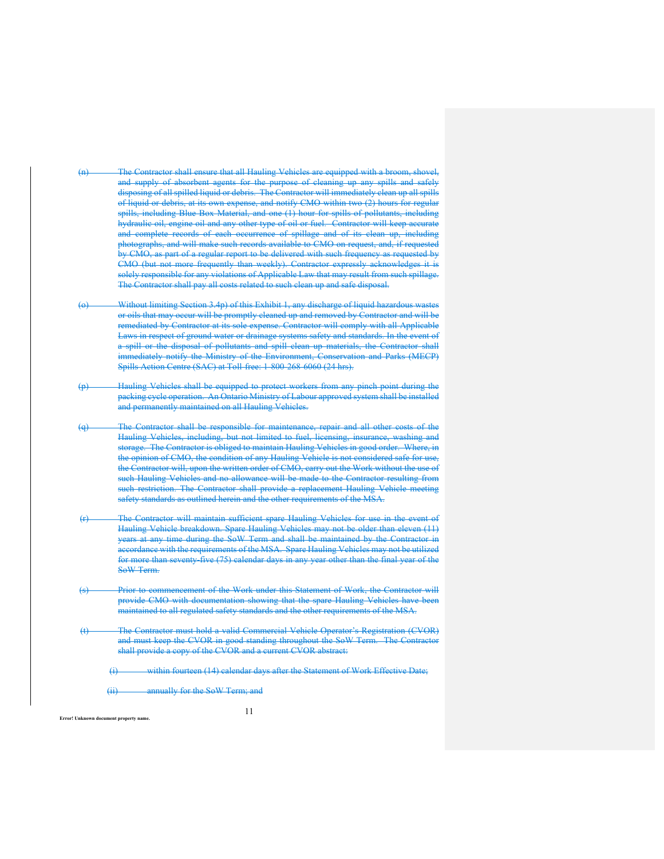- (n) The Contractor shall ensure that all Hauling Vehicles are equipped with a broom, shovel, and supply of absorbent agents for the purpose of eleaning up any spills and safely disposing of all spilled liquid or debris. The Contractor will immediately clean up all spills of liquid or debris, at its own expense, and notify CMO within two (2) hours for regular spills, including Blue Box Material, and one (1) hour for spills of pollutants, including hydraulic oil, engine oil and any other type of oil or fuel. Contractor will keep accurate and complete records of each occurrence of spillage and of its clean up, including photographs, and will make such records available to CMO on request, and, if requested by CMO, as part of a regular report to be delivered with such frequency as requested by CMO (but not more frequently than weekly). Contractor expressly acknowledges it is solely responsible for any violations of Applicable Law that may result from such spillage. The Contractor shall pay all costs related to such clean up and safe disposal.
- Without limiting Section 3.4p) of this Exhibit 1, any discharge of liquid hazardous wastes or oils that may occur will be promptly cleaned up and removed by Contractor and will be remediated by Contractor at its sole expense. Contractor will comply with all Applicable Laws in respect of ground water or drainage systems safety and standards. In the event of a spill or the disposal of pollutants and spill clean up materials, the Contractor shall immediately notify the Ministry of the Environment, Conservation and Parks (MECP) Spills Action Centre (SAC) at Toll-free: 1-800-268-6060 (24 hrs).
- (p) Hauling Vehicles shall be equipped to protect workers from any pinch point during the packing cycle operation. An Ontario Ministry of Labour approved system shall be installed and permanently maintained on all Hauling Vehicles
- (q) The Contractor shall be responsible for maintenance, repair and all other costs of the Hauling Vehicles, including, but not limited to fuel, licensing, insurance, washing and storage. The Contractor is obliged to maintain Hauling Vehicles in good order. Where, in the opinion of CMO, the condition of any Hauling Vehicle is not considered safe for use, the Contractor will, upon the written order of CMO, carry out the Work without the use of such Hauling Vehicles and no allowance will be made to the Contractor resulting from such restriction. The Contractor shall provide a replacement Hauling Vehicle meeting safety standards as outlined herein and the other requirements of the MSA.
- (r) The Contractor will maintain sufficient spare Hauling Vehicles for use in the event of Hauling Vehicle breakdown. Spare Hauling Vehicles may not be older than eleven (11) years at any time during the SoW Term and shall be maintained by the Contractor in accordance with the requirements of the MSA. Spare Hauling Vehicles may not be utilized for more than seventy five (75) calendar days in any year other than the final year of the SoW Term.
- Prior to commencement of the Work under this Statement of Work, the Contractor will provide CMO with documentation showing that the spare Hauling Vehicles have been maintained to all regulated safety standards and the other requirements of the MSA.
- (t) The Contractor must hold a valid Commercial Vehicle Operator's Registration (CVOR) and must keep the CVOR in good standing throughout the SoW Term. The Contractor shall provide a copy of the CVOR and a current CVOR abstract:

(i) within fourteen (14) calendar days after the Statement of Work Effective Date;

(ii) annually for the SoW Term; and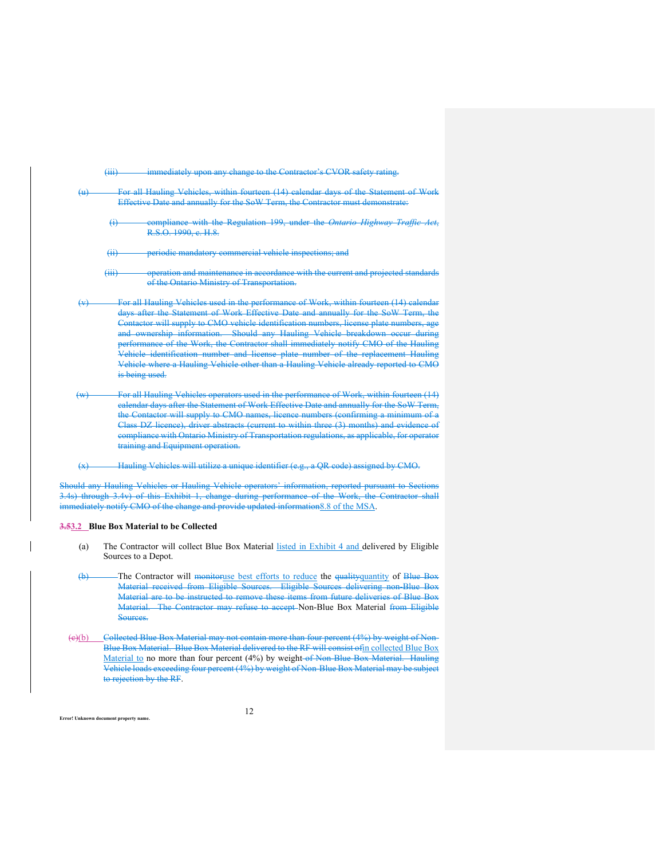(iii) immediately upon any change to the Contractor's CVOR safety rating.

- For all Hauling Vehieles, within fourteen (14) calendar days of the Statement of Work Effective Date and annually for the SoW Term, the Contractor must demonstrate:
	- (i) compliance with the Regulation 199, under the *Ontario Highway Traffic Act*, R.S.O. 1990, c. H.8.

(ii) periodic mandatory commercial vehicle inspections; and

- (iii) operation and maintenance in accordance with the current and projected standards of the Ontario Ministry of Transportation.
- (v) For all Hauling Vehicles used in the performance of Work, within fourteen (14) calendar days after the Statement of Work Effective Date and annually for the SoW Term, the Contactor will supply to CMO vehicle identification numbers, license plate numbers, age and ownership information. Should any Hauling Vehicle breakdown occur during performance of the Work, the Contractor shall immediately notify CMO of the Hauling Vehicle identification number and license plate number of the replacement Hauling Vehicle where a Hauling Vehicle other than a Hauling Vehicle already reported to CMO is being used.
- (w) For all Hauling Vehicles operators used in the performance of Work, within fourteen (14) calendar days after the Statement of Work Effective Date and annually for the SoW Term, the Contactor will supply to CMO names, licence numbers (confirming a minimum of a Class DZ licence), driver abstracts (current to within three (3) months) and evidence of compliance with Ontario Ministry of Transportation regulations, as applicable, for operator training and Equipment operation.
- (x) Hauling Vehicles will utilize a unique identifier (e.g., a QR code) assigned by CMO.

Should any Hauling Vehicles or Hauling Vehicle operators' information, reported pursuant to Sections 3.4s) through 3.4v) of this Exhibit 1, change during performance of the Work, the Contractor shall immediately notify CMO of the change and provide updated information8.8 of the MSA.

### **3.53.2 Blue Box Material to be Collected**

- (a) The Contractor will collect Blue Box Material listed in Exhibit 4 and delivered by Eligible Sources to a Depot.
- (b) The Contractor will monitoruse best efforts to reduce the qualityquantity of Blue Box Material received from Eligible Sources. Eligible Sources delivering non-Blue Box Material are to be instructed to remove these items from future deliveries of Blue Box Material. The Contractor may refuse to accept Non-Blue Box Material from Eligible Sources.
- (c)(b) Collected Blue Box Material may not contain more than four percent (4%) by weight of Non-Blue Box Material. Blue Box Material delivered to the RF will consist ofin collected Blue Box Material to no more than four percent (4%) by weight of Non-Blue Box Material. Hauling Vehicle loads exceeding four percent (4%) by weight of Non-Blue Box Material may be subject to rejection by the RF.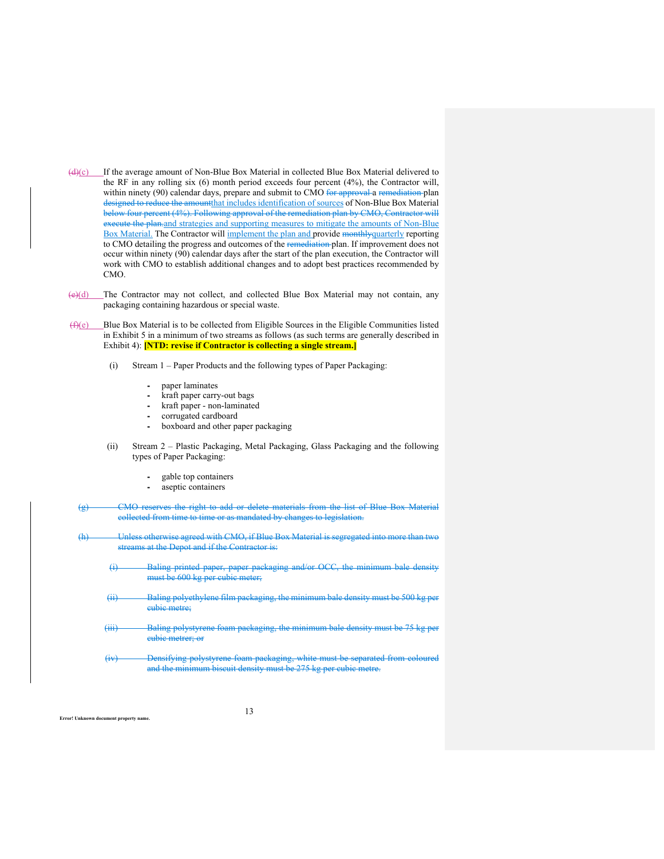- $(d)(c)$  If the average amount of Non-Blue Box Material in collected Blue Box Material delivered to the RF in any rolling six (6) month period exceeds four percent (4%), the Contractor will, within ninety (90) calendar days, prepare and submit to CMO for approval a remediation plan designed to reduce the amountthat includes identification of sources of Non-Blue Box Material below four percent (4%). Following approval of the remediation plan by CMO, Contractor will execute the plan.and strategies and supporting measures to mitigate the amounts of Non-Blue Box Material. The Contractor will implement the plan and provide monthlyquarterly reporting to CMO detailing the progress and outcomes of the remediation plan. If improvement does not occur within ninety (90) calendar days after the start of the plan execution, the Contractor will work with CMO to establish additional changes and to adopt best practices recommended by CMO.
- $(e)(d)$  The Contractor may not collect, and collected Blue Box Material may not contain, any packaging containing hazardous or special waste.
- $(f)(e)$  Blue Box Material is to be collected from Eligible Sources in the Eligible Communities listed in Exhibit 5 in a minimum of two streams as follows (as such terms are generally described in Exhibit 4): **[NTD: revise if Contractor is collecting a single stream.]**
	- (i) Stream 1 Paper Products and the following types of Paper Packaging:
		- paper laminates
		- ⁃ kraft paper carry-out bags
		- kraft paper non-laminated
		- corrugated cardboard
		- boxboard and other paper packaging
	- (ii) Stream 2 Plastic Packaging, Metal Packaging, Glass Packaging and the following types of Paper Packaging:
		- ⁃ gable top containers
		- aseptic containers
	- CMO reserves the right to add or delete materials from the list of Blue collected from time to time or as mandated by changes to legislation.
	- (h) Unless otherwise agreed with CMO, if Blue Box Material is streams at the Depot and if the Contractor is:
		- Baling printed paper, paper must be 600 kg per cubic meter;
		- Baling polyethylene film packaging, the minimum bale density must be 500 k cubic metre;
		- (iii) Baling polystyre cubic metrer; or
		- (iv) Densifying polystyrene foam packaging, white must be separated from coloured and the minimum biscuit density must be 275 kg per cubic metre.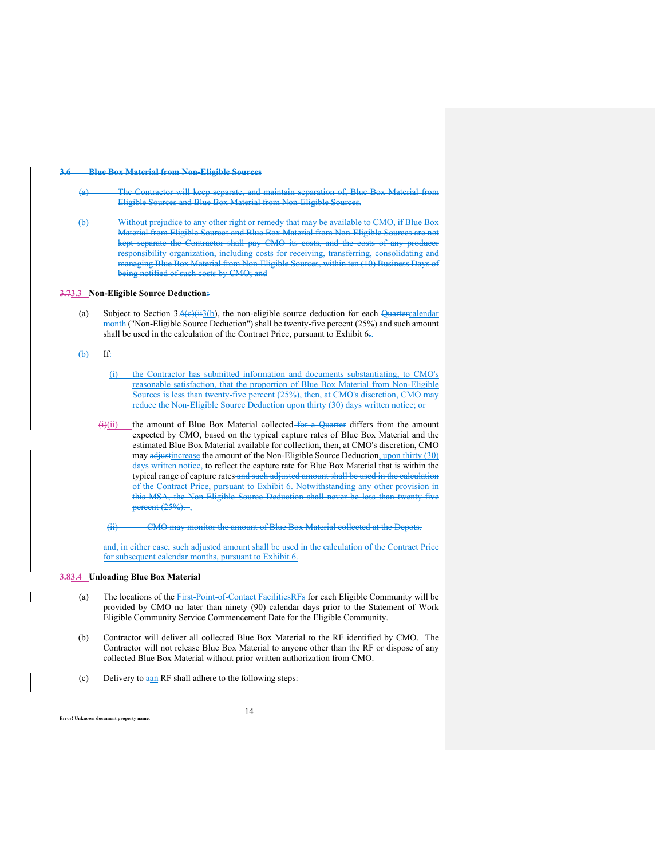#### **3.6 Blue Box Material from Non-Eligible Sources**

- Contractor will keep separate, and maintain separation of, Blue Box Material from Eligible Sources and Blue Box Material from Non-Eligible Sources.
- (b) Without prejudice to any other right or remedy that may be available to CMO, if Blue Box Material from Eligible Sources and Blue Box Material from Non-Eligible Sources are not kept separate the Contractor shall pay CMO its costs, and the costs of any producer responsibility organization, including costs for receiving, transferring, consolidating and managing Blue Box Material from Non-Eligible Sources, within ten (10) Business Days of being notified of such costs by CMO; and

#### **3.73.3 Non-Eligible Source Deduction:**

(a) Subject to Section  $3.6\left(\frac{13}{13}\right)$ , the non-eligible source deduction for each Quartercalendar month ("Non-Eligible Source Deduction") shall be twenty-five percent (25%) and such amount shall be used in the calculation of the Contract Price, pursuant to Exhibit  $6\frac{1}{2}$ .

#### (b) If:

- (i) the Contractor has submitted information and documents substantiating, to CMO's reasonable satisfaction, that the proportion of Blue Box Material from Non-Eligible Sources is less than twenty-five percent (25%), then, at CMO's discretion, CMO may reduce the Non-Eligible Source Deduction upon thirty (30) days written notice; or
- $(i)(ii)$  the amount of Blue Box Material collected for a Quarter differs from the amount expected by CMO, based on the typical capture rates of Blue Box Material and the estimated Blue Box Material available for collection, then, at CMO's discretion, CMO may adjustincrease the amount of the Non-Eligible Source Deduction, upon thirty (30) days written notice, to reflect the capture rate for Blue Box Material that is within the typical range of capture rates and such adjusted amount shall be used in the calculation of the Contract Price, pursuant to Exhibit 6. Notwithstanding any other provision in this MSA, the Non-Eligible Source Deduction shall never be less than twenty-five percent  $(25\%)$ .

(ii) CMO may monitor the amount of Blue Box Material collected at the Depots.

and, in either case, such adjusted amount shall be used in the calculation of the Contract Price for subsequent calendar months, pursuant to Exhibit 6.

#### **3.83.4 Unloading Blue Box Material**

- (a) The locations of the First-Point-of-Contact FacilitiesRFs for each Eligible Community will be provided by CMO no later than ninety (90) calendar days prior to the Statement of Work Eligible Community Service Commencement Date for the Eligible Community.
- (b) Contractor will deliver all collected Blue Box Material to the RF identified by CMO. The Contractor will not release Blue Box Material to anyone other than the RF or dispose of any collected Blue Box Material without prior written authorization from CMO.
- (c) Delivery to aan RF shall adhere to the following steps: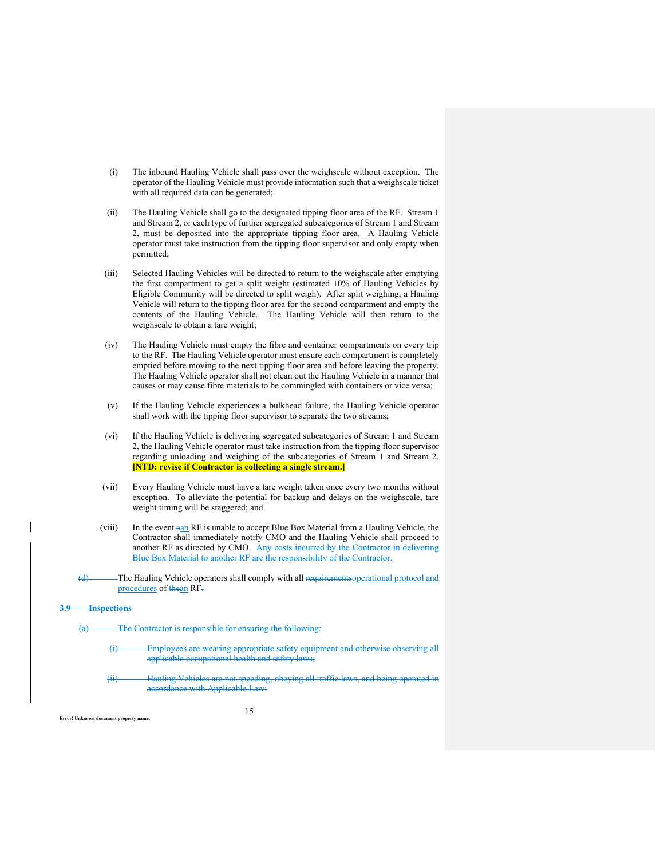- (i) The inbound Hauling Vehicle shall pass over the weighscale without exception. The operator of the Hauling Vehicle must provide information such that a weighscale ticket with all required data can be generated;
- (ii) The Hauling Vehicle shall go to the designated tipping floor area of the RF. Stream 1 and Stream 2, or each type of further segregated subcategories of Stream 1 and Stream 2, must be deposited into the appropriate tipping floor area. A Hauling Vehicle operator must take instruction from the tipping floor supervisor and only empty when permitted;
- (iii) Selected Hauling Vehicles will be directed to return to the weighscale after emptying the first compartment to get a split weight (estimated 10% of Hauling Vehicles by Eligible Community will be directed to split weigh). After split weighing, a Hauling Vehicle will return to the tipping floor area for the second compartment and empty the contents of the Hauling Vehicle. The Hauling Vehicle will then return to the weighscale to obtain a tare weight;
- (iv) The Hauling Vehicle must empty the fibre and container compartments on every trip to the RF. The Hauling Vehicle operator must ensure each compartment is completely emptied before moving to the next tipping floor area and before leaving the property. The Hauling Vehicle operator shall not clean out the Hauling Vehicle in a manner that causes or may cause fibre materials to be commingled with containers or vice versa;
- (v) If the Hauling Vehicle experiences a bulkhead failure, the Hauling Vehicle operator shall work with the tipping floor supervisor to separate the two streams;
- (vi) If the Hauling Vehicle is delivering segregated subcategories of Stream 1 and Stream 2, the Hauling Vehicle operator must take instruction from the tipping floor supervisor regarding unloading and weighing of the subcategories of Stream 1 and Stream 2. **[NTD: revise if Contractor is collecting a single stream.]**
- (vii) Every Hauling Vehicle must have a tare weight taken once every two months without exception. To alleviate the potential for backup and delays on the weighscale, tare weight timing will be staggered; and
- (viii) In the event aan RF is unable to accept Blue Box Material from a Hauling Vehicle, the Contractor shall immediately notify CMO and the Hauling Vehicle shall proceed to another RF as directed by CMO. Any costs incurred by the Contractor in delivering Blue Box Material to another RF are the responsibility of the Contractor.
- (d) The Hauling Vehicle operators shall comply with all requirements operational protocol and procedures of thean RF-

#### **3.9 Inspections**

- The Contractor is responsible for ensuring the following:
	- Employees are wearing appropriate safety equipment and otherwise observing all applicable occupational health and safety laws;
	- Hauling Vehieles are not speeding, obeying all traffic laws, and being operated in accordance with Applicable Law;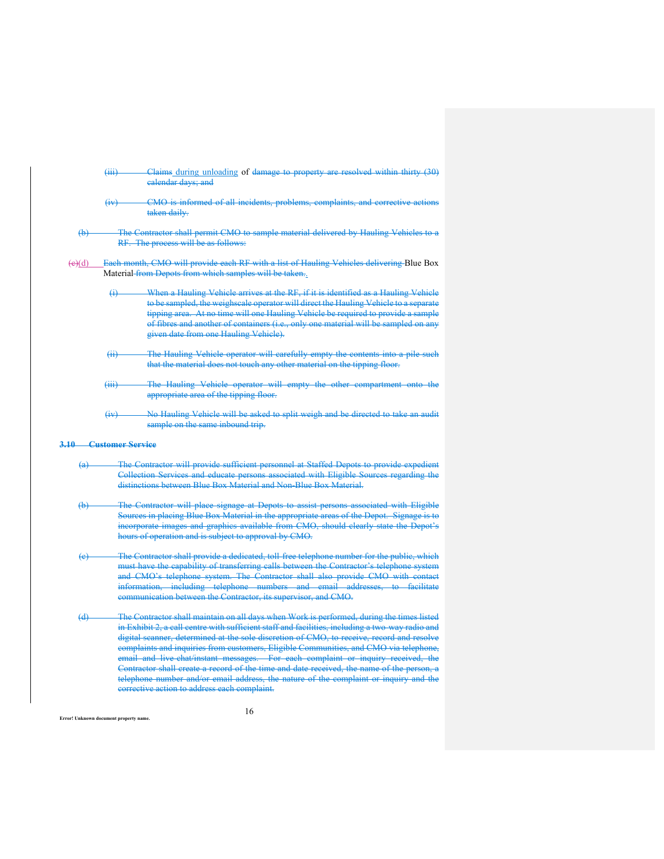|                           | $\overline{(+)}$             | Claims during unloading of damage to property are resolved within thirty (30)<br>ealendar days; and                                                                                                                                                                                                                                                                                                                                                                                                                                                                                                                                                                                                           |
|---------------------------|------------------------------|---------------------------------------------------------------------------------------------------------------------------------------------------------------------------------------------------------------------------------------------------------------------------------------------------------------------------------------------------------------------------------------------------------------------------------------------------------------------------------------------------------------------------------------------------------------------------------------------------------------------------------------------------------------------------------------------------------------|
|                           | $\overline{(+)}$             | CMO is informed of all incidents, problems, complaints, and corrective actions<br>taken daily.                                                                                                                                                                                                                                                                                                                                                                                                                                                                                                                                                                                                                |
| $\leftrightarrow$         |                              | The Contractor shall permit CMO to sample material delivered by Hauling Vehicles to a<br>RF. The process will be as follows:                                                                                                                                                                                                                                                                                                                                                                                                                                                                                                                                                                                  |
| $\leftrightarrow$ (d)     |                              | Each month, CMO will provide each RF with a list of Hauling Vehicles delivering Blue Box<br>Material from Depots from which samples will be taken.                                                                                                                                                                                                                                                                                                                                                                                                                                                                                                                                                            |
|                           | ↔                            | When a Hauling Vehicle arrives at the RF, if it is identified as a Hauling Vehicle<br>to be sampled, the weighscale operator will direct the Hauling Vehicle to a separate<br>tipping area. At no time will one Hauling Vehicle be required to provide a sample<br>of fibres and another of containers (i.e., only one material will be sampled on any<br>given date from one Hauling Vehicle).                                                                                                                                                                                                                                                                                                               |
|                           | $\overline{4i}$              | The Hauling Vehicle operator will carefully empty the contents into a pile such<br>that the material does not touch any other material on the tipping floor.                                                                                                                                                                                                                                                                                                                                                                                                                                                                                                                                                  |
|                           | $\overline{(\mathbf{iii})}$  | The Hauling Vehicle operator will empty the other compartment onto the<br>appropriate area of the tipping floor.                                                                                                                                                                                                                                                                                                                                                                                                                                                                                                                                                                                              |
|                           | $\overline{(+)}$             | No Hauling Vehicle will be asked to split weigh and be directed to take an audit<br>sample on the same inbound trip.                                                                                                                                                                                                                                                                                                                                                                                                                                                                                                                                                                                          |
|                           | <b>3.10 Customer Service</b> |                                                                                                                                                                                                                                                                                                                                                                                                                                                                                                                                                                                                                                                                                                               |
| (a)                       |                              | The Contractor will provide sufficient personnel at Staffed Depots to provide expedient<br>Collection Services and educate persons associated with Eligible Sources regarding the<br>distinctions between Blue Box Material and Non-Blue Box Material.                                                                                                                                                                                                                                                                                                                                                                                                                                                        |
| $\bigoplus$               |                              | The Contractor will place signage at Depots to assist persons associated with Eligible<br>Sources in placing Blue Box Material in the appropriate areas of the Depot. Signage is to<br>incorporate images and graphics available from CMO, should clearly state the Depot's<br>hours of operation and is subject to approval by CMO.                                                                                                                                                                                                                                                                                                                                                                          |
| $\left(\mathrm{e}\right)$ |                              | The Contractor shall provide a dedicated, toll free telephone number for the public, which<br>must have the capability of transferring calls between the Contractor's telephone system<br>and CMO's telephone system. The Contractor shall also provide CMO with contact<br>information, including telephone numbers and email addresses, to facilitate<br>communication between the Contractor, its supervisor, and CMO.                                                                                                                                                                                                                                                                                     |
| $\Theta$                  |                              | The Contractor shall maintain on all days when Work is performed, during the times listed<br>in Exhibit 2, a call centre with sufficient staff and facilities, including a two way radio and<br>digital scanner, determined at the sole discretion of CMO, to receive, record and resolve<br>complaints and inquiries from customers, Eligible Communities, and CMO via telephone,<br>email and live chat/instant messages. For each complaint or inquiry received, the<br>Contractor shall create a record of the time and date received, the name of the person, a<br>telephone number and/or email address, the nature of the complaint or inquiry and the<br>corrective action to address each complaint. |

16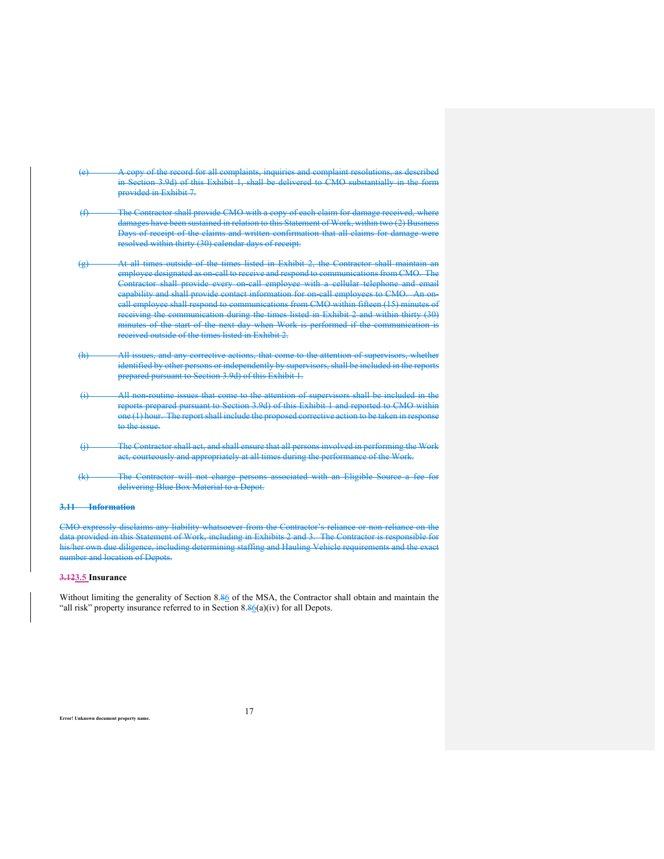- (e) A copy of the record for all complaints, inquiries and complaint resolutions, as described in Section 3.9d) of this Exhibit 1, shall be delivered to CMO substantially in the form provided in Exhibit 7.
- (f) The Contractor shall provide CMO with a copy of each claim for damage received, where damages have been sustained in relation to this Statement of Work, within two (2) Business Days of receipt of the claims and written confirmation that all claims for damage were resolved within thirty (30) calendar days of receipt.
- (g) At all times outside of the times listed in Exhibit 2, the Contractor shall maintain an employee designated as on-call to receive and respond to communications from CMO. The Contractor shall provide every on-call employee with a cellular telephone and email ability and shall provide contact information for on-call employees to CMO. An oncall employee shall respond to communications from CMO within fifteen (15) minutes of receiving the communication during the times listed in Exhibit 2 and within thirty (30) minutes of the start of the next day when Work is performed if the communication is received outside of the times listed in Exhibit 2.
- (h) All issues, and any corrective actions, that come to the attention of supervisors, whether identified by other persons or independently by supervisors, shall be included in the reports prepared pursuant to Section 3.9d) of this Exhibit 1.
- All non-routine issues that come to the attention of supervisors shall be included in the reports prepared pursuant to Section 3.9d) of this Exhibit 1 and reported to CMO within one (1) hour. The report shall include the proposed corrective action to be taken in response to the issue.
- (j) The Contractor shall act, and shall ensure that all persons involved in performing the Work act, courteously and appropriately at all times during the performance of the Work.
- (k) The Contractor will not charge persons associated with an Eligible Source a fee for delivering Blue Box Material to a Depot.

#### **3.11 Information**

CMO expressly disclaims any liability whatsoever from the Contractor's reliance or non-reliance on the data provided in this Statement of Work, including in Exhibits 2 and 3. The Contractor is responsible for his/her own due diligence, including determining staffing and Hauling Vehicle requirements and the exact number and location of Depots.

### **3.123.5 Insurance**

Without limiting the generality of Section 8.86 of the MSA, the Contractor shall obtain and maintain the "all risk" property insurance referred to in Section  $8.86(a)(iv)$  for all Depots.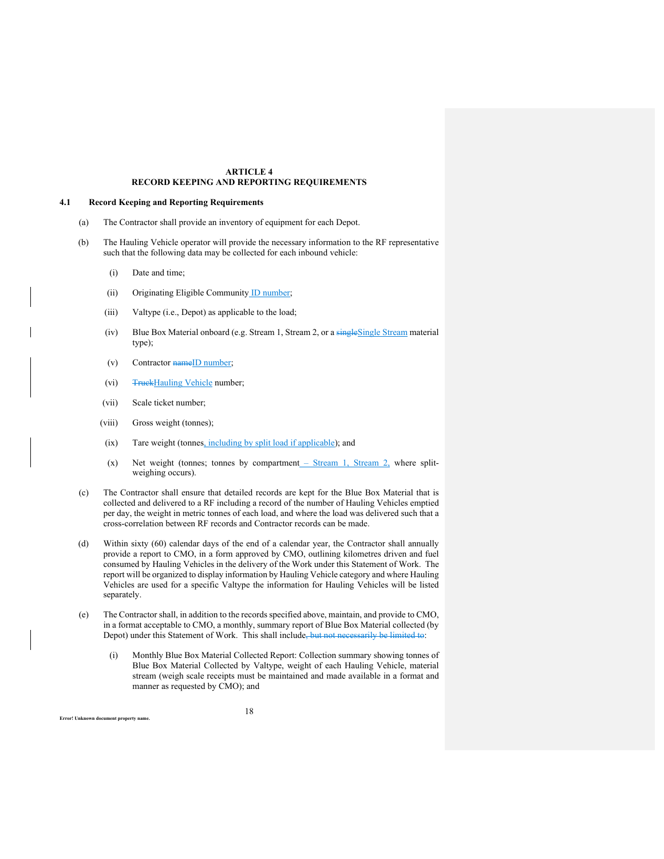## **ARTICLE 4 RECORD KEEPING AND REPORTING REQUIREMENTS**

#### **4.1 Record Keeping and Reporting Requirements**

- (a) The Contractor shall provide an inventory of equipment for each Depot.
- (b) The Hauling Vehicle operator will provide the necessary information to the RF representative such that the following data may be collected for each inbound vehicle:
	- (i) Date and time;
	- (ii) Originating Eligible Community ID number;
	- (iii) Valtype (i.e., Depot) as applicable to the load;
	- (iv) Blue Box Material onboard (e.g. Stream 1, Stream 2, or a singleSingle Stream material type);
	- (v) Contractor name<sup>ID</sup> number;
	- (vi) TruckHauling Vehicle number;
	- (vii) Scale ticket number;
	- (viii) Gross weight (tonnes);
	- (ix) Tare weight (tonnes, including by split load if applicable); and
	- (x) Net weight (tonnes; tonnes by compartment  $-$  Stream 1, Stream 2, where splitweighing occurs).
- (c) The Contractor shall ensure that detailed records are kept for the Blue Box Material that is collected and delivered to a RF including a record of the number of Hauling Vehicles emptied per day, the weight in metric tonnes of each load, and where the load was delivered such that a cross-correlation between RF records and Contractor records can be made.
- (d) Within sixty (60) calendar days of the end of a calendar year, the Contractor shall annually provide a report to CMO, in a form approved by CMO, outlining kilometres driven and fuel consumed by Hauling Vehicles in the delivery of the Work under this Statement of Work. The report will be organized to display information by Hauling Vehicle category and where Hauling Vehicles are used for a specific Valtype the information for Hauling Vehicles will be listed separately.
- (e) The Contractor shall, in addition to the records specified above, maintain, and provide to CMO, in a format acceptable to CMO, a monthly, summary report of Blue Box Material collected (by Depot) under this Statement of Work. This shall include, but not necessarily be limited to:
	- (i) Monthly Blue Box Material Collected Report: Collection summary showing tonnes of Blue Box Material Collected by Valtype, weight of each Hauling Vehicle, material stream (weigh scale receipts must be maintained and made available in a format and manner as requested by CMO); and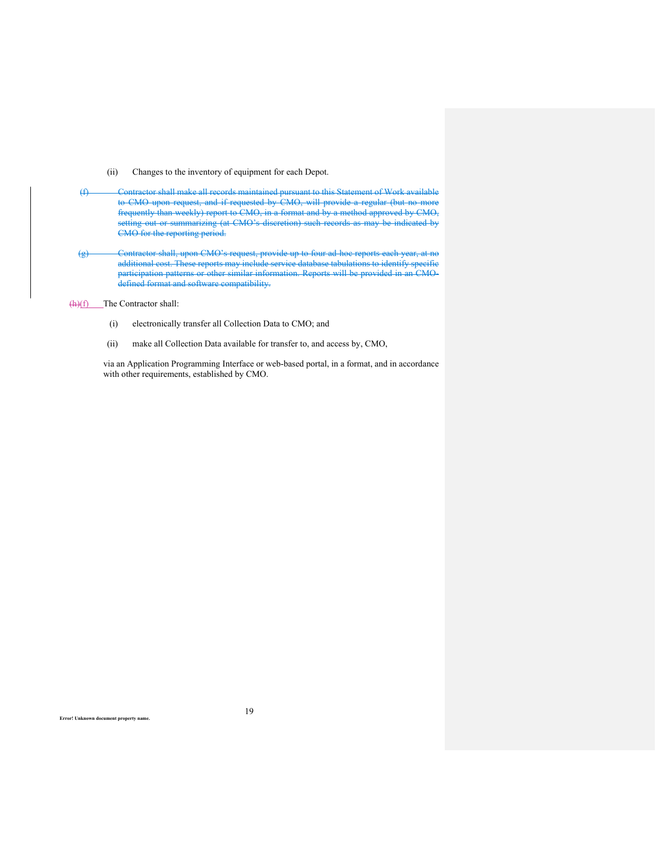- (ii) Changes to the inventory of equipment for each Depot.
- (f) Contractor shall make all records maintained pursuant to this Statement of Work available to CMO upon request, and if requested by CMO, will provide a regular (but no more frequently than weekly) report to CMO, in a format and by a method approved by CMO, setting out or summarizing (at CMO's discretion) such records as may be indicated by CMO for the reporting period.
- (g) Contractor shall, upon CMO's request, provide up to four ad-hoc reports each year, at no additional cost. These reports may include service database tabulations to identify specific participation patterns or other similar information. Reports will be provided in an CMOdefined format and software compatibility.

(h)(f) The Contractor shall:

- (i) electronically transfer all Collection Data to CMO; and
- (ii) make all Collection Data available for transfer to, and access by, CMO,

via an Application Programming Interface or web-based portal, in a format, and in accordance with other requirements, established by CMO.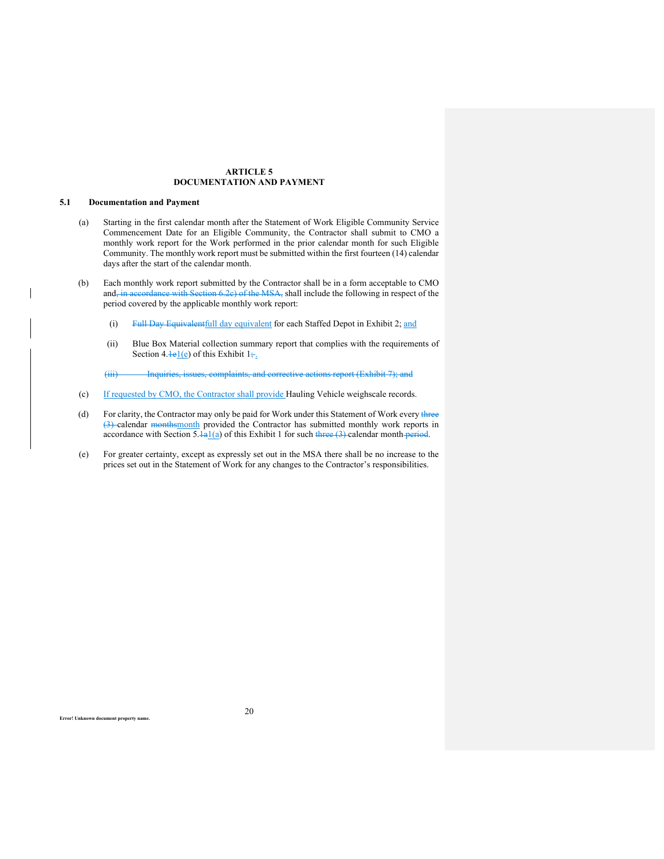# **ARTICLE 5 DOCUMENTATION AND PAYMENT**

# **5.1 Documentation and Payment**

- (a) Starting in the first calendar month after the Statement of Work Eligible Community Service Commencement Date for an Eligible Community, the Contractor shall submit to CMO a monthly work report for the Work performed in the prior calendar month for such Eligible Community. The monthly work report must be submitted within the first fourteen (14) calendar days after the start of the calendar month.
- (b) Each monthly work report submitted by the Contractor shall be in a form acceptable to CMO and, in accordance with Section 6.2c) of the MSA, shall include the following in respect of the period covered by the applicable monthly work report:
	- (i) Full Day Equivalent full day equivalent for each Staffed Depot in Exhibit 2; and
	- (ii) Blue Box Material collection summary report that complies with the requirements of Section 4. $\frac{1}{e}$  of this Exhibit 1;.
	- (iii) Inquiries, issues, complaints, and corrective actions report (Exhibit 7); and
- (c) If requested by CMO, the Contractor shall provide Hauling Vehicle weighscale records.
- (d) For clarity, the Contractor may only be paid for Work under this Statement of Work every three (3) calendar monthsmonth provided the Contractor has submitted monthly work reports in accordance with Section 5. $\frac{1}{a}$  of this Exhibit 1 for such three (3) calendar month period.
- (e) For greater certainty, except as expressly set out in the MSA there shall be no increase to the prices set out in the Statement of Work for any changes to the Contractor's responsibilities.

20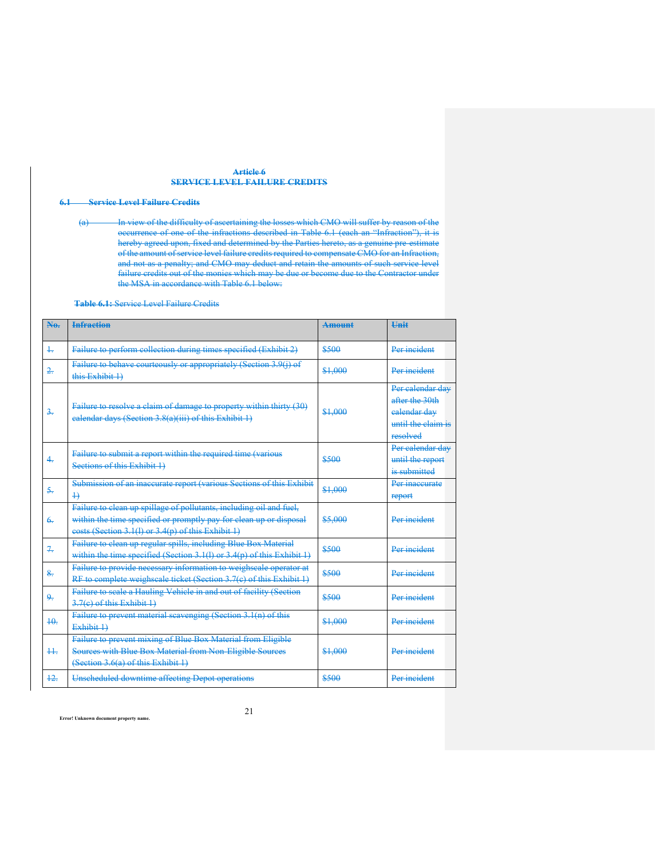## **Article 6 SERVICE LEVEL FAILURE CREDITS**

# **6.1 Service Level Failure Credits**

(a) In view of the difficulty of ascertaining the losses which CMO will suffer by reason of the occurrence of one of the infractions described in Table 6.1 (each an "Infraction"), it is hereby agreed upon, fixed and determined by the Parties hereto, as a genuine pre-estimate of the amount of service level failure credits required to compensate CMO for an Infraction, and not as a penalty; and CMO may deduct and retain the amounts of such service level failure credits out of the monies which may be due or become due to the Contractor under the MSA in accordance with Table 6.1 below:

**Table 6.1:** Service Level Failure Credits

| N <sub>a</sub>   | <b>Infraction</b>                                                                                                                                                                               | <b>Amount</b> | <b>Hnit</b>                                                                          |
|------------------|-------------------------------------------------------------------------------------------------------------------------------------------------------------------------------------------------|---------------|--------------------------------------------------------------------------------------|
| $+$              | Failure to perform collection during times specified (Exhibit 2)                                                                                                                                | \$500         | Per incident                                                                         |
| $\frac{2}{2}$    | Failure to behave courteously or appropriately (Section 3.9(i) of<br>this Exhibit 1)                                                                                                            | \$1,000       | Per incident                                                                         |
| $\frac{3}{2}$    | Failure to resolve a claim of damage to property within thirty (30)<br>ealendar days (Section 3.8(a)(iii) of this Exhibit 1)                                                                    | \$1,000       | Per calendar day<br>after the 30th<br>ealendar dav<br>antil the claim is<br>resolved |
| $\overline{4}$ . | Failure to submit a report within the required time (various<br>Sections of this Exhibit 1)                                                                                                     | \$500         | Per calendar day<br>until the report<br>is submitted                                 |
| $\sim$           | Submission of an inaccurate report (various Sections of this Exhibit<br>$\overline{+}$                                                                                                          | \$1,000       | Per inaccurate<br>report                                                             |
| $\epsilon$       | Failure to elean up spillage of pollutants, including oil and fuel,<br>within the time specified or promptly pay for clean up or disposal<br>eosts (Section 3.1(1) or 3.4(p) of this Exhibit 1) | \$5,000       | Per incident                                                                         |
| $\overline{+}$   | Failure to elean up regular spills, including Blue Box Material<br>within the time specified (Section 3.1(1) or $3.4(p)$ of this Exhibit 1)                                                     | \$500         | Per incident                                                                         |
| $\frac{8}{100}$  | Failure to provide necessary information to weighscale operator at<br>RF to complete weighscale ticket (Section 3.7(e) of this Exhibit 1)                                                       | \$500         | Per incident                                                                         |
| چو               | Failure to scale a Hauling Vehicle in and out of facility (Section<br>3.7(e) of this Exhibit 1)                                                                                                 | \$500         | Per incident                                                                         |
| $+0$ .           | Failure to prevent material scavenging (Section 3.1(n) of this<br>Exhibit 1)                                                                                                                    | \$1,000       | Per incident                                                                         |
| $++$             | Failure to prevent mixing of Blue Box Material from Eligible<br>Sources with Blue Box Material from Non-Eligible Sources<br>(Section 3.6(a) of this Exhibit 1)                                  | \$1,000       | Per incident                                                                         |
| $+2.$            | Unscheduled downtime affecting Depot operations                                                                                                                                                 | \$500         | Per incident                                                                         |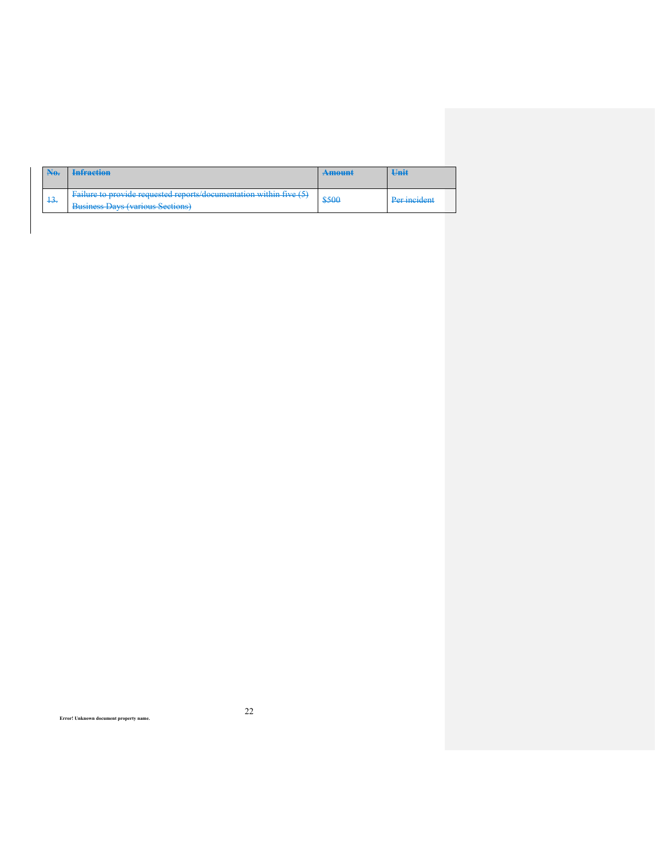| $\mathbf{A}$ | <b>Infraction</b>                                                                                                                                                                                                                                                                                                                                                                                   | <b>Amount</b> | Unit         |
|--------------|-----------------------------------------------------------------------------------------------------------------------------------------------------------------------------------------------------------------------------------------------------------------------------------------------------------------------------------------------------------------------------------------------------|---------------|--------------|
| $+3.$        | $F_{0}$ Foilure to provide requested reports/documentation within five $(5)$<br><b>E</b> THE REPORT OF RESERVANCE REPORT OF THE REPORT OF RESERVE THE REPORT OF REPORT OF RESERVE THE REPORT OF RESERVE THE REPORT OF REPORT OF REPORT OF REPORT OF REPORT OF REPORT OF REPORT OF REPORT OF REPORT OF REPORT OF REP<br><b>Buginess Dave (various Sections)</b><br><b>BUSHOSS BUYSHAULOUS SCOROL</b> | \$500         | Per incident |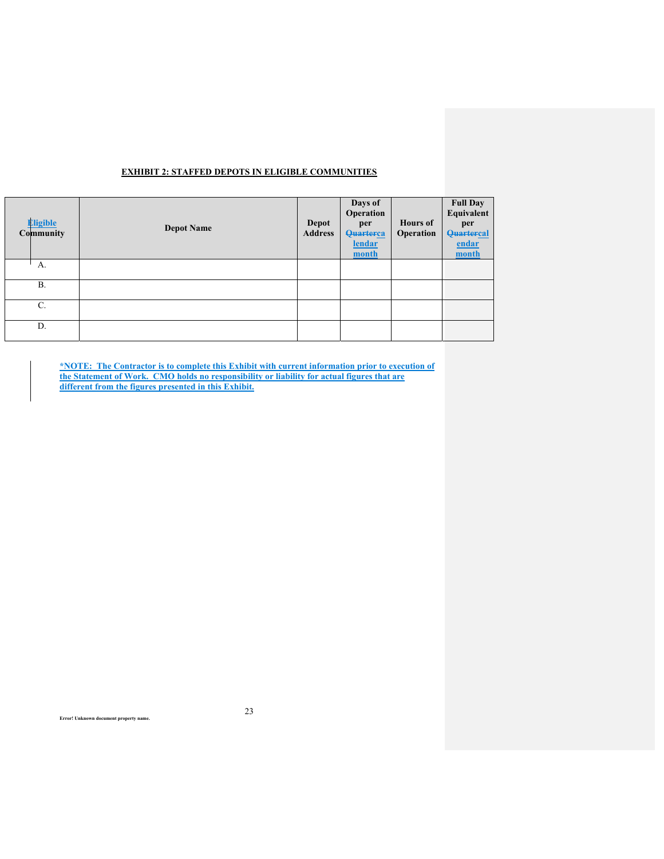|  |  | <b>EXHIBIT 2: STAFFED DEPOTS IN ELIGIBLE COMMUNITIES</b> |
|--|--|----------------------------------------------------------|
|  |  |                                                          |

| <b>Eligible</b><br>Community | <b>Depot Name</b> | Depot<br><b>Address</b> | Days of<br>Operation<br>per<br>Quarterca<br>lendar<br>month | <b>Hours</b> of<br>Operation | <b>Full Day</b><br>Equivalent<br>per<br><b>Quartercal</b><br>endar<br>month |
|------------------------------|-------------------|-------------------------|-------------------------------------------------------------|------------------------------|-----------------------------------------------------------------------------|
| А.                           |                   |                         |                                                             |                              |                                                                             |
| <b>B.</b>                    |                   |                         |                                                             |                              |                                                                             |
| C.                           |                   |                         |                                                             |                              |                                                                             |
| D.                           |                   |                         |                                                             |                              |                                                                             |

**\*NOTE: The Contractor is to complete this Exhibit with current information prior to execution of the Statement of Work. CMO holds no responsibility or liability for actual figures that are different from the figures presented in this Exhibit.**

**Error! Unknown document property name.**

 $\overline{\phantom{a}}$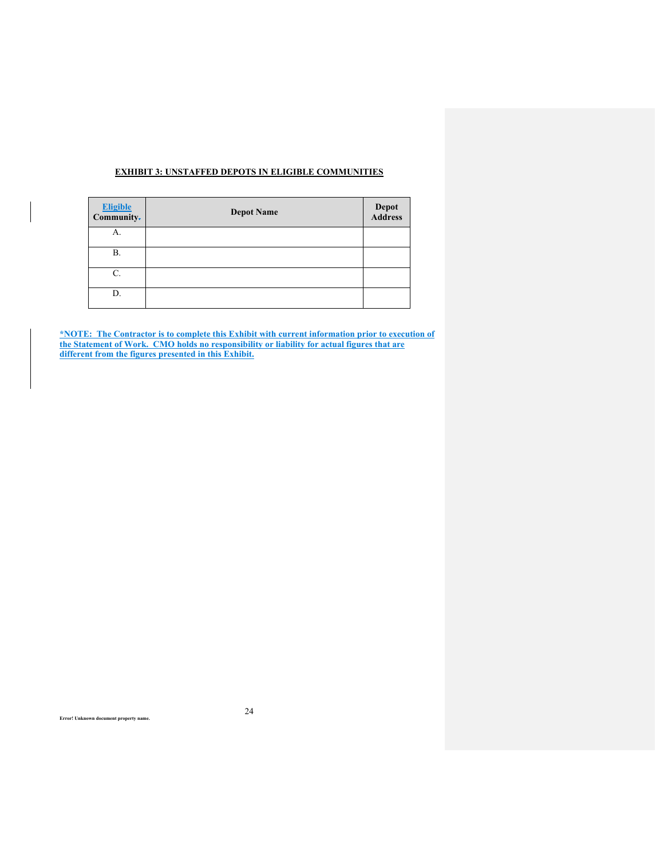# **EXHIBIT 3: UNSTAFFED DEPOTS IN ELIGIBLE COMMUNITIES**

| <b>Eligible</b><br>Community- | <b>Depot Name</b> | <b>Depot</b><br>Address |
|-------------------------------|-------------------|-------------------------|
| А.                            |                   |                         |
| В.                            |                   |                         |
| C.                            |                   |                         |
| D.                            |                   |                         |

**\*NOTE: The Contractor is to complete this Exhibit with current information prior to execution of the Statement of Work. CMO holds no responsibility or liability for actual figures that are different from the figures presented in this Exhibit.**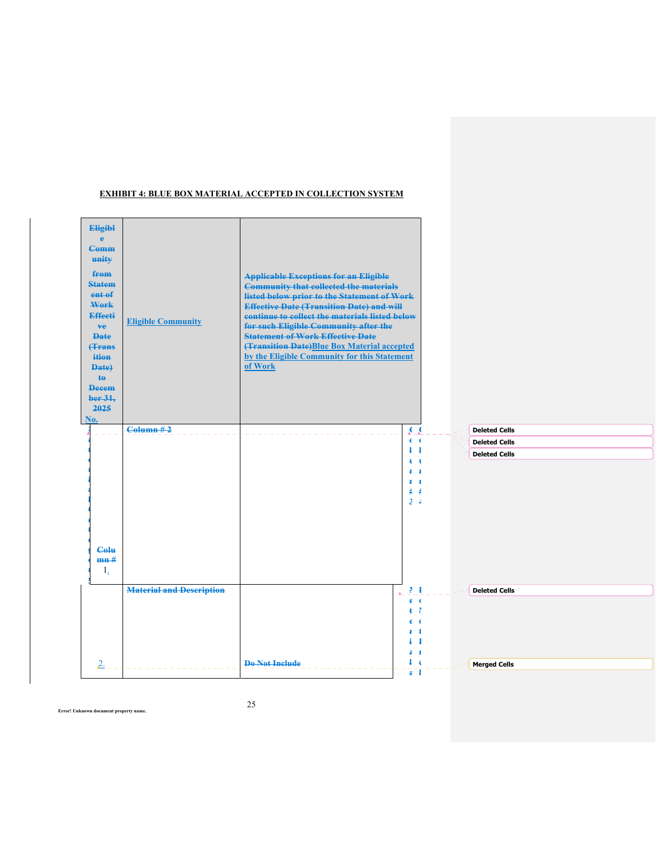

## **EXHIBIT 4: BLUE BOX MATERIAL ACCEPTED IN COLLECTION SYSTEM**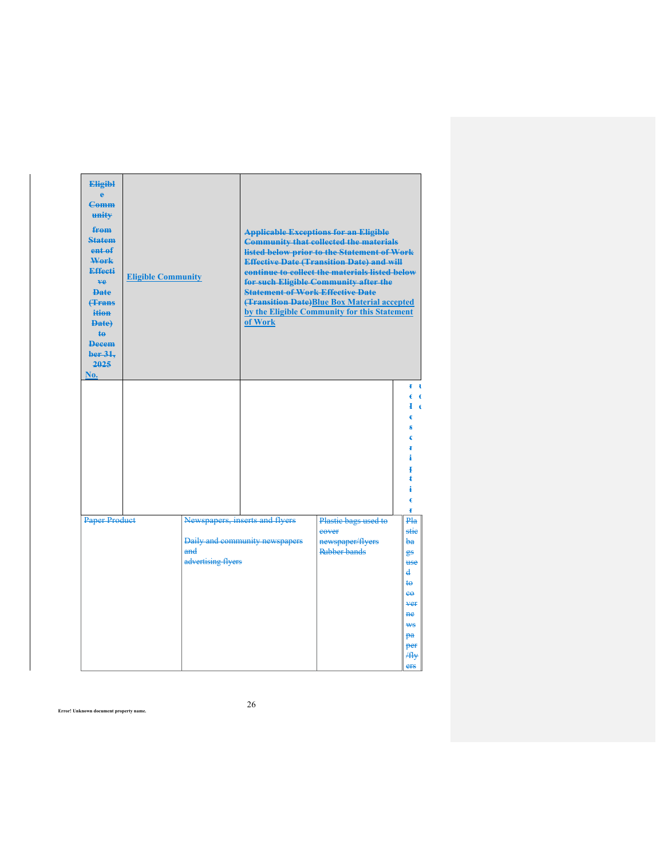| <b>Eligibl</b><br>ė<br><b>Comm</b><br>unity<br>from<br><b>Statem</b><br>ent <sub>ef</sub><br>Work<br>Effecti<br>ve.<br><b>Date</b><br><b>f</b> Frans<br>ition<br><b>Date)</b><br>te<br><b>Decem</b><br>ber 31.<br>2025<br>No. | <b>Eligible Community</b> |                           | <b>Statement of Work Effective Date</b><br>of Work | <b>Applicable Exceptions for an Eligible</b><br><b>Community that collected the materials</b><br>listed below prior to the Statement of Work<br><b>Effective Date (Transition Date) and will</b><br>continue to collect the materials listed below<br>for such Eligible Community after the<br>(Transition Date)Blue Box Material accepted<br>by the Eligible Community for this Statement |                                                                                                                                              |
|-------------------------------------------------------------------------------------------------------------------------------------------------------------------------------------------------------------------------------|---------------------------|---------------------------|----------------------------------------------------|--------------------------------------------------------------------------------------------------------------------------------------------------------------------------------------------------------------------------------------------------------------------------------------------------------------------------------------------------------------------------------------------|----------------------------------------------------------------------------------------------------------------------------------------------|
| <b>Paper Product</b>                                                                                                                                                                                                          |                           |                           | Newspapers, inserts and flyers                     | Plastic bags used to                                                                                                                                                                                                                                                                                                                                                                       | Ŧ<br>-4<br>c<br>$\epsilon$<br>Ιe<br>c<br>¥<br>Pla                                                                                            |
|                                                                                                                                                                                                                               |                           | and<br>advertising flyers | Daily and community newspapers                     | eover<br>newspaper/flyers<br>Rubber bands                                                                                                                                                                                                                                                                                                                                                  | stie<br><del>bа</del><br><del>gs</del><br>use<br>d<br>te<br>$e^{\theta}$<br><b>ver</b><br><b>ne</b><br><b>WS</b><br>pa<br>per<br>/fly<br>ers |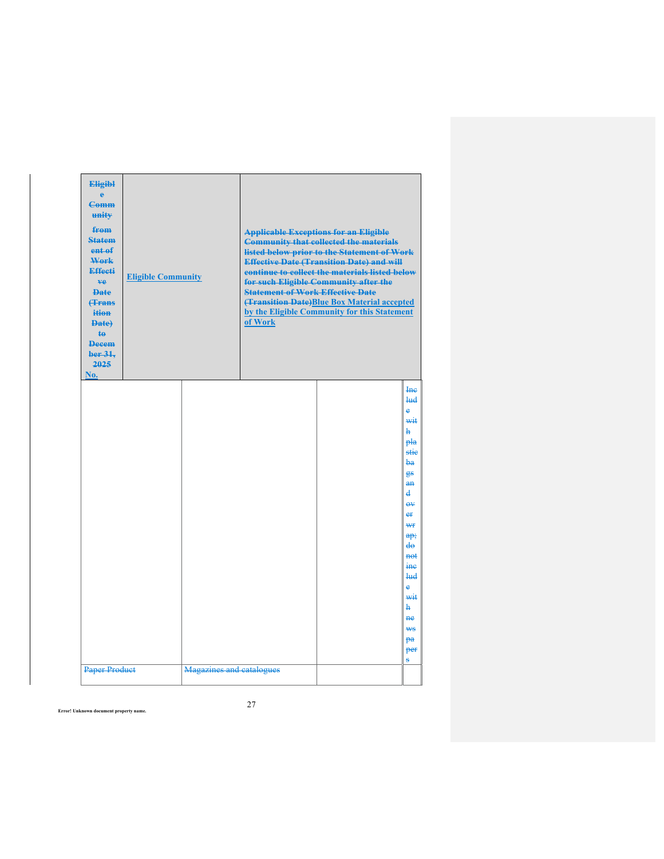| <b>Eligibl</b><br>è<br><b>Comm</b><br>unity<br>from<br><b>Statem</b><br>ent of<br>Work<br><b>Effecti</b><br>ve.<br><b>Date</b><br><b>(Trans</b><br>ition<br><b>Date</b><br>te<br><b>Decem</b><br>ber 31,<br>2025<br>No. | <b>Eligible Community</b> |                          | <b>Statement of Work Effective Date</b><br>of Work | <b>Applicable Exceptions for an Eligible</b><br><b>Community that collected the materials</b><br>listed below prior to the Statement of Work<br><b>Effective Date (Transition Date) and will</b><br>continue to collect the materials listed below<br>for such Eligible Community after the<br><b>(Transition Date)Blue Box Material accepted</b><br>by the Eligible Community for this Statement |                                                                                                                                                                                                                                   |
|-------------------------------------------------------------------------------------------------------------------------------------------------------------------------------------------------------------------------|---------------------------|--------------------------|----------------------------------------------------|---------------------------------------------------------------------------------------------------------------------------------------------------------------------------------------------------------------------------------------------------------------------------------------------------------------------------------------------------------------------------------------------------|-----------------------------------------------------------------------------------------------------------------------------------------------------------------------------------------------------------------------------------|
|                                                                                                                                                                                                                         |                           |                          |                                                    |                                                                                                                                                                                                                                                                                                                                                                                                   | Inc<br><b>lud</b><br>è<br>wit<br>ħ<br>pla<br>stie<br>$ba$<br>88<br>$a$ n<br>d<br>$\theta V$<br>er<br>₩f<br>a p;<br>$d\theta$<br>not<br>ine<br><b>lud</b><br>$\Delta$<br>wit<br>ħ<br><b>ne</b><br>₩ <sub>S</sub><br>pa<br>per<br>s |
| <b>Paper Product</b>                                                                                                                                                                                                    |                           | Magazines and catalogues |                                                    |                                                                                                                                                                                                                                                                                                                                                                                                   |                                                                                                                                                                                                                                   |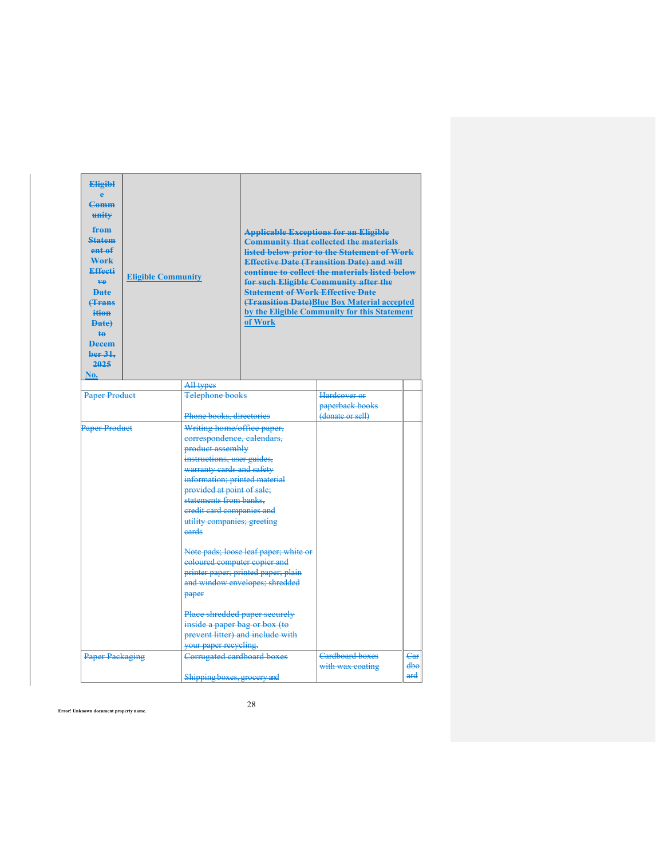| <b>Eligibl</b><br>è<br><b>Comm</b><br>unity<br>from<br><b>Statem</b><br>ent of<br>Work<br><b>Effecti</b><br>ve.<br><b>Date</b><br><b><i><u>f</u></i></b> Frans<br>ition<br><b>Date</b><br>te.<br><b>Decem</b><br>ber 31.<br>2025<br>No. | <b>Eligible Community</b> |                                                                                                                                                                                                                                                                                                       | <b>Statement of Work Effective Date</b><br>of Work                                                                                                                                  | <b>Applicable Exceptions for an Eligible</b><br><b>Community that collected the materials</b><br>listed below prior to the Statement of Work<br><b>Effective Date (Transition Date) and will</b><br>continue to collect the materials listed below<br>for such Eligible Community after the<br>(Transition Date)Blue Box Material accepted<br>by the Eligible Community for this Statement |            |
|-----------------------------------------------------------------------------------------------------------------------------------------------------------------------------------------------------------------------------------------|---------------------------|-------------------------------------------------------------------------------------------------------------------------------------------------------------------------------------------------------------------------------------------------------------------------------------------------------|-------------------------------------------------------------------------------------------------------------------------------------------------------------------------------------|--------------------------------------------------------------------------------------------------------------------------------------------------------------------------------------------------------------------------------------------------------------------------------------------------------------------------------------------------------------------------------------------|------------|
|                                                                                                                                                                                                                                         |                           | All types                                                                                                                                                                                                                                                                                             |                                                                                                                                                                                     |                                                                                                                                                                                                                                                                                                                                                                                            |            |
| <b>Paper Product</b>                                                                                                                                                                                                                    |                           | <b>Telephone books</b>                                                                                                                                                                                                                                                                                |                                                                                                                                                                                     | Hardcover or<br>paperback books                                                                                                                                                                                                                                                                                                                                                            |            |
|                                                                                                                                                                                                                                         |                           | Phone books, directories                                                                                                                                                                                                                                                                              |                                                                                                                                                                                     | (donate or sell)                                                                                                                                                                                                                                                                                                                                                                           |            |
| <b>Paper Product</b>                                                                                                                                                                                                                    |                           | Writing home/office paper,<br>correspondence, calendars,<br>product assembly<br>instructions, user guides,<br>warranty cards and safety<br>information; printed material<br>provided at point of sale;<br>statements from banks.<br>eredit card companies and<br>utility companies; greeting<br>eards |                                                                                                                                                                                     |                                                                                                                                                                                                                                                                                                                                                                                            |            |
|                                                                                                                                                                                                                                         |                           | eoloured computer copier and<br>paper<br>inside a paper bag or box (to                                                                                                                                                                                                                                | Note pads; loose leaf paper; white or<br>printer paper; printed paper; plain<br>and window envelopes; shredded<br>Place shredded paper securely<br>prevent litter) and include with |                                                                                                                                                                                                                                                                                                                                                                                            |            |
|                                                                                                                                                                                                                                         |                           | your paper recycling.                                                                                                                                                                                                                                                                                 |                                                                                                                                                                                     |                                                                                                                                                                                                                                                                                                                                                                                            |            |
| <b>Paper Packaging</b>                                                                                                                                                                                                                  |                           | Corrugated cardboard boxes                                                                                                                                                                                                                                                                            |                                                                                                                                                                                     | <b>Cardboard boxes</b><br>with wax coating                                                                                                                                                                                                                                                                                                                                                 | Car<br>dhe |
|                                                                                                                                                                                                                                         |                           | Shipping boxes, grocery and                                                                                                                                                                                                                                                                           |                                                                                                                                                                                     |                                                                                                                                                                                                                                                                                                                                                                                            | ard        |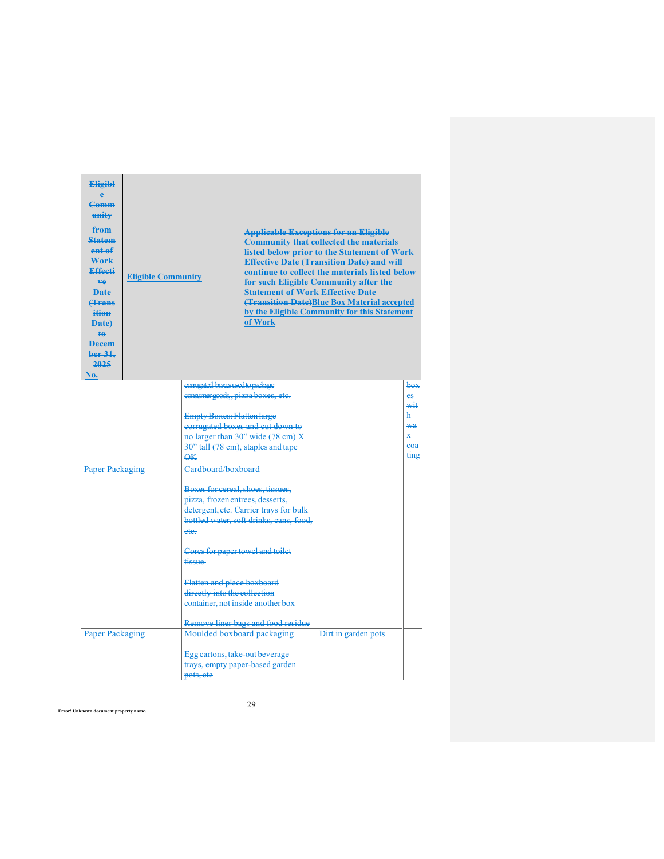| <b>Eligibl</b><br>è<br>$Comm$<br>unity<br>from<br><b>Statem</b><br>ent <sub>ef</sub><br>Work<br><b>Effecti</b><br>ve.<br><b>Date</b><br><b>(Trans</b><br>ition<br>Date)<br>$\ddagger$<br><b>Decem</b><br>ber <sub>31</sub><br>2025<br>No. | <b>Eligible Community</b> |                                                                       | <b>Statement of Work Effective Date</b><br>of Work | <b>Applicable Exceptions for an Eligible</b><br><b>Community that collected the materials</b><br>listed below prior to the Statement of Work<br><b>Effective Date (Transition Date) and will</b><br>continue to collect the materials listed below<br>for such Eligible Community after the<br><b>(Transition Date)Blue Box Material accepted</b><br>by the Eligible Community for this Statement |           |
|-------------------------------------------------------------------------------------------------------------------------------------------------------------------------------------------------------------------------------------------|---------------------------|-----------------------------------------------------------------------|----------------------------------------------------|---------------------------------------------------------------------------------------------------------------------------------------------------------------------------------------------------------------------------------------------------------------------------------------------------------------------------------------------------------------------------------------------------|-----------|
|                                                                                                                                                                                                                                           |                           | comigated boxes used to package<br>consumergoods, pizza boxes, etc.   |                                                    |                                                                                                                                                                                                                                                                                                                                                                                                   | box<br>es |
|                                                                                                                                                                                                                                           |                           |                                                                       |                                                    |                                                                                                                                                                                                                                                                                                                                                                                                   | wit       |
|                                                                                                                                                                                                                                           |                           | <b>Empty Boxes: Flatten large</b>                                     |                                                    |                                                                                                                                                                                                                                                                                                                                                                                                   | h         |
|                                                                                                                                                                                                                                           |                           | corrugated boxes and cut down to<br>no larger than 30" wide (78 cm) X |                                                    |                                                                                                                                                                                                                                                                                                                                                                                                   | ₩a<br>¥.  |
|                                                                                                                                                                                                                                           |                           | 30" tall (78 cm), staples and tape                                    |                                                    |                                                                                                                                                                                                                                                                                                                                                                                                   | coa       |
| $\overline{\Theta K}$                                                                                                                                                                                                                     |                           |                                                                       |                                                    |                                                                                                                                                                                                                                                                                                                                                                                                   | ting      |
| <b>Paper Packaging</b>                                                                                                                                                                                                                    |                           | Cardboard/boxboard                                                    |                                                    |                                                                                                                                                                                                                                                                                                                                                                                                   |           |
|                                                                                                                                                                                                                                           |                           | Boxes for cereal, shoes, tissues,                                     |                                                    |                                                                                                                                                                                                                                                                                                                                                                                                   |           |
|                                                                                                                                                                                                                                           |                           | pizza, frozen entrees, desserts,                                      |                                                    |                                                                                                                                                                                                                                                                                                                                                                                                   |           |
|                                                                                                                                                                                                                                           |                           |                                                                       | detergent, etc. Carrier trays for bulk             |                                                                                                                                                                                                                                                                                                                                                                                                   |           |
|                                                                                                                                                                                                                                           |                           |                                                                       | bottled water, soft drinks, cans, food,            |                                                                                                                                                                                                                                                                                                                                                                                                   |           |
|                                                                                                                                                                                                                                           |                           | ete-                                                                  |                                                    |                                                                                                                                                                                                                                                                                                                                                                                                   |           |
|                                                                                                                                                                                                                                           |                           | Cores for paper towel and toilet                                      |                                                    |                                                                                                                                                                                                                                                                                                                                                                                                   |           |
|                                                                                                                                                                                                                                           |                           | tissue.                                                               |                                                    |                                                                                                                                                                                                                                                                                                                                                                                                   |           |
|                                                                                                                                                                                                                                           |                           | Flatten and place boxboard                                            |                                                    |                                                                                                                                                                                                                                                                                                                                                                                                   |           |
|                                                                                                                                                                                                                                           |                           | directly into the collection                                          |                                                    |                                                                                                                                                                                                                                                                                                                                                                                                   |           |
|                                                                                                                                                                                                                                           |                           | container, not inside another box                                     |                                                    |                                                                                                                                                                                                                                                                                                                                                                                                   |           |
|                                                                                                                                                                                                                                           |                           |                                                                       |                                                    |                                                                                                                                                                                                                                                                                                                                                                                                   |           |
|                                                                                                                                                                                                                                           |                           | Moulded boxboard packaging                                            | Remove liner bags and food residue                 | Dirt in garden pots                                                                                                                                                                                                                                                                                                                                                                               |           |
| <b>Paper Packaging</b>                                                                                                                                                                                                                    |                           |                                                                       |                                                    |                                                                                                                                                                                                                                                                                                                                                                                                   |           |
|                                                                                                                                                                                                                                           |                           | Egg cartons, take-out beverage                                        |                                                    |                                                                                                                                                                                                                                                                                                                                                                                                   |           |
|                                                                                                                                                                                                                                           |                           | trays, empty paper based garden                                       |                                                    |                                                                                                                                                                                                                                                                                                                                                                                                   |           |
|                                                                                                                                                                                                                                           |                           | pots, etc                                                             |                                                    |                                                                                                                                                                                                                                                                                                                                                                                                   |           |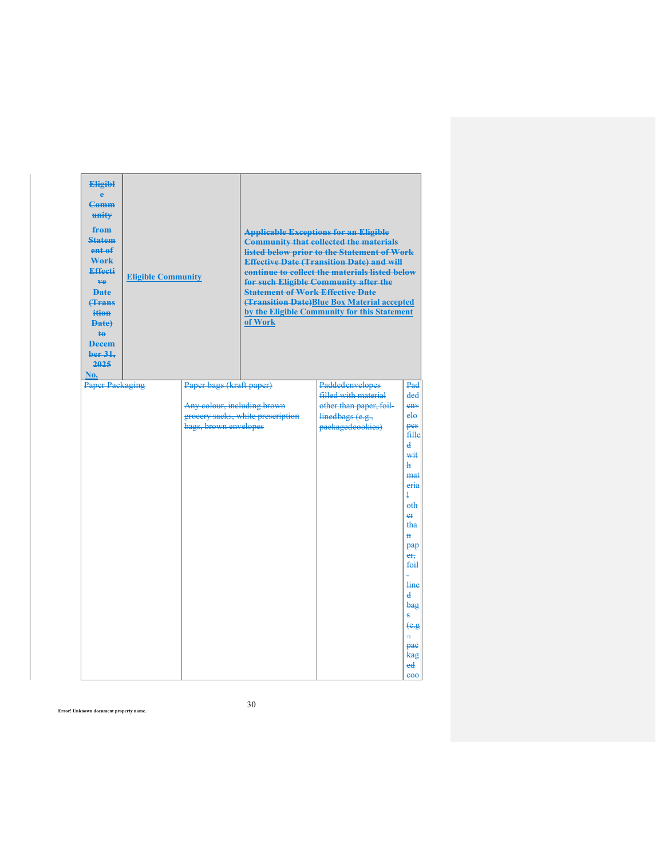| <b>Eligibl</b><br><b>Comm</b><br>unity<br>from<br><b>Statem</b><br>ent of<br>Work<br><b>Effecti</b><br>ve.<br><b>Date</b><br><b><i><u>frans</u></i></b><br>ition<br>Date)<br>$\ddagger$<br><b>Decem</b><br>ber 31,<br>2025<br>No. | <b>Eligible Community</b> |                                                                                  | <b>Statement of Work Effective Date</b><br>of Work | <b>Applicable Exceptions for an Eligible</b><br><b>Community that collected the materials</b><br>listed below prior to the Statement of Work<br><b>Effective Date (Transition Date) and will</b><br>continue to collect the materials listed below<br>for such Eligible Community after the<br>(Transition Date)Blue Box Material accepted<br>by the Eligible Community for this Statement |                                                                                                                                                                                                                                                                                              |
|-----------------------------------------------------------------------------------------------------------------------------------------------------------------------------------------------------------------------------------|---------------------------|----------------------------------------------------------------------------------|----------------------------------------------------|--------------------------------------------------------------------------------------------------------------------------------------------------------------------------------------------------------------------------------------------------------------------------------------------------------------------------------------------------------------------------------------------|----------------------------------------------------------------------------------------------------------------------------------------------------------------------------------------------------------------------------------------------------------------------------------------------|
| Paper Packaging                                                                                                                                                                                                                   |                           | Paper bags (kraft paper)<br>Any colour, including brown<br>bags, brown envelopes | grocery sacks, white prescription                  | Paddedenvelopes<br>filled with material<br>other than paper, foil-<br>linedbags (e.g.,<br>packagedcookies)                                                                                                                                                                                                                                                                                 | Pad<br>ded<br>e <sub>H</sub><br>$e$ ło<br>pes<br>fille<br>d<br>wit<br>ħ<br>mat<br>eria<br>$\mathbf 1$<br>eth<br>er<br><del>tha</del><br>Ĥ<br>pap<br>$er_{\tau}$<br>foil<br>line<br>d<br>bag<br>۸<br>$\theta$ .g<br>$\overline{\mathbf{u}}$<br>pae<br><del>kag</del><br>ed<br>e <sub>00</sub> |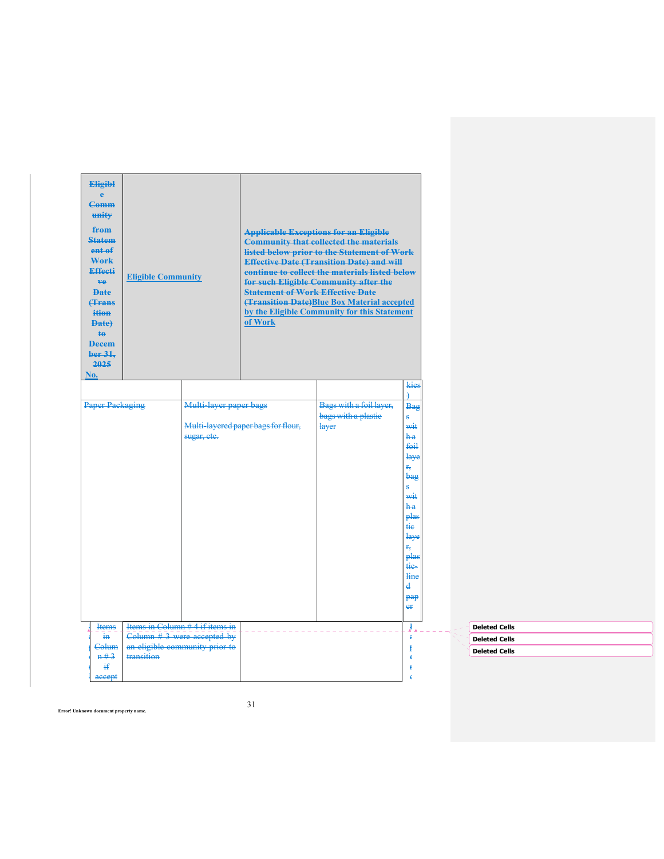| <b>Eligibl</b><br>$\ddot{\textbf{e}}$<br><b>Comm</b><br>unity<br>from<br><b>Statem</b><br>ent of<br>Work<br><b>Effecti</b><br><b>ve</b><br><b>Date</b><br><b>(Trans</b><br>ition<br><b>Date</b><br>$\ddagger$<br><b>Decem</b><br>ber 31,<br>2025<br>No. | <b>Eligible Community</b> |                                                                                                    | <b>Statement of Work Effective Date</b><br>of Work | <b>Applicable Exceptions for an Eligible</b><br><b>Community that collected the materials</b><br>listed below prior to the Statement of Work<br><b>Effective Date (Transition Date) and will</b><br>continue to collect the materials listed below<br>for such Eligible Community after the<br>(Transition Date) Blue Box Material accepted<br>by the Eligible Community for this Statement |                                                                                                                                                                                                |                                                                      |  |
|---------------------------------------------------------------------------------------------------------------------------------------------------------------------------------------------------------------------------------------------------------|---------------------------|----------------------------------------------------------------------------------------------------|----------------------------------------------------|---------------------------------------------------------------------------------------------------------------------------------------------------------------------------------------------------------------------------------------------------------------------------------------------------------------------------------------------------------------------------------------------|------------------------------------------------------------------------------------------------------------------------------------------------------------------------------------------------|----------------------------------------------------------------------|--|
| <b>Paper Packaging</b>                                                                                                                                                                                                                                  |                           | Multi-layer paper bags<br>sugar, etc.                                                              | Multi-layered paper bags for flour,                | Bags with a foil layer,<br>bags with a plastic<br>layer                                                                                                                                                                                                                                                                                                                                     | kies<br>$\rightarrow$<br>Bag<br>ŝ.<br>wit<br>h a<br>foil<br>laye<br>÷,<br>bag<br>Ŝ.<br>wit<br>h a<br>plas<br><del>tie</del><br>laye<br>r,<br>plas<br>tie-<br>line<br>$\mathbf{d}$<br>pap<br>er |                                                                      |  |
| <b>Items</b><br>in.<br>Colum<br>n#3<br>Ħ<br>accept                                                                                                                                                                                                      | transition                | Items in Column # 4 if items in<br>$Column$ # 3 were accepted by<br>an eligible community prior to |                                                    |                                                                                                                                                                                                                                                                                                                                                                                             | J.<br>€<br>$\mathbf f$<br>€<br>Ŧ<br>€                                                                                                                                                          | <b>Deleted Cells</b><br><b>Deleted Cells</b><br><b>Deleted Cells</b> |  |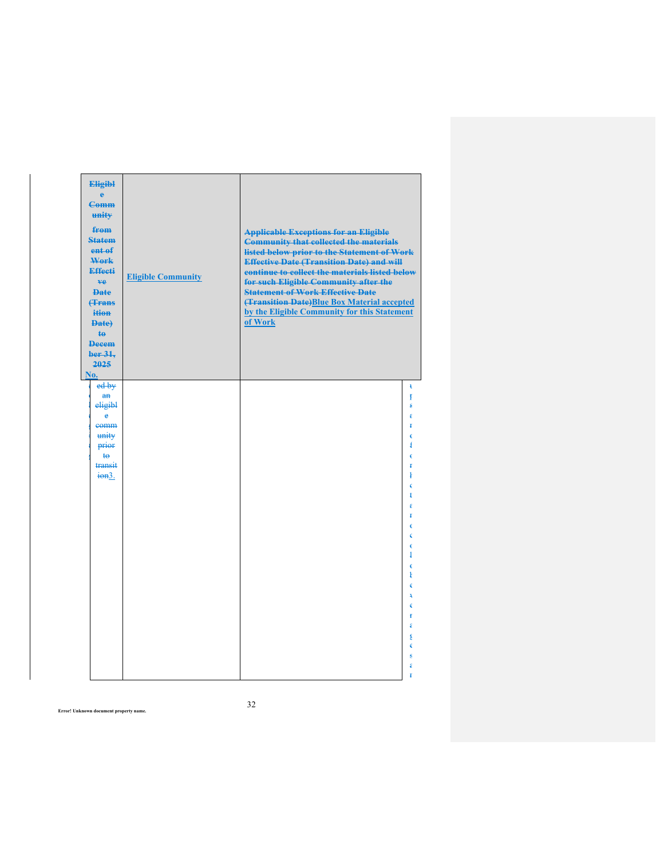| <b>Eligibl</b><br>ė<br><b>Comm</b><br>unity<br>from<br><b>Statem</b><br>ent of<br>Work<br><b>Effecti</b><br>ve.<br><b>Date</b><br><b>(Trans</b><br>ition<br>Date)<br>$\mathbf{t}\mathbf{e}$<br><b>Decem</b><br>ber 31,<br>2025<br>No. | <b>Eligible Community</b> | <b>Applicable Exceptions for an Eligible</b><br><b>Community that collected the materials</b><br>listed below prior to the Statement of Work<br><b>Effective Date (Transition Date) and will</b><br>continue to collect the materials listed below<br>for such Eligible Community after the<br><b>Statement of Work Effective Date</b><br>(Transition Date)Blue Box Material accepted<br>by the Eligible Community for this Statement<br>of Work |
|---------------------------------------------------------------------------------------------------------------------------------------------------------------------------------------------------------------------------------------|---------------------------|--------------------------------------------------------------------------------------------------------------------------------------------------------------------------------------------------------------------------------------------------------------------------------------------------------------------------------------------------------------------------------------------------------------------------------------------------|
| $ed$ by                                                                                                                                                                                                                               |                           | ¥                                                                                                                                                                                                                                                                                                                                                                                                                                                |
| $\mathbf{a}$ n<br>eligibl                                                                                                                                                                                                             |                           | ŧ<br>ķ.                                                                                                                                                                                                                                                                                                                                                                                                                                          |
| e                                                                                                                                                                                                                                     |                           | €                                                                                                                                                                                                                                                                                                                                                                                                                                                |
| eomm                                                                                                                                                                                                                                  |                           | ŧ                                                                                                                                                                                                                                                                                                                                                                                                                                                |
| unity<br>prior                                                                                                                                                                                                                        |                           | 4                                                                                                                                                                                                                                                                                                                                                                                                                                                |
| $t\Theta$                                                                                                                                                                                                                             |                           |                                                                                                                                                                                                                                                                                                                                                                                                                                                  |
| transit                                                                                                                                                                                                                               |                           | ŧ                                                                                                                                                                                                                                                                                                                                                                                                                                                |
| $\frac{1}{100}$ .                                                                                                                                                                                                                     |                           | ı                                                                                                                                                                                                                                                                                                                                                                                                                                                |
|                                                                                                                                                                                                                                       |                           |                                                                                                                                                                                                                                                                                                                                                                                                                                                  |
|                                                                                                                                                                                                                                       |                           | ٤                                                                                                                                                                                                                                                                                                                                                                                                                                                |
|                                                                                                                                                                                                                                       |                           |                                                                                                                                                                                                                                                                                                                                                                                                                                                  |
|                                                                                                                                                                                                                                       |                           | €<br>€                                                                                                                                                                                                                                                                                                                                                                                                                                           |
|                                                                                                                                                                                                                                       |                           | é                                                                                                                                                                                                                                                                                                                                                                                                                                                |
|                                                                                                                                                                                                                                       |                           | 1                                                                                                                                                                                                                                                                                                                                                                                                                                                |
|                                                                                                                                                                                                                                       |                           |                                                                                                                                                                                                                                                                                                                                                                                                                                                  |
|                                                                                                                                                                                                                                       |                           |                                                                                                                                                                                                                                                                                                                                                                                                                                                  |
|                                                                                                                                                                                                                                       |                           |                                                                                                                                                                                                                                                                                                                                                                                                                                                  |
|                                                                                                                                                                                                                                       |                           | ŧ                                                                                                                                                                                                                                                                                                                                                                                                                                                |
|                                                                                                                                                                                                                                       |                           | €                                                                                                                                                                                                                                                                                                                                                                                                                                                |
|                                                                                                                                                                                                                                       |                           | ŧ                                                                                                                                                                                                                                                                                                                                                                                                                                                |
|                                                                                                                                                                                                                                       |                           | é                                                                                                                                                                                                                                                                                                                                                                                                                                                |
|                                                                                                                                                                                                                                       |                           |                                                                                                                                                                                                                                                                                                                                                                                                                                                  |
|                                                                                                                                                                                                                                       |                           | $\ddot{\ddagger}$                                                                                                                                                                                                                                                                                                                                                                                                                                |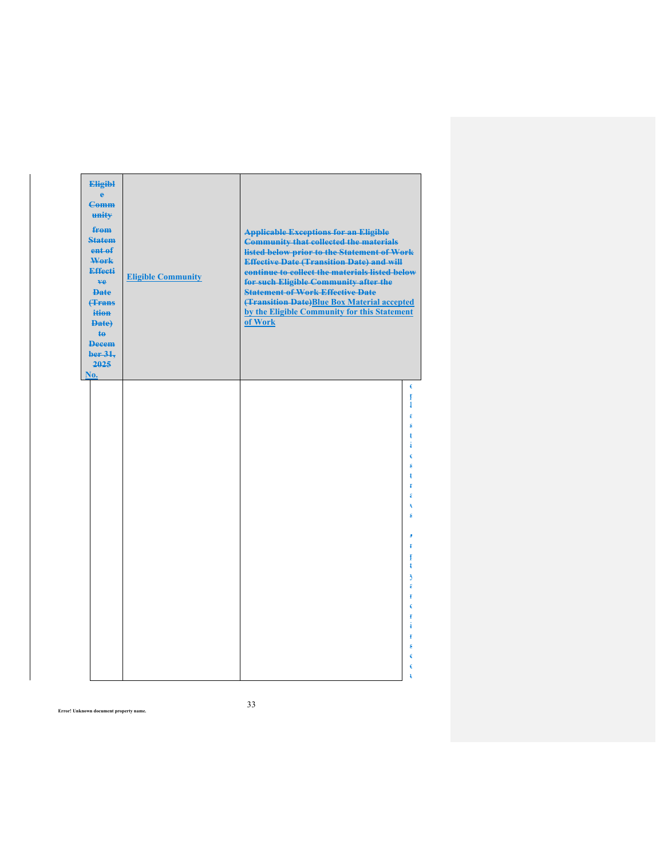| <b>Eligibl</b><br>ė<br><b>Comm</b><br>unity<br>from<br><b>Statem</b><br>ent of<br>Work<br><b>Effecti</b><br>ve.<br><b>Date</b><br><b><i><u>frans</u></i></b><br>ition<br>Date)<br>$\ddagger$<br><b>Decem</b><br>ber 31,<br>2025<br>No. | <b>Eligible Community</b> | <b>Applicable Exceptions for an Eligible</b><br><b>Community that collected the materials</b><br>listed below prior to the Statement of Work<br><b>Effective Date (Transition Date) and will</b><br>continue to collect the materials listed below<br>for such Eligible Community after the<br><b>Statement of Work Effective Date</b><br>(Transition Date) Blue Box Material accepted<br>by the Eligible Community for this Statement<br>of Work |
|----------------------------------------------------------------------------------------------------------------------------------------------------------------------------------------------------------------------------------------|---------------------------|---------------------------------------------------------------------------------------------------------------------------------------------------------------------------------------------------------------------------------------------------------------------------------------------------------------------------------------------------------------------------------------------------------------------------------------------------|
|                                                                                                                                                                                                                                        |                           | €                                                                                                                                                                                                                                                                                                                                                                                                                                                 |
|                                                                                                                                                                                                                                        |                           | ŧ<br>ļ                                                                                                                                                                                                                                                                                                                                                                                                                                            |
|                                                                                                                                                                                                                                        |                           | €                                                                                                                                                                                                                                                                                                                                                                                                                                                 |
|                                                                                                                                                                                                                                        |                           | é<br>ŧ                                                                                                                                                                                                                                                                                                                                                                                                                                            |
|                                                                                                                                                                                                                                        |                           | 4                                                                                                                                                                                                                                                                                                                                                                                                                                                 |
|                                                                                                                                                                                                                                        |                           | €<br>ś                                                                                                                                                                                                                                                                                                                                                                                                                                            |
|                                                                                                                                                                                                                                        |                           | ŧ                                                                                                                                                                                                                                                                                                                                                                                                                                                 |
|                                                                                                                                                                                                                                        |                           | Ŧ                                                                                                                                                                                                                                                                                                                                                                                                                                                 |
|                                                                                                                                                                                                                                        |                           |                                                                                                                                                                                                                                                                                                                                                                                                                                                   |
|                                                                                                                                                                                                                                        |                           |                                                                                                                                                                                                                                                                                                                                                                                                                                                   |
|                                                                                                                                                                                                                                        |                           |                                                                                                                                                                                                                                                                                                                                                                                                                                                   |
|                                                                                                                                                                                                                                        |                           | ŧ<br>ŧ                                                                                                                                                                                                                                                                                                                                                                                                                                            |
|                                                                                                                                                                                                                                        |                           | ŧ                                                                                                                                                                                                                                                                                                                                                                                                                                                 |
|                                                                                                                                                                                                                                        |                           | Ą<br>€                                                                                                                                                                                                                                                                                                                                                                                                                                            |
|                                                                                                                                                                                                                                        |                           | ŧ                                                                                                                                                                                                                                                                                                                                                                                                                                                 |
|                                                                                                                                                                                                                                        |                           | ŧ                                                                                                                                                                                                                                                                                                                                                                                                                                                 |
|                                                                                                                                                                                                                                        |                           |                                                                                                                                                                                                                                                                                                                                                                                                                                                   |
|                                                                                                                                                                                                                                        |                           | ŧ                                                                                                                                                                                                                                                                                                                                                                                                                                                 |
|                                                                                                                                                                                                                                        |                           |                                                                                                                                                                                                                                                                                                                                                                                                                                                   |
|                                                                                                                                                                                                                                        |                           |                                                                                                                                                                                                                                                                                                                                                                                                                                                   |
|                                                                                                                                                                                                                                        |                           |                                                                                                                                                                                                                                                                                                                                                                                                                                                   |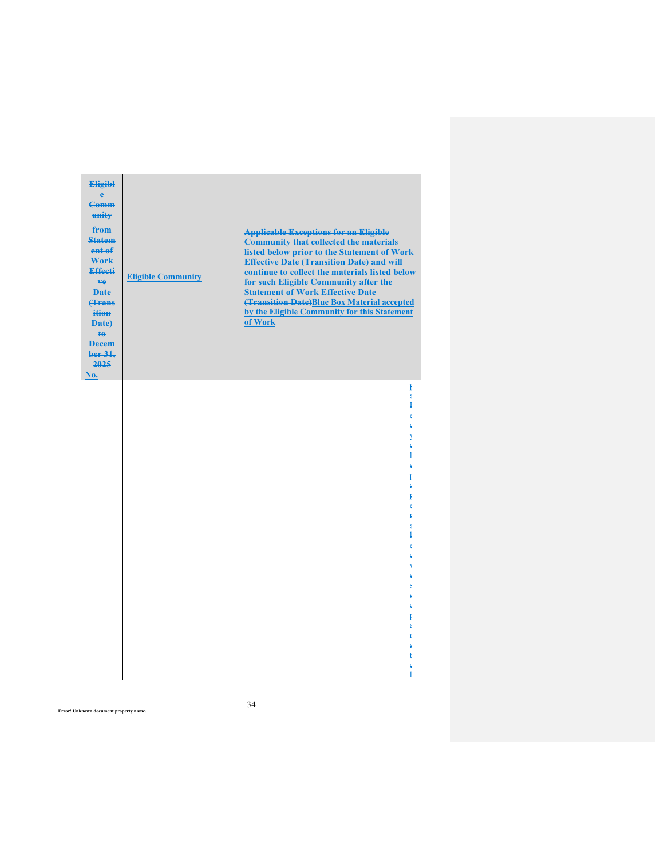| <b>Eligibl</b><br>ė<br><b>Comm</b><br>unity<br>from<br><b>Statem</b><br>ent of<br>Work<br><b>Effecti</b><br>ve.<br><b>Date</b><br><b><i><u>frans</u></i></b><br>ition<br>Date)<br>$\ddagger$<br><b>Decem</b><br>ber 31,<br>2025 | <b>Eligible Community</b> | <b>Applicable Exceptions for an Eligible</b><br><b>Community that collected the materials</b><br>listed below prior to the Statement of Work<br><b>Effective Date (Transition Date) and will</b><br>continue to collect the materials listed below<br>for such Eligible Community after the<br><b>Statement of Work Effective Date</b><br>(Transition Date) Blue Box Material accepted<br>by the Eligible Community for this Statement<br>of Work |
|---------------------------------------------------------------------------------------------------------------------------------------------------------------------------------------------------------------------------------|---------------------------|---------------------------------------------------------------------------------------------------------------------------------------------------------------------------------------------------------------------------------------------------------------------------------------------------------------------------------------------------------------------------------------------------------------------------------------------------|
| No.                                                                                                                                                                                                                             |                           | ŧ<br>£<br>Į<br>€<br>€<br>ð<br>€<br>1<br>€<br>ŧ<br>€<br>ŧ<br>é<br>ż<br>ś<br>4<br>k<br>é<br>ŧ<br>€<br>$\mathbf{1}$                                                                                                                                                                                                                                                                                                                                  |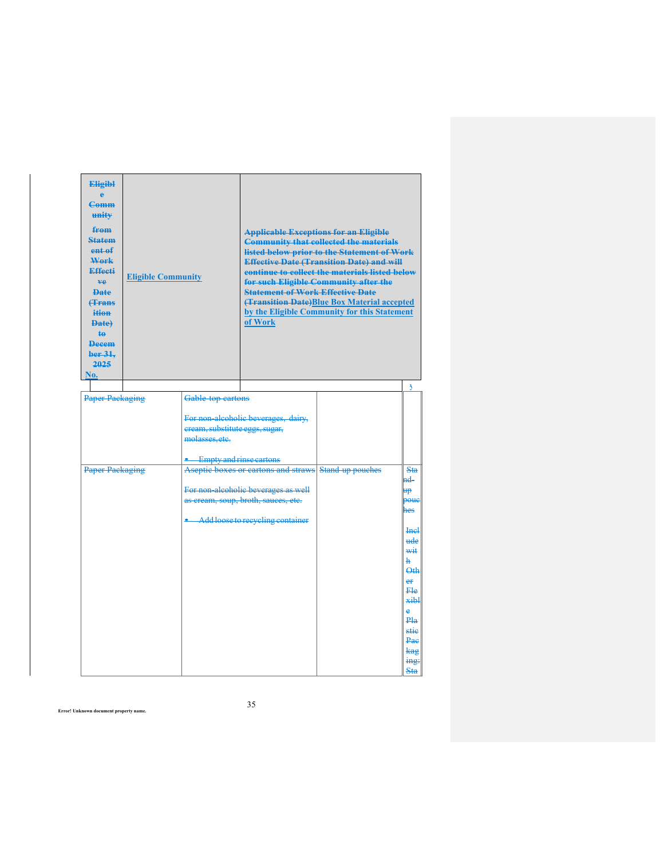| <b>Eligibl</b><br><b>Comm</b><br>unity<br>from<br><b>Statem</b><br>ent <sub>ef</sub><br>Work<br>Effecti<br>ve.<br><b>Date</b><br><b><i><u>Hrans</u></i></b><br>ition<br><b>Date</b><br><b>te</b><br><b>Decem</b><br>ber 31.<br>2025<br>No. | <b>Eligible Community</b> |                                                                             | <b>Statement of Work Effective Date</b><br>of Work                                                                                                                                                            | <b>Applicable Exceptions for an Eligible</b><br><b>Community that collected the materials</b><br>listed below prior to the Statement of Work<br><b>Effective Date (Transition Date) and will</b><br>continue to collect the materials listed below<br>for such Eligible Community after the<br><b>(Transition Date)</b> Blue Box Material accepted<br>by the Eligible Community for this Statement | ð                                                                                                                                                                                    |
|--------------------------------------------------------------------------------------------------------------------------------------------------------------------------------------------------------------------------------------------|---------------------------|-----------------------------------------------------------------------------|---------------------------------------------------------------------------------------------------------------------------------------------------------------------------------------------------------------|----------------------------------------------------------------------------------------------------------------------------------------------------------------------------------------------------------------------------------------------------------------------------------------------------------------------------------------------------------------------------------------------------|--------------------------------------------------------------------------------------------------------------------------------------------------------------------------------------|
| <b>Paper Packaging</b>                                                                                                                                                                                                                     |                           | Gable top cartons                                                           |                                                                                                                                                                                                               |                                                                                                                                                                                                                                                                                                                                                                                                    |                                                                                                                                                                                      |
| Paper Packaging                                                                                                                                                                                                                            |                           | cream, substitute eggs, sugar,<br>molasses, etc.<br>Empty and rinse cartons | For non-alcoholic beverages, dairy,<br>Aseptic boxes or cartons and straws Stand-up pouches<br>For non alcoholic beverages as well<br>as cream, soup, broth, sauces, etc.<br>Add loose to recycling container |                                                                                                                                                                                                                                                                                                                                                                                                    | <b>Sta</b><br>nd-<br><del>up</del><br><b>boue</b><br>hes<br>$He+$<br>ude<br>wit<br>ħ.<br>$\Theta$ th<br>er<br>Fle<br>xibl<br>Ä<br>Pla<br>stie<br>Pae<br>kag<br>$\frac{mg}{m}$<br>Sta |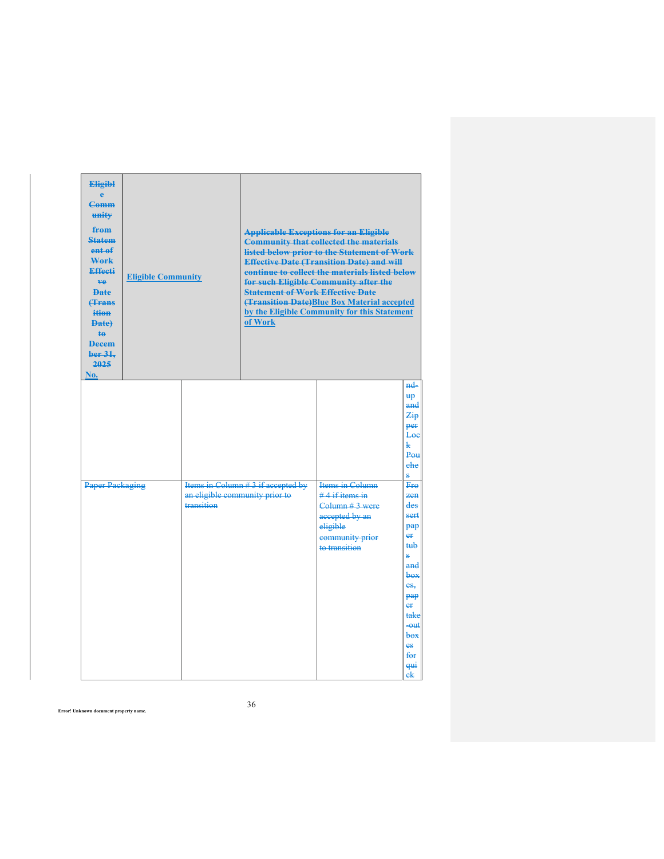| No. | <b>Eligibl</b><br>$\mathbf{a}$<br><b>Comm</b><br>unity<br>from<br><b>Statem</b><br>ent of<br>Work<br><b>Effecti</b><br>ve.<br><b>Date</b><br><b>f</b> Frans<br>ition<br><b>Date</b><br><b>te</b><br><b>Decem</b><br>ber <sub>31</sub><br>2025 | <b>Eligible Community</b> |                                              | <b>Statement of Work Effective Date</b><br>of Work | <b>Applicable Exceptions for an Eligible</b><br><b>Community that collected the materials</b><br>listed below prior to the Statement of Work<br><b>Effective Date (Transition Date) and will</b><br>continue to collect the materials listed below<br>for such Eligible Community after the<br>(Transition Date)Blue Box Material accepted<br>by the Eligible Community for this Statement |                                                                                                                                                                                                                                                                                                             |
|-----|-----------------------------------------------------------------------------------------------------------------------------------------------------------------------------------------------------------------------------------------------|---------------------------|----------------------------------------------|----------------------------------------------------|--------------------------------------------------------------------------------------------------------------------------------------------------------------------------------------------------------------------------------------------------------------------------------------------------------------------------------------------------------------------------------------------|-------------------------------------------------------------------------------------------------------------------------------------------------------------------------------------------------------------------------------------------------------------------------------------------------------------|
|     |                                                                                                                                                                                                                                               | <b>Paper Packaging</b>    | an eligible community prior to<br>transition | Items in Column #3 if accepted by                  | Items in Column<br>$#4$ if items in<br>Column # 3 were<br>accepted by an<br>eligible<br>community prior<br>to transition                                                                                                                                                                                                                                                                   | nd<br><b>up</b><br>a <del>nd</del><br>$\mathcal{Z}_{\mathbf{ip}}$<br>per<br>Loe<br>Ł<br>P <sub>OH</sub><br>ehe<br>Ą.<br><b>Fro</b><br>$7.0+$<br>des<br>sert<br>pap<br>$e_{\rm f}$<br>tub<br>e,<br>and<br>box<br>es,<br>pap<br>e₽<br>take<br>$  -$<br>$box$<br>es<br>f <del>or</del><br><del>qui</del><br>ek |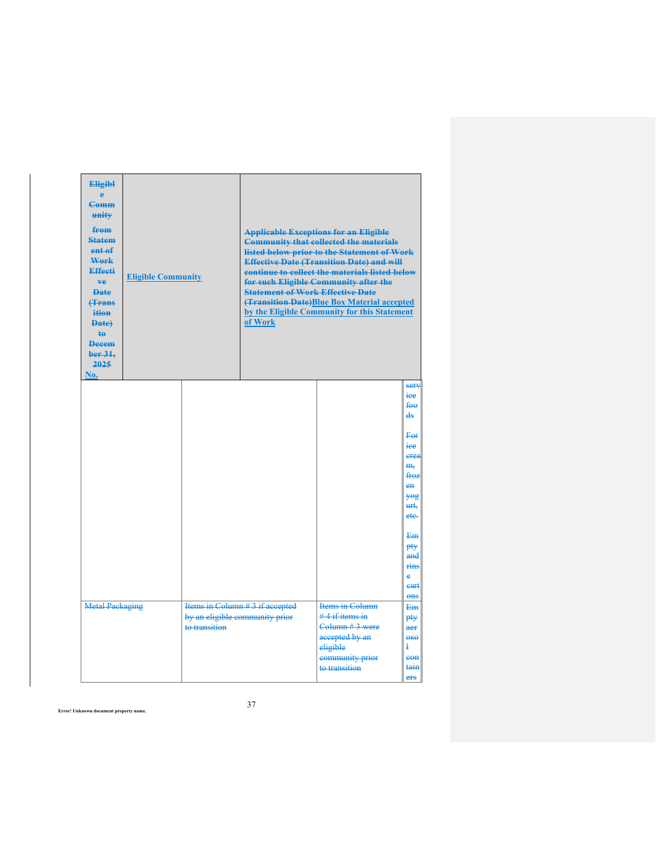| <b>Eligibl</b><br><b>Comm</b><br>unity<br>from<br><b>Statem</b><br>ent of<br>Work<br>Effecti<br>ve.<br><b>Date</b><br><b><i><u>frans</u></i></b><br>ition<br><b>Date</b><br>$\overline{40}$<br><b>Decem</b><br>ber 31.<br>2025<br>No. | <b>Eligible Community</b> |  | <b>Statement of Work Effective Date</b><br>of Work                                                                      | <b>Applicable Exceptions for an Eligible</b><br><b>Community that collected the materials</b><br>listed below prior to the Statement of Work<br><b>Effective Date (Transition Date) and will</b><br>continue to collect the materials listed below<br>for such Eligible Community after the<br>(Transition Date)Blue Box Material accepted<br>by the Eligible Community for this Statement |                                                                                                                                                                |
|---------------------------------------------------------------------------------------------------------------------------------------------------------------------------------------------------------------------------------------|---------------------------|--|-------------------------------------------------------------------------------------------------------------------------|--------------------------------------------------------------------------------------------------------------------------------------------------------------------------------------------------------------------------------------------------------------------------------------------------------------------------------------------------------------------------------------------|----------------------------------------------------------------------------------------------------------------------------------------------------------------|
|                                                                                                                                                                                                                                       |                           |  |                                                                                                                         |                                                                                                                                                                                                                                                                                                                                                                                            | sery<br>iee<br>fee<br>ds<br>For<br>iee<br>crea<br>m <sub>r</sub><br>froz<br>en<br><b>YOR</b><br>urt,<br>ete.<br>Em<br>pty<br>and<br>rins<br>è<br>eart<br>$ons$ |
| Items in Column # 3 if accepted<br><b>Metal Packaging</b><br>by an eligible community prior<br>to transition                                                                                                                          |                           |  | Items in Column<br>$#4$ if items in<br>Column #3 were<br>accepted by an<br>eligible<br>community prior<br>to transition | <del>Em</del><br>pty<br>aer<br>$-$<br>ł<br>eon<br>tain<br>ers                                                                                                                                                                                                                                                                                                                              |                                                                                                                                                                |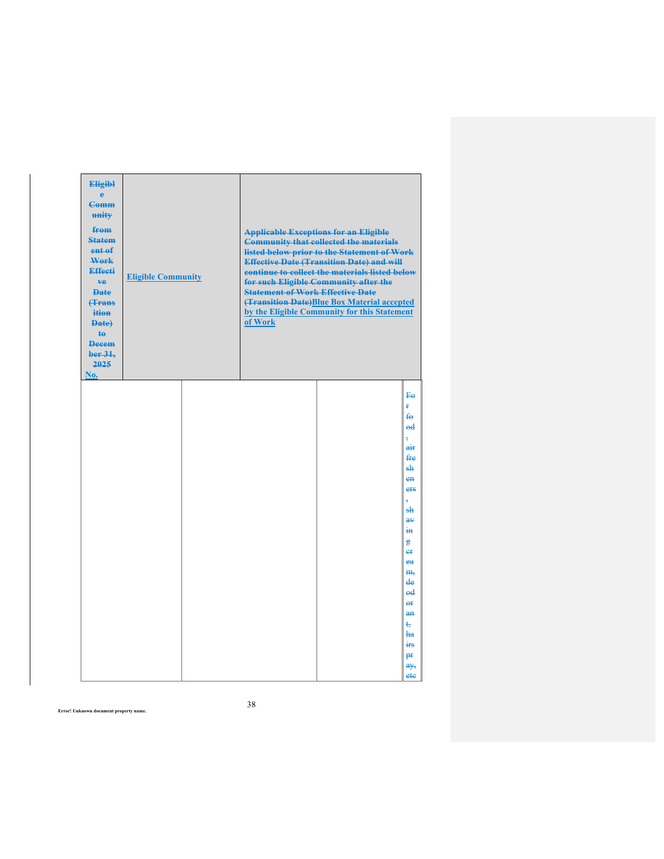| <b>Eligibl</b><br>ė<br><b>Comm</b><br>unity<br>from<br><b>Statem</b><br>ent of<br>Work<br>Effecti<br>ve.<br><b>Date</b><br><b>(Trans</b><br>ition<br>Date)<br>te<br><b>Decem</b><br>ber 31.<br>2025<br>No. | <b>Eligible Community</b> |  | <b>Statement of Work Effective Date</b><br>of Work | <b>Applicable Exceptions for an Eligible</b><br><b>Community that collected the materials</b><br>listed below prior to the Statement of Work<br><b>Effective Date (Transition Date) and will</b><br>continue to collect the materials listed below<br>for such Eligible Community after the<br>(Transition Date)Blue Box Material accepted<br>by the Eligible Community for this Statement |                                                                                                                                                                                                                  |
|------------------------------------------------------------------------------------------------------------------------------------------------------------------------------------------------------------|---------------------------|--|----------------------------------------------------|--------------------------------------------------------------------------------------------------------------------------------------------------------------------------------------------------------------------------------------------------------------------------------------------------------------------------------------------------------------------------------------------|------------------------------------------------------------------------------------------------------------------------------------------------------------------------------------------------------------------|
|                                                                                                                                                                                                            |                           |  |                                                    |                                                                                                                                                                                                                                                                                                                                                                                            | <b>Fe</b><br>Ŧ.<br>$f_{\Theta}$<br>ed<br>air<br>fre<br>طو<br>$en$<br>ers<br>sh<br>æ¥<br>$\frac{1}{10}$<br>용<br>er<br>ea<br>m <sub>z</sub><br>de<br>ed<br>$\theta$<br>$an$<br>ŧ<br>ha<br>irs<br>pr<br>a y,<br>ete |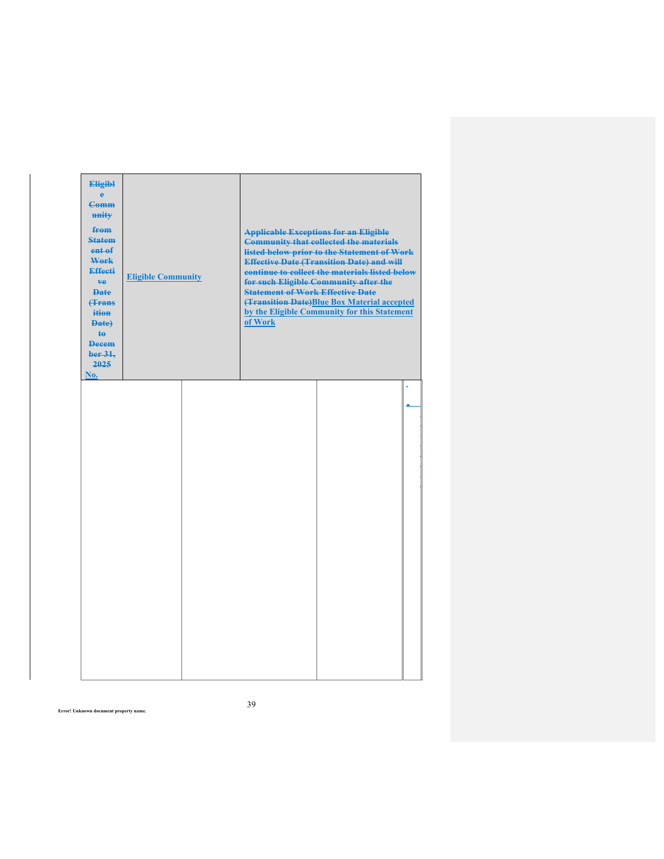| <b>Eligibl</b><br>ė<br><b>Comm</b><br>unity<br>from<br><b>Statem</b><br>ent of<br>Work<br><b>Effecti</b><br>ve.<br><b>Date</b><br><b>(Trans</b><br>ition<br>Date)<br>$\ddagger$<br><b>Decem</b><br>ber 31,<br>2025<br>No. | <b>Eligible Community</b> | <b>Statement of Work Effective Date</b><br>of Work | <b>Applicable Exceptions for an Eligible</b><br><b>Community that collected the materials</b><br>listed below prior to the Statement of Work<br><b>Effective Date (Transition Date) and will</b><br>continue to collect the materials listed below<br>for such Eligible Community after the<br>(Transition Date)Blue Box Material accepted<br>by the Eligible Community for this Statement |   |
|---------------------------------------------------------------------------------------------------------------------------------------------------------------------------------------------------------------------------|---------------------------|----------------------------------------------------|--------------------------------------------------------------------------------------------------------------------------------------------------------------------------------------------------------------------------------------------------------------------------------------------------------------------------------------------------------------------------------------------|---|
|                                                                                                                                                                                                                           |                           |                                                    |                                                                                                                                                                                                                                                                                                                                                                                            | ÷ |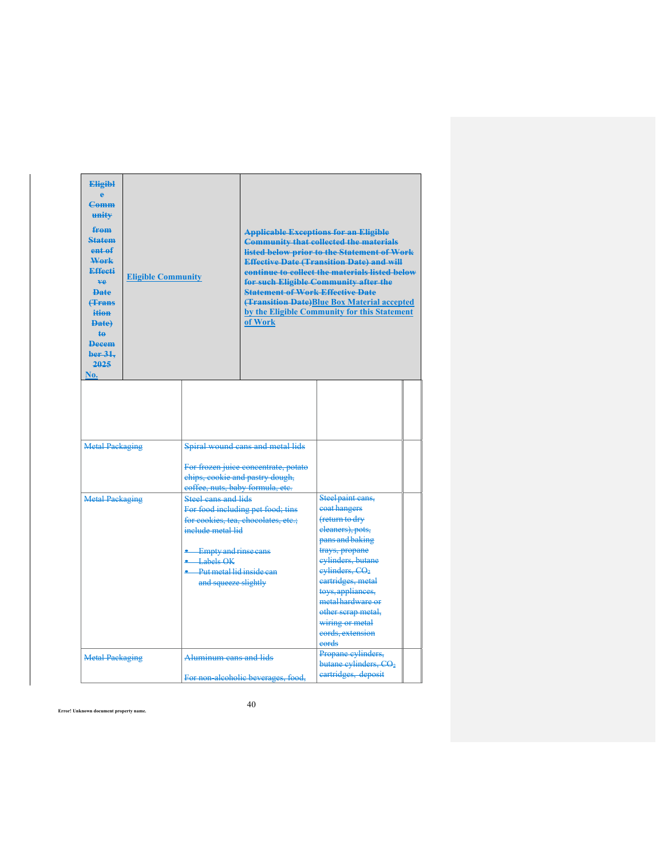| <b>Eligibl</b><br>$\Delta$<br>Comm<br>unity<br>from<br><b>Statem</b><br>ent of<br>Work<br><b>Effecti</b><br>ve.<br><b>Date</b><br><b><i><u>fFrans</u></i></b><br>ition<br><b>Date</b><br><b>te</b><br><b>Decem</b><br>ber 31.<br>2025<br>No. | <b>Eligible Community</b> |                                                                                                                                                    | <b>Statement of Work Effective Date</b><br>of Work                       | <b>Applicable Exceptions for an Eligible</b><br><b>Community that collected the materials</b><br>listed below prior to the Statement of Work<br><b>Effective Date (Transition Date) and will</b><br>continue to collect the materials listed below<br>for such Eligible Community after the<br><b>(Transition Date)</b> Blue Box Material accepted<br>by the Eligible Community for this Statement |  |
|----------------------------------------------------------------------------------------------------------------------------------------------------------------------------------------------------------------------------------------------|---------------------------|----------------------------------------------------------------------------------------------------------------------------------------------------|--------------------------------------------------------------------------|----------------------------------------------------------------------------------------------------------------------------------------------------------------------------------------------------------------------------------------------------------------------------------------------------------------------------------------------------------------------------------------------------|--|
| <b>Metal Packaging</b>                                                                                                                                                                                                                       |                           |                                                                                                                                                    | Spiral wound cans and metal lids                                         |                                                                                                                                                                                                                                                                                                                                                                                                    |  |
|                                                                                                                                                                                                                                              |                           | eoffee, nuts, baby formula, etc.                                                                                                                   | For frozen juice concentrate, potato<br>chips, cookie and pastry dough,  |                                                                                                                                                                                                                                                                                                                                                                                                    |  |
| <b>Metal Packaging</b>                                                                                                                                                                                                                       |                           | Steel cans and lids<br>include metal lid<br><b>Empty and rinse cans</b><br>$\bullet$ Labels OK<br>Put metal lid inside can<br>and squeeze slightly | For food including pet food; tins<br>for cookies, tea, chocolates, etc.; | Steel paint cans,<br>coat hangers<br>(return to dry<br>eleaners), pots,<br>pans and baking<br>trays, propane<br>eylinders, butane<br>evlinders, CO <sub>2</sub><br>eartridges, metal<br>toys, appliances,<br>metal hardware or<br>other scrap metal,<br>wiring or metal<br>cords, extension<br>eords                                                                                               |  |
| <b>Metal Packaging</b>                                                                                                                                                                                                                       |                           | Aluminum cans and lids                                                                                                                             | For non alcoholic beverages, food,                                       | Propane cylinders,<br>butane cylinders, CO <sub>2</sub><br>eartridges, deposit                                                                                                                                                                                                                                                                                                                     |  |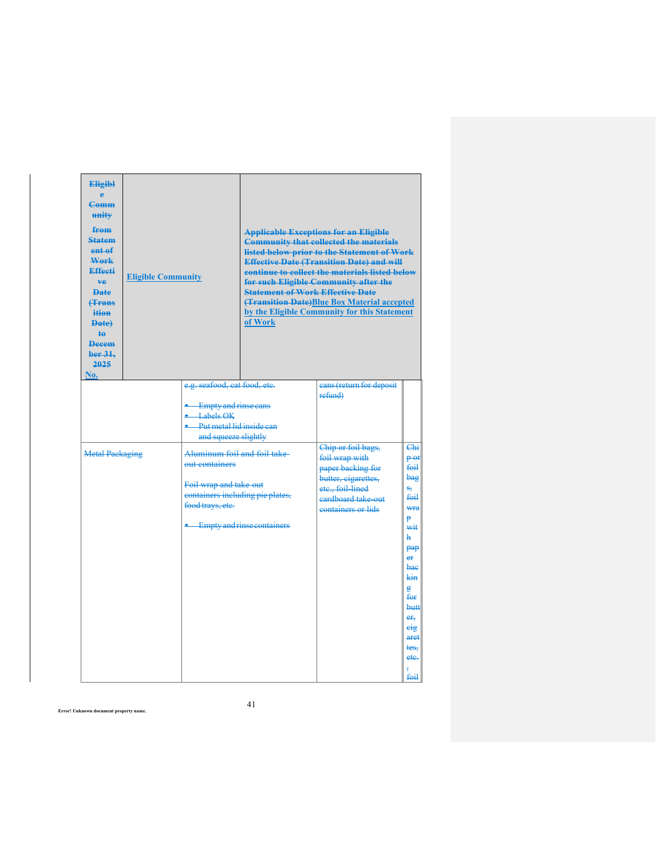| <b>Eligibl</b><br><b>Comm</b><br>unity<br>from<br><b>Statem</b><br>ent of<br>Work<br>Effecti<br>ve.<br><b>Date</b><br><b>(Trans</b><br>ition<br><b>Date</b><br><b>te</b><br><b>Decem</b><br>ber 31.<br>2025<br>No. | <b>Eligible Community</b>                                                           |  | <b>Statement of Work Effective Date</b><br>of Work                                                                                                                                                                                                | <b>Applicable Exceptions for an Eligible</b><br><b>Community that collected the materials</b><br>listed below prior to the Statement of Work<br><b>Effective Date (Transition Date) and will</b><br>continue to collect the materials listed below<br>for such Eligible Community after the<br><b>(Transition Date)Blue Box Material accepted</b><br>by the Eligible Community for this Statement |                                                                                                                                                                             |
|--------------------------------------------------------------------------------------------------------------------------------------------------------------------------------------------------------------------|-------------------------------------------------------------------------------------|--|---------------------------------------------------------------------------------------------------------------------------------------------------------------------------------------------------------------------------------------------------|---------------------------------------------------------------------------------------------------------------------------------------------------------------------------------------------------------------------------------------------------------------------------------------------------------------------------------------------------------------------------------------------------|-----------------------------------------------------------------------------------------------------------------------------------------------------------------------------|
|                                                                                                                                                                                                                    | $\bullet$ Labels OK<br><b>Metal Packaging</b><br>aut containers<br>food trays, etc. |  | e.g. seafood, cat food, etc.<br><b>Empty and rinse cans</b><br>Put metallid inside can<br>and squeeze slightly<br>Aluminum foil and foil take-<br>Foil wrap and take-out<br>containers including pie plates,<br><b>Empty and rinse containers</b> | cans (return for deposit<br>refund)<br>Chip or foil bags,<br>foil wrap with<br>paper backing for<br>butter, eigarettes,<br>etc., foil lined<br>eardboard take-out<br>containers or lids                                                                                                                                                                                                           | Chi<br>$p_{0f}$<br>$f0$ il<br>bag<br>s,<br>f <sub>theta</sub><br>wra<br>Ð<br>wit<br>ħ<br>pap<br>er<br>bae<br>kin<br>e.<br>for<br>butt<br>er,<br>eig<br>aret<br>tes.<br>ete. |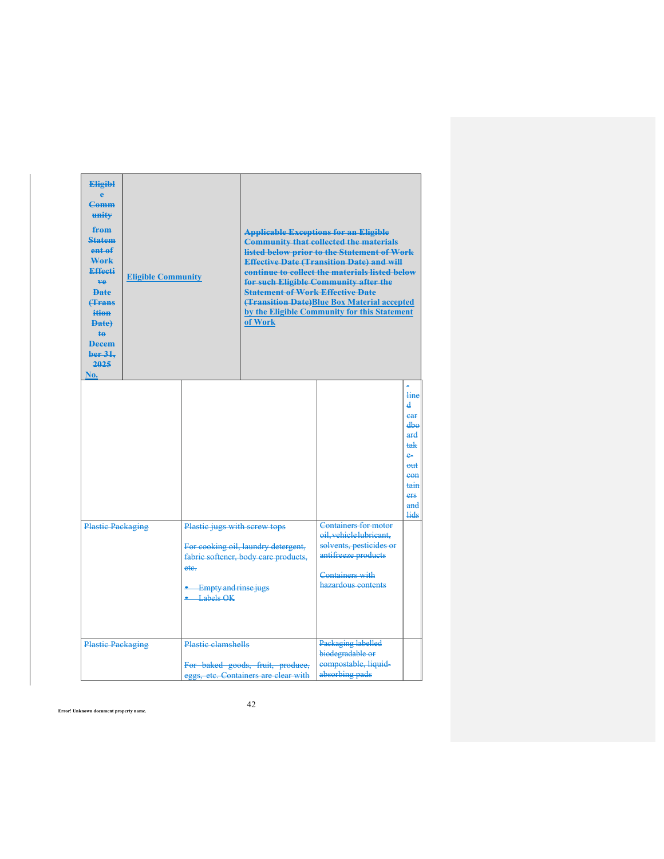| <b>Eligibl</b><br>$\Delta$<br>Comm<br>unity<br>from<br><b>Statem</b><br>ent <sub>af</sub><br>Work<br>Effecti<br>ve.<br><b>Date</b><br><b><i><u>frans</u></i></b><br>ition<br><b>Date</b><br>ta.<br><b>Decem</b><br>ber 31.<br>2025<br>No. | <b>Eligible Community</b> |                                             | <b>Statement of Work Effective Date</b><br>of Work                          | <b>Applicable Exceptions for an Eligible</b><br><b>Community that collected the materials</b><br>listed below prior to the Statement of Work<br><b>Effective Date (Transition Date) and will</b><br>continue to collect the materials listed below<br>for such Eligible Community after the<br><b>(Transition Date)</b> Blue Box Material accepted<br>by the Eligible Community for this Statement |                                                                                                       |
|-------------------------------------------------------------------------------------------------------------------------------------------------------------------------------------------------------------------------------------------|---------------------------|---------------------------------------------|-----------------------------------------------------------------------------|----------------------------------------------------------------------------------------------------------------------------------------------------------------------------------------------------------------------------------------------------------------------------------------------------------------------------------------------------------------------------------------------------|-------------------------------------------------------------------------------------------------------|
|                                                                                                                                                                                                                                           |                           | Plastic jugs with screw tops                |                                                                             | Containers for motor                                                                                                                                                                                                                                                                                                                                                                               | line<br>$\mathbf{A}$<br>ear<br>dhe<br>ard<br>tak<br>e.<br>$ent$<br>eon<br>tain<br>ers<br>and<br>عاءنه |
| <b>Plastic Packaging</b><br>ete.                                                                                                                                                                                                          |                           | <b>Empty and rinse jugs</b><br>$-Labels OK$ | For eooking oil, laundry detergent,<br>fabric softener, body care products, | oil. vehicle lubricant.<br>solvents, pesticides or<br>antifreeze products<br>Containers with<br>hazardous contents                                                                                                                                                                                                                                                                                 |                                                                                                       |
| <b>Plastic Packaging</b>                                                                                                                                                                                                                  |                           | <b>Plastic clamshells</b>                   | For baked goods, fruit, produce,<br>eggs, etc. Containers are clear with    | Packaging labelled<br>biodegradable or<br>compostable, liquid-<br>absorbing pads                                                                                                                                                                                                                                                                                                                   |                                                                                                       |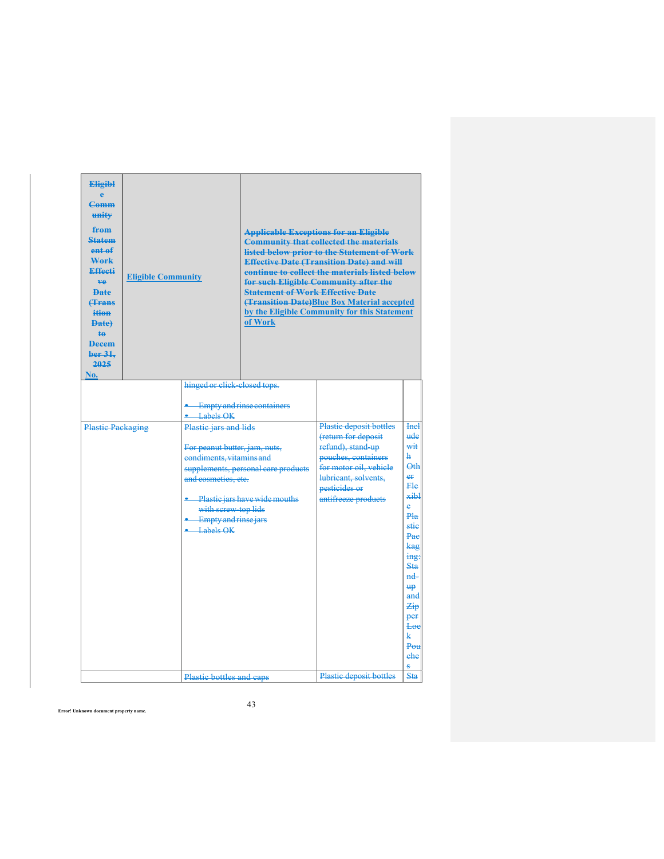| <b>Eligibl</b><br>ë<br><b>Comm</b><br>unity<br>from<br><b>Statem</b><br>ent <sub>af</sub><br>Work<br><b>Effecti</b><br>ve.<br><b>Date</b><br><b><i><u>f</u></i></b> Frans<br>ition<br><b>Date</b><br><b>te</b><br><b>Decem</b><br>ber 31,<br>2025<br>No. | <b>Eligible Community</b> |                                                                                                                                                                                                                                                                  | <b>Statement of Work Effective Date</b><br>of Work                     | <b>Applicable Exceptions for an Eligible</b><br><b>Community that collected the materials</b><br>listed below prior to the Statement of Work<br><b>Effective Date (Transition Date) and will</b><br>continue to collect the materials listed below<br>for such Eligible Community after the<br><b>(Transition Date)Blue Box Material accepted</b><br>by the Eligible Community for this Statement |                                                                                                                                                                                                                |
|----------------------------------------------------------------------------------------------------------------------------------------------------------------------------------------------------------------------------------------------------------|---------------------------|------------------------------------------------------------------------------------------------------------------------------------------------------------------------------------------------------------------------------------------------------------------|------------------------------------------------------------------------|---------------------------------------------------------------------------------------------------------------------------------------------------------------------------------------------------------------------------------------------------------------------------------------------------------------------------------------------------------------------------------------------------|----------------------------------------------------------------------------------------------------------------------------------------------------------------------------------------------------------------|
| <b>Plastic Packaging</b>                                                                                                                                                                                                                                 |                           | hinged or click-closed tops.<br>• Empty and rinse containers<br>$-Labels OK$<br>Plastic jars and lids<br>For peanut butter, jam, nuts,<br>eondiments, vitamins and<br>and cosmetics, etc.<br>with screw-top lids<br><b>Empty and rinse jars</b><br>$-$ Labels OK | supplements, personal care products<br>- Plastic jars have wide mouths | Plastic deposit bottles<br>(return for deposit<br>refund), stand-up<br>pouches, containers<br>for motor oil, vehicle<br>lubricant, solvents,<br>pesticides or<br>antifreeze products                                                                                                                                                                                                              | <b>Incl</b><br>ude<br>wit<br>ħ.<br><b>Oth</b><br>er<br>Fle<br>xibl<br>è<br>Pla<br>stie<br>Pae<br><del>kag</del><br>ing:<br>Sta<br>$nd-$<br>₩,<br>and<br>Zip<br>per<br>Loe<br>k.<br>P <sub>OH</sub><br>ehe<br>Ŝ |
|                                                                                                                                                                                                                                                          |                           | Plastic bottles and caps                                                                                                                                                                                                                                         |                                                                        | Plastic deposit bottles                                                                                                                                                                                                                                                                                                                                                                           | <b>Sta</b>                                                                                                                                                                                                     |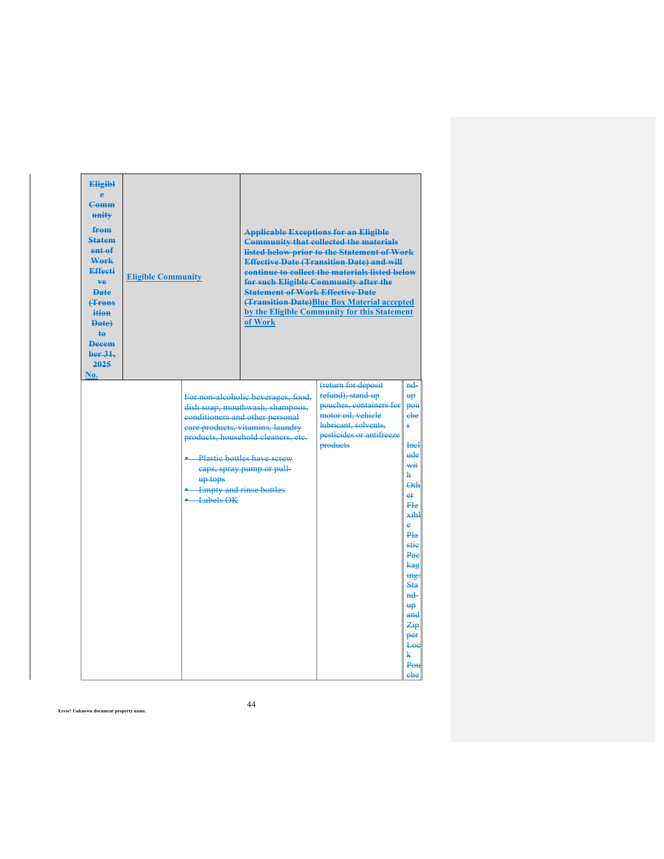| <b>Eligibl</b><br>Ā<br>Comm<br>unity<br>from<br><b>Statem</b><br>ent of<br>Work<br><b>Effecti</b><br>ve.<br><b>Date</b><br><b><i><u>Hrans</u></i></b><br>ition<br>Date)<br>$\ddagger$<br><b>Decem</b><br>ber 31,<br>2025<br>No. | <b>Eligible Community</b> |                                                        | <b>Statement of Work Effective Date</b><br>of Work                                                                                                                                                                                                | <b>Applicable Exceptions for an Eligible</b><br><b>Community that collected the materials</b><br>listed below prior to the Statement of Work<br><b>Effective Date (Transition Date) and will</b><br>continue to collect the materials listed below<br>for such Eligible Community after the<br><b>(Transition Date)Blue Box Material accepted</b><br>by the Eligible Community for this Statement |                                                                                                                                                                                                                                         |
|---------------------------------------------------------------------------------------------------------------------------------------------------------------------------------------------------------------------------------|---------------------------|--------------------------------------------------------|---------------------------------------------------------------------------------------------------------------------------------------------------------------------------------------------------------------------------------------------------|---------------------------------------------------------------------------------------------------------------------------------------------------------------------------------------------------------------------------------------------------------------------------------------------------------------------------------------------------------------------------------------------------|-----------------------------------------------------------------------------------------------------------------------------------------------------------------------------------------------------------------------------------------|
|                                                                                                                                                                                                                                 |                           | • Plastic bottles have screw<br>up tops<br>• Labels OK | For non-alcoholic beverages, food,<br>dish soap, mouthwash, shampoos,<br>conditioners and other personal<br>eare products, vitamins, laundry<br>products, household cleaners, etc.<br>eaps, spray pump or pull-<br><b>Empty and rinse bottles</b> | (return for deposit<br>refund), stand up<br>pouches, containers for<br>motor oil, vehicle<br>lubricant, solvents.<br>pesticides or antifreeze<br><b>products</b>                                                                                                                                                                                                                                  | $nd-$<br><b>up</b><br>pou<br>ehe<br>ġ.<br><b>Incl</b><br>ude<br>wit<br>ħ<br>$\Theta$ th<br>er<br>Ele<br>xihl<br>ė<br>Pla<br>stie<br>Pae<br>kag<br>ing:<br>Sta<br>$nd -$<br><del>up</del><br>and<br>Zip<br>per<br>Loe<br>k<br>Pou<br>ehe |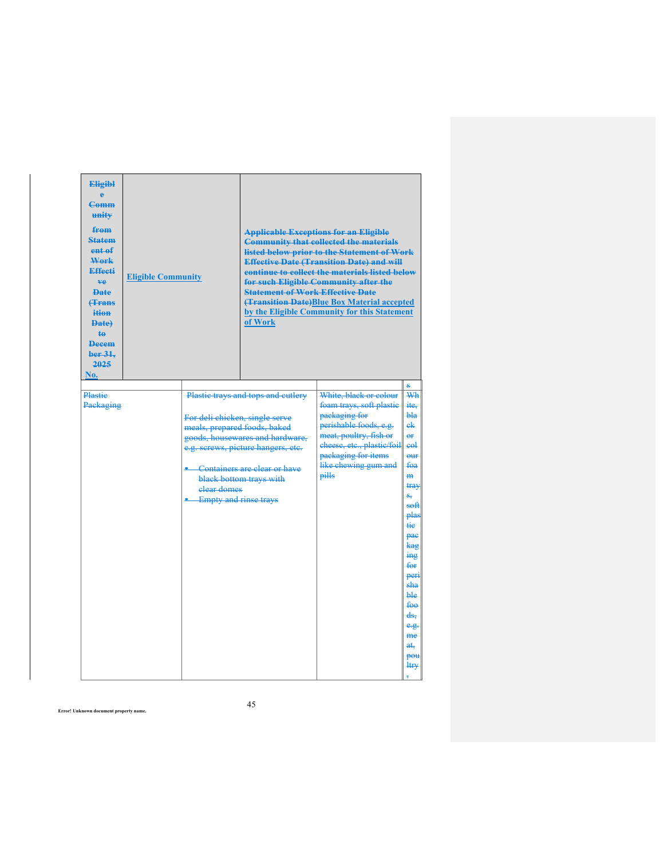| <b>Eligibl</b><br><b>Comm</b><br>unity<br>from<br><b>Statem</b><br>ent of<br>Work<br><b>Effecti</b><br>ve.<br><b>Date</b><br><b><i><u>f</u></i></b> Frans<br>ition<br><b>Date</b><br>$\ddagger$<br><b>Decem</b><br>ber 31.<br>2025<br>No. | <b>Eligible Community</b> |                                                                                                          | <b>Statement of Work Effective Date</b><br>of Work                                                                                                                     | <b>Applicable Exceptions for an Eligible</b><br><b>Community that collected the materials</b><br>listed below prior to the Statement of Work<br><b>Effective Date (Transition Date) and will</b><br>continue to collect the materials listed below<br>for such Eligible Community after the<br><b>(Transition Date)</b> Blue Box Material accepted<br>by the Eligible Community for this Statement |                                                                                                                                                                                                                                                                               |
|-------------------------------------------------------------------------------------------------------------------------------------------------------------------------------------------------------------------------------------------|---------------------------|----------------------------------------------------------------------------------------------------------|------------------------------------------------------------------------------------------------------------------------------------------------------------------------|----------------------------------------------------------------------------------------------------------------------------------------------------------------------------------------------------------------------------------------------------------------------------------------------------------------------------------------------------------------------------------------------------|-------------------------------------------------------------------------------------------------------------------------------------------------------------------------------------------------------------------------------------------------------------------------------|
| Plastie<br>Packaging                                                                                                                                                                                                                      |                           | For deli chicken, single serve<br>meals, prepared foods, baked<br>elear domes<br>• Empty and rinse trays | Plastic trays and tops and cutlery<br>goods, housewares and hardware,<br>e.g. serews, picture hangers, etc.<br>Containers are clear or have<br>black bottom trays with | White, black or colour<br>foam trays, soft plastic<br>packaging for<br>perishable foods, e.g.<br>meat, poultry, fish or<br>cheese, etc., plastic/foil<br>packaging for items<br>like chewing gum and<br>pills                                                                                                                                                                                      | Wh<br>ite.<br>bla<br>ek<br>$\overline{e}$<br>e <sub>θ</sub><br>$_{\text{out}}$<br>foa<br>H <sub>H</sub><br>tray<br>s,<br>soft<br>plas<br>tie<br>pae<br><del>kag</del><br>ing<br>for<br>peri<br>sha<br><b>ble</b><br><del>foo</del><br>ds.<br>e.g.<br>me<br>at,<br>pou<br>ltr¥ |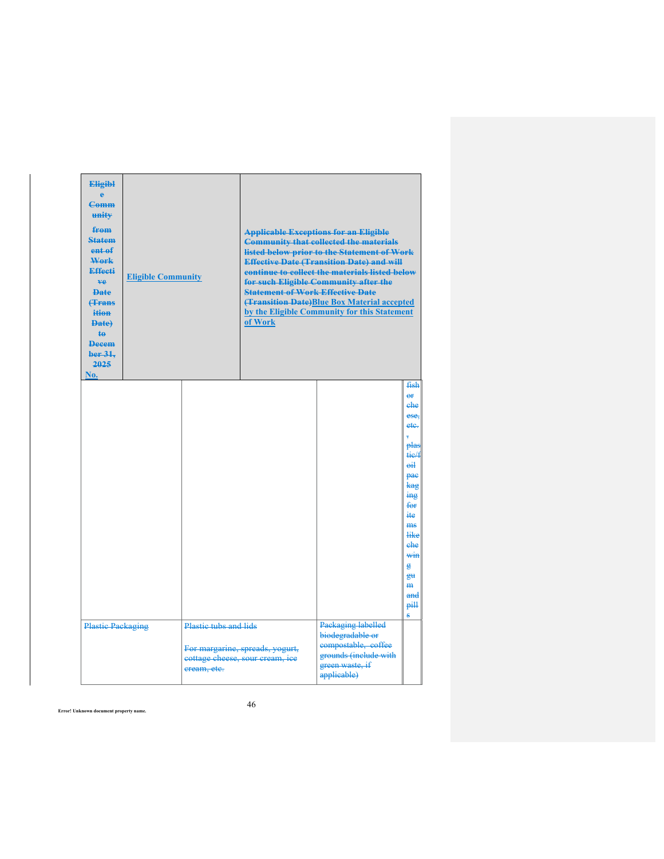| <b>Eligibl</b><br><b>Comm</b><br>unity<br>from<br><b>Statem</b><br>ent of<br>Work<br><b>Effecti</b><br>ve.<br><b>Date</b><br><b><i><u>f</u></i></b> Frans<br>ition<br><b>Date)</b><br><b>te</b><br><b>Decem</b><br>ber 31.<br>2025<br>No. | <b>Eligible Community</b> |                                      | <b>Statement of Work Effective Date</b><br>of Work                 | <b>Applicable Exceptions for an Eligible</b><br><b>Community that collected the materials</b><br>listed below prior to the Statement of Work<br><b>Effective Date (Transition Date) and will</b><br>continue to collect the materials listed below<br>for such Eligible Community after the<br><b>(Transition Date)Blue Box Material accepted</b><br>by the Eligible Community for this Statement |                                                                                                                                                                                                                           |
|-------------------------------------------------------------------------------------------------------------------------------------------------------------------------------------------------------------------------------------------|---------------------------|--------------------------------------|--------------------------------------------------------------------|---------------------------------------------------------------------------------------------------------------------------------------------------------------------------------------------------------------------------------------------------------------------------------------------------------------------------------------------------------------------------------------------------|---------------------------------------------------------------------------------------------------------------------------------------------------------------------------------------------------------------------------|
|                                                                                                                                                                                                                                           |                           |                                      |                                                                    |                                                                                                                                                                                                                                                                                                                                                                                                   | fish<br>$\overline{e}$<br>ehe<br>ese.<br>ete.<br>plas<br>tie/f<br>$\overline{eh}$<br>pae<br>kag<br>$\frac{1}{2}$<br>$f_{\Theta}$<br>ite.<br>ms<br><b>like</b><br>ehe<br>win<br>g<br>H<br>$\mathbf{m}$<br>and<br>pill<br>s |
| <b>Plastic Packaging</b>                                                                                                                                                                                                                  |                           | Plastic tubs and lids<br>eream, etc. | For margarine, spreads, yogurt,<br>eottage cheese, sour cream, ice | Packaging labelled<br>biodegradable or<br>compostable, coffee<br>grounds (include with<br>green waste, if<br>applicable)                                                                                                                                                                                                                                                                          |                                                                                                                                                                                                                           |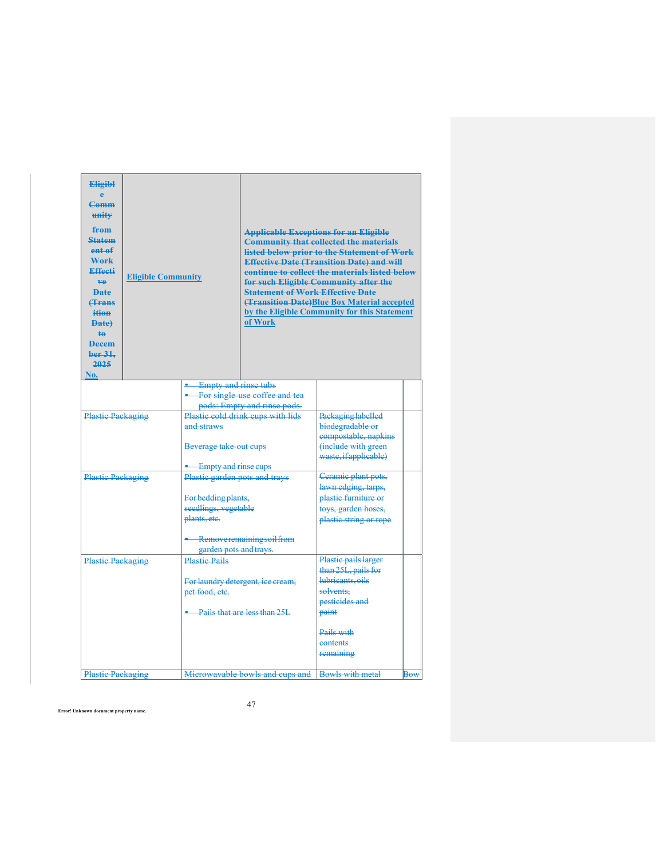| <b>Eligibl</b><br>ĕ<br>C <sub>amm</sub><br>unity<br>from<br><b>Statem</b><br>ent <sub>ef</sub><br>Work<br>Effecti<br>ve.<br><b>Date</b><br><b><i><u>Hrans</u></i></b><br>ition<br><b>Date</b><br>te.<br><b>Decem</b><br>ber <sub>31</sub><br>2025<br>No. | <b>Eligible Community</b> |                                                                                                             | <b>Statement of Work Effective Date</b><br>of Work                                                                               | <b>Applicable Exceptions for an Eligible</b><br><b>Community that collected the materials</b><br>listed below prior to the Statement of Work<br><b>Effective Date (Transition Date) and will</b><br>continue to collect the materials listed below<br>for such Eligible Community after the<br>(Transition Date) Blue Box Material accepted<br>by the Eligible Community for this Statement |            |
|----------------------------------------------------------------------------------------------------------------------------------------------------------------------------------------------------------------------------------------------------------|---------------------------|-------------------------------------------------------------------------------------------------------------|----------------------------------------------------------------------------------------------------------------------------------|---------------------------------------------------------------------------------------------------------------------------------------------------------------------------------------------------------------------------------------------------------------------------------------------------------------------------------------------------------------------------------------------|------------|
|                                                                                                                                                                                                                                                          | <b>Plastic Packaging</b>  |                                                                                                             | <b>Empty and rinse tubs</b><br>For single-use coffee and tea<br>pods: Empty and rinse pods.<br>Plastic cold drink cups with lids | Packaging labelled<br>biodegradable or                                                                                                                                                                                                                                                                                                                                                      |            |
|                                                                                                                                                                                                                                                          |                           | Beverage take out cups                                                                                      |                                                                                                                                  | compostable, napkins<br>(include with green<br>waste, if applicable)                                                                                                                                                                                                                                                                                                                        |            |
| <b>Plastic Packaging</b>                                                                                                                                                                                                                                 |                           | <b>E</b> Empty and rinse cups<br>Plastic garden pots and trays                                              |                                                                                                                                  | Ceramic plant pots,                                                                                                                                                                                                                                                                                                                                                                         |            |
|                                                                                                                                                                                                                                                          |                           | For bedding plants,<br>seedlings, vegetable                                                                 |                                                                                                                                  | lawn edging, tarps,<br>plastic furniture or<br>toys, garden hoses,                                                                                                                                                                                                                                                                                                                          |            |
|                                                                                                                                                                                                                                                          |                           | plants, etc.<br>Removeremaining soil from<br>garden pots and trays.                                         |                                                                                                                                  | plastic string or rope                                                                                                                                                                                                                                                                                                                                                                      |            |
| <b>Plastic Packaging</b>                                                                                                                                                                                                                                 |                           | <b>Plastic Pails</b><br>For laundry detergent, ice cream,<br>pet food, etc.<br>Pails that are less than 25L |                                                                                                                                  | Plastic pails larger<br>than 25L, pails for<br>lubricants, oils<br>solvents.<br>pesticides and<br>paint                                                                                                                                                                                                                                                                                     |            |
| <b>Plastic Packaging</b>                                                                                                                                                                                                                                 |                           |                                                                                                             | Microwavable bowls and cups and                                                                                                  | Pails with<br>eontents<br>remaining<br><b>Bowls with metal</b>                                                                                                                                                                                                                                                                                                                              | <b>Bow</b> |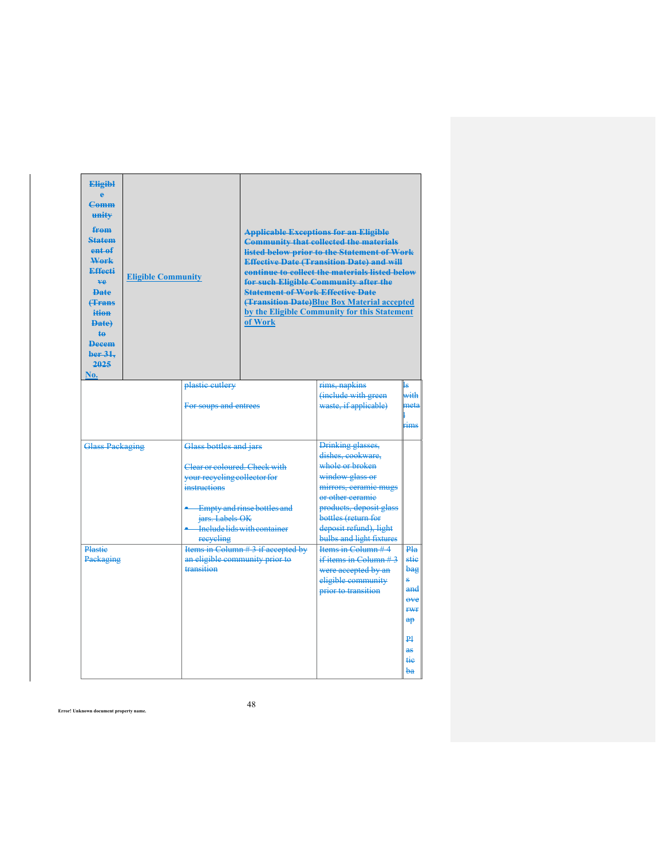| <b>Eligibl</b><br>Ā<br><b>Comm</b><br>unity<br>from<br><b>Statem</b><br>ent of<br>Work<br>Effecti<br>ve.<br><b>Date</b><br><b><i><u>Hrans</u></i></b><br>ition<br><b>Date</b><br><b>te</b><br><b>Decem</b><br>ber 31.<br>2025<br>No. | <b>Eligible Community</b> |                                                                                                                                                                                          | <b>Statement of Work Effective Date</b><br>of Work | <b>Applicable Exceptions for an Eligible</b><br><b>Community that collected the materials</b><br>listed below prior to the Statement of Work<br><b>Effective Date (Transition Date) and will</b><br>continue to collect the materials listed below<br>for such Eligible Community after the<br><b>(Transition Date)Blue Box Material accepted</b><br>by the Eligible Community for this Statement |                                                                                                                |
|--------------------------------------------------------------------------------------------------------------------------------------------------------------------------------------------------------------------------------------|---------------------------|------------------------------------------------------------------------------------------------------------------------------------------------------------------------------------------|----------------------------------------------------|---------------------------------------------------------------------------------------------------------------------------------------------------------------------------------------------------------------------------------------------------------------------------------------------------------------------------------------------------------------------------------------------------|----------------------------------------------------------------------------------------------------------------|
|                                                                                                                                                                                                                                      |                           | plastic cutlery<br>For soups and entrees                                                                                                                                                 |                                                    | rims, napkins<br>(include with green<br>waste, if applicable)                                                                                                                                                                                                                                                                                                                                     | with<br>meta<br>rims                                                                                           |
| <b>Glass Packaging</b>                                                                                                                                                                                                               |                           | Glass bottles and jars<br>Clear or coloured. Check with<br>your recycling collector for<br>instructions<br>Empty and rinse bottles and<br>jars. Labels OK<br>Include lids with container |                                                    | Drinking glasses,<br>dishes, cookware,<br>whole or broken<br>window glass or<br>mirrors, ceramic mugs<br>or other ceramic<br>products, deposit glass<br>bottles (return for<br>deposit refund), light<br>bulbs and light fixtures                                                                                                                                                                 |                                                                                                                |
| Plastie<br>Packaging                                                                                                                                                                                                                 |                           | reeveling<br>an eligible community prior to<br>transition                                                                                                                                | Items in Column #3 if accepted by                  | Items in Column #4<br>if items in Column $#3$<br>were accepted by an<br>eligible community<br>prior to transition                                                                                                                                                                                                                                                                                 | Pla<br>مننه<br>bag<br>Ŕ,<br>and<br>$e$ ve<br><b>rwr</b><br>$a\mathbf{p}$<br>$\mathbf{p}_1$<br>as-<br>tie<br>ba |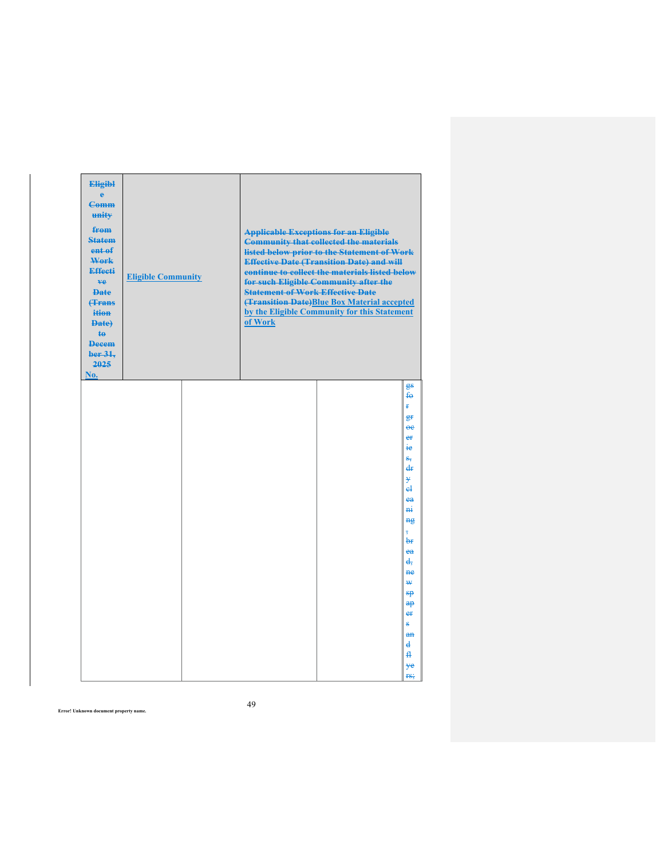| <b>Eligibl</b><br>ė<br><b>Comm</b><br>unity<br>from<br><b>Statem</b><br>ent of<br>Work<br>Effecti<br>ve.<br><b>Date</b><br><b><i><u>frans</u></i></b><br>ition<br>Date)<br>te<br><b>Decem</b><br>ber 31.<br>2025<br>No. | <b>Eligible Community</b> | <b>Statement of Work Effective Date</b><br>of Work | <b>Applicable Exceptions for an Eligible</b><br><b>Community that collected the materials</b><br>listed below prior to the Statement of Work<br><b>Effective Date (Transition Date) and will</b><br>continue to collect the materials listed below<br>for such Eligible Community after the<br>(Transition Date)Blue Box Material accepted<br>by the Eligible Community for this Statement |                                                                                                                                                                                                                                                                                       |
|-------------------------------------------------------------------------------------------------------------------------------------------------------------------------------------------------------------------------|---------------------------|----------------------------------------------------|--------------------------------------------------------------------------------------------------------------------------------------------------------------------------------------------------------------------------------------------------------------------------------------------------------------------------------------------------------------------------------------------|---------------------------------------------------------------------------------------------------------------------------------------------------------------------------------------------------------------------------------------------------------------------------------------|
|                                                                                                                                                                                                                         |                           |                                                    |                                                                                                                                                                                                                                                                                                                                                                                            | gs<br>$f_{\Theta}$<br>¥.<br>₽Ŧ<br>$\overline{ee}$<br>er<br>٠e<br>$S_{\overline{N}}$<br>d₽<br>ÿ<br>еł<br>ea<br>$\overline{m}$<br>ng<br>$\overline{\phantom{a}}$<br>₩<br>ea<br>ď.<br><b>ne</b><br>₩<br>$\theta$<br>$a$ p<br>er<br>g,<br>AR<br>$\overline{\mathbf{d}}$<br>₽<br>¥e<br>rs; |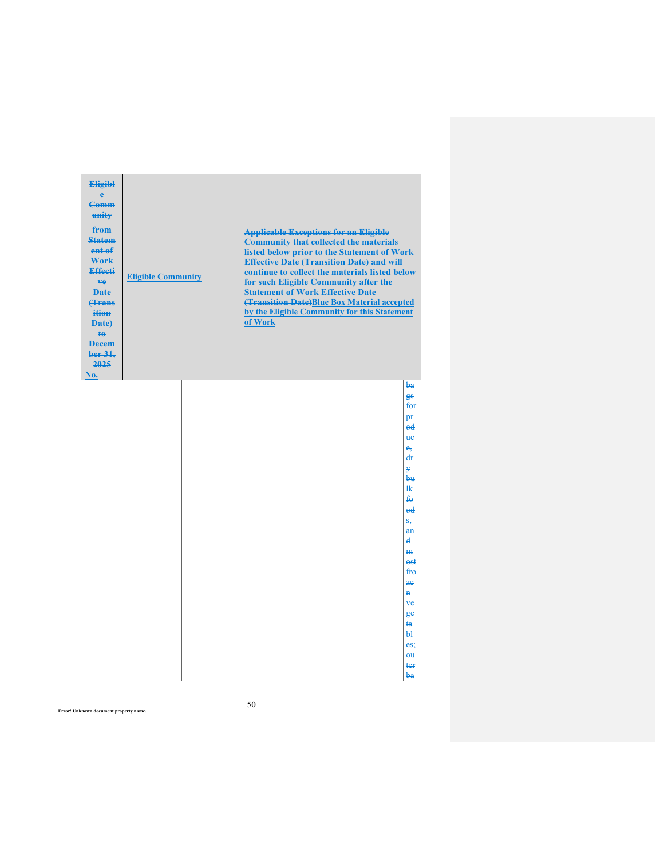| <b>Eligibl</b><br>ė<br><b>Comm</b><br>unity<br>from<br><b>Statem</b><br>ent of<br>Work<br>Effecti<br>ve<br><b>Date</b><br><b><i><u>frans</u></i></b><br>ition<br>Date)<br>$\mathbf{t}$<br><b>Decem</b><br>ber 31.<br>2025<br>No. | <b>Eligible Community</b> | <b>Statement of Work Effective Date</b><br>of Work | <b>Applicable Exceptions for an Eligible</b><br><b>Community that collected the materials</b><br>listed below prior to the Statement of Work<br><b>Effective Date (Transition Date) and will</b><br>continue to collect the materials listed below<br>for such Eligible Community after the<br>(Transition Date)Blue Box Material accepted<br>by the Eligible Community for this Statement |                                                                                                                                                                                                                                                                           |
|----------------------------------------------------------------------------------------------------------------------------------------------------------------------------------------------------------------------------------|---------------------------|----------------------------------------------------|--------------------------------------------------------------------------------------------------------------------------------------------------------------------------------------------------------------------------------------------------------------------------------------------------------------------------------------------------------------------------------------------|---------------------------------------------------------------------------------------------------------------------------------------------------------------------------------------------------------------------------------------------------------------------------|
|                                                                                                                                                                                                                                  |                           |                                                    |                                                                                                                                                                                                                                                                                                                                                                                            | ba<br>gs<br>for<br><b>PF</b><br>$_{\text{ed}}$<br><b>He</b><br>$e_{\tau}$<br>₫₽<br>¥<br>bн<br>₩<br>$f_{\Theta}$<br>$_{\text{ed}}$<br>$S_{\overline{N}}$<br>$an$<br>d<br>m<br>est<br><del>fro</del><br>7e<br>₩<br>¥e<br>$e^e$<br>ŧa<br><b>L</b><br>es;<br>$0$<br>ter<br>ba |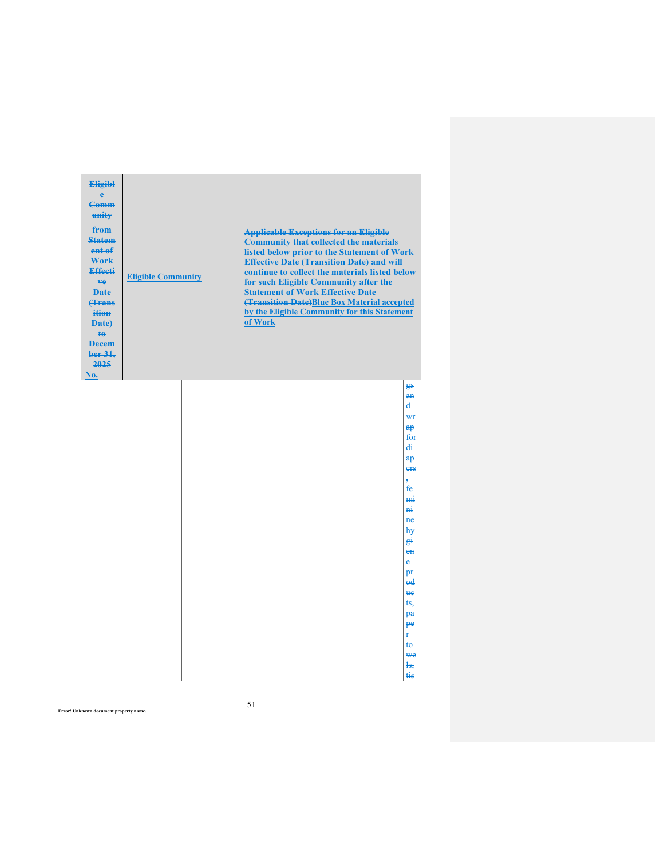| <b>Eligibl</b><br>ė<br><b>Comm</b><br>unity<br>from<br><b>Statem</b><br>ent of<br>Work<br>Effecti<br>ve.<br><b>Date</b><br><b>(Trans</b><br>ition<br>Date)<br>ŧθ<br><b>Decem</b><br>ber 31.<br>2025<br>No. | <b>Eligible Community</b> | <b>Statement of Work Effective Date</b><br>of Work | <b>Applicable Exceptions for an Eligible</b><br><b>Community that collected the materials</b><br>listed below prior to the Statement of Work<br><b>Effective Date (Transition Date) and will</b><br>continue to collect the materials listed below<br>for such Eligible Community after the<br>(Transition Date) Blue Box Material accepted<br>by the Eligible Community for this Statement |                                                                                                                                                                                                                                               |
|------------------------------------------------------------------------------------------------------------------------------------------------------------------------------------------------------------|---------------------------|----------------------------------------------------|---------------------------------------------------------------------------------------------------------------------------------------------------------------------------------------------------------------------------------------------------------------------------------------------------------------------------------------------------------------------------------------------|-----------------------------------------------------------------------------------------------------------------------------------------------------------------------------------------------------------------------------------------------|
|                                                                                                                                                                                                            |                           |                                                    |                                                                                                                                                                                                                                                                                                                                                                                             | gs<br>$\mathbf{a}$ n<br>d<br>₩₽<br>$a$ p<br>f⊖r<br>di<br>$a\mathbf{p}$<br>ers<br>Ŧ<br>£e<br>m <sub>i</sub><br>mi<br>ne<br>h¥<br>件<br>$en$<br>e<br>pr<br>$_{\text{ed}}$<br><b>He</b><br>ŧs.<br>pa<br>pe<br>Ŧ.<br>ŧ⊖<br><b>we</b><br>łs,<br>tis |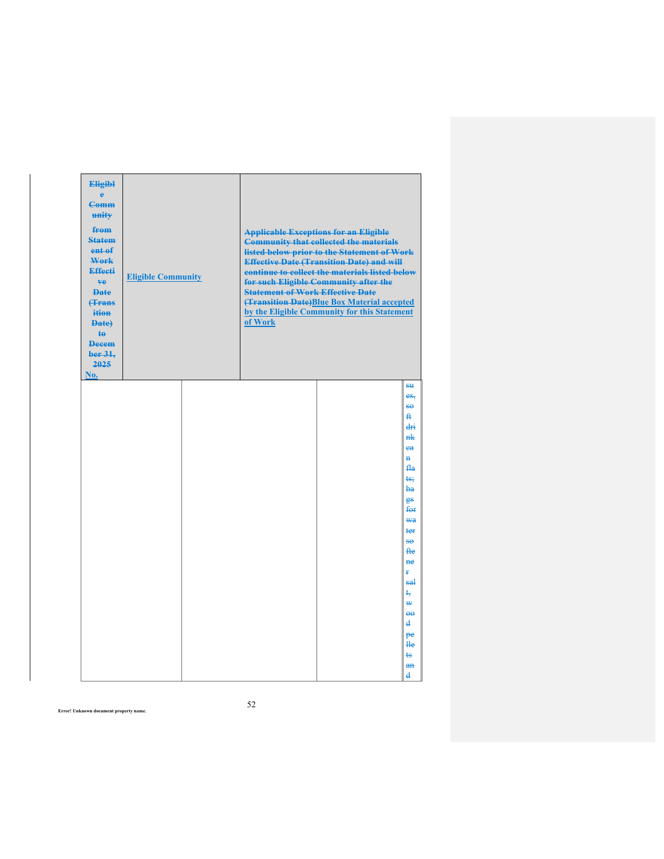| <b>Eligibl</b><br>ė<br><b>Comm</b><br>unity<br>from<br><b>Statem</b><br>ent of<br>Work<br>Effecti<br>ve<br><b>Date</b><br><b><i><u>frans</u></i></b><br>ition<br>Date)<br>$\mathbf{t}$<br><b>Decem</b><br>ber 31.<br>2025<br>No. | <b>Eligible Community</b> | <b>Statement of Work Effective Date</b><br>of Work | <b>Applicable Exceptions for an Eligible</b><br><b>Community that collected the materials</b><br>listed below prior to the Statement of Work<br><b>Effective Date (Transition Date) and will</b><br>continue to collect the materials listed below<br>for such Eligible Community after the<br>(Transition Date)Blue Box Material accepted<br>by the Eligible Community for this Statement |                                                                                                                                                                                          |
|----------------------------------------------------------------------------------------------------------------------------------------------------------------------------------------------------------------------------------|---------------------------|----------------------------------------------------|--------------------------------------------------------------------------------------------------------------------------------------------------------------------------------------------------------------------------------------------------------------------------------------------------------------------------------------------------------------------------------------------|------------------------------------------------------------------------------------------------------------------------------------------------------------------------------------------|
|                                                                                                                                                                                                                                  |                           |                                                    |                                                                                                                                                                                                                                                                                                                                                                                            | es,<br>80<br>₽<br>dri<br>nk<br>ea<br>$\mathbf{H}$<br>fla<br>ts:<br>łж<br>gs<br>for<br><b>wa</b><br>ter<br><del>so</del><br><b>fte</b><br><del>ne</del><br>ŧ<br>sal<br>÷<br>₩<br>$\theta$ |
|                                                                                                                                                                                                                                  |                           |                                                    |                                                                                                                                                                                                                                                                                                                                                                                            | d<br>pe<br>He<br>ts<br>$an$<br>d                                                                                                                                                         |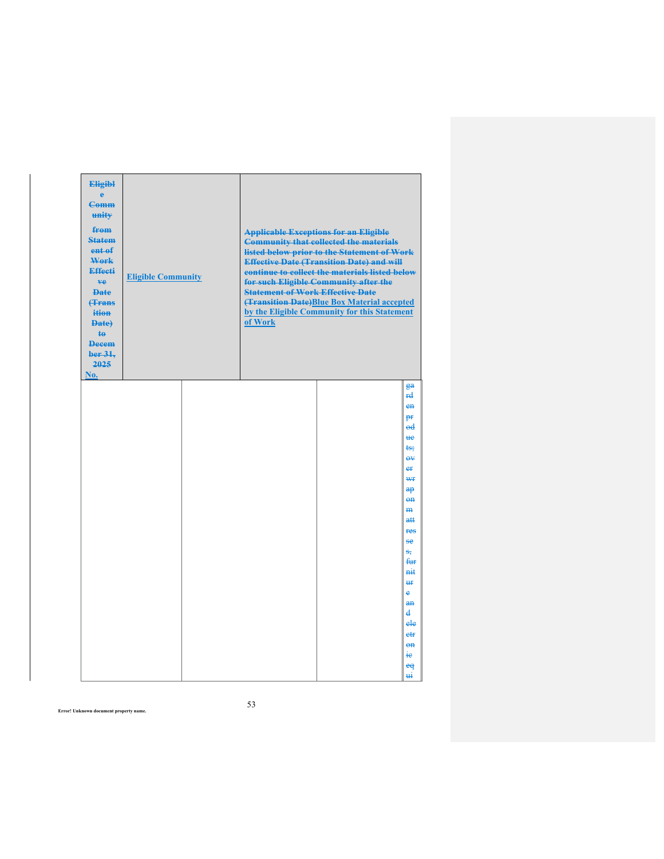| <b>Eligibl</b><br>ė<br><b>Comm</b><br>unity<br>from<br><b>Statem</b><br>ent of<br>Work<br>Effecti<br>ve<br><b>Date</b><br><b><i><u>frans</u></i></b><br>ition<br>Date)<br>te<br><b>Decem</b><br>ber 31.<br>2025<br>No. | <b>Eligible Community</b> | <b>Statement of Work Effective Date</b><br>of Work | <b>Applicable Exceptions for an Eligible</b><br><b>Community that collected the materials</b><br>listed below prior to the Statement of Work<br><b>Effective Date (Transition Date) and will</b><br>continue to collect the materials listed below<br>for such Eligible Community after the<br>(Transition Date)Blue Box Material accepted<br>by the Eligible Community for this Statement |                                                                                                                                                                                                                                                                                  |
|------------------------------------------------------------------------------------------------------------------------------------------------------------------------------------------------------------------------|---------------------------|----------------------------------------------------|--------------------------------------------------------------------------------------------------------------------------------------------------------------------------------------------------------------------------------------------------------------------------------------------------------------------------------------------------------------------------------------------|----------------------------------------------------------------------------------------------------------------------------------------------------------------------------------------------------------------------------------------------------------------------------------|
|                                                                                                                                                                                                                        |                           |                                                    |                                                                                                                                                                                                                                                                                                                                                                                            | ga<br><del>rd</del><br>en<br>pf<br>$_{\text{ed}}$<br>њe<br>ts:<br>$\overline{\Theta V}$<br>er<br>₩f<br>$\theta$<br>$0$<br>m<br>a#<br>res<br>se<br>s,<br><del>fur</del><br>nit<br>₩<br>$\ddot{\textbf{e}}$<br>an<br>$\mathbf{d}$<br>ele<br>$e$ fr<br>$eh$<br>ie<br>$\mathbf{e}$ q |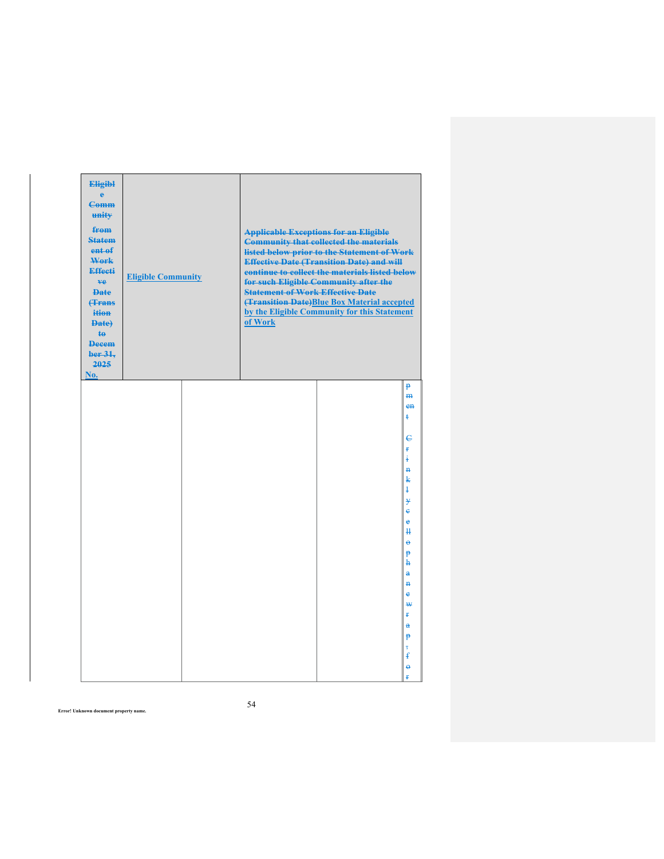| <b>Eligibl</b><br>ė<br><b>Comm</b><br>unity<br>from<br><b>Statem</b><br>ent of<br>Work<br><b>Effecti</b><br>ve<br><b>Date</b><br><b>(Trans</b><br>ition<br>Date)<br>te.<br><b>Decem</b><br>ber 31.<br>2025<br>No. | <b>Eligible Community</b> | <b>Statement of Work Effective Date</b><br>of Work | <b>Applicable Exceptions for an Eligible</b><br><b>Community that collected the materials</b><br>listed below prior to the Statement of Work<br><b>Effective Date (Transition Date) and will</b><br>continue to collect the materials listed below<br>for such Eligible Community after the<br>(Transition Date)Blue Box Material accepted<br>by the Eligible Community for this Statement |                                                                                                                                                                                                                                 |
|-------------------------------------------------------------------------------------------------------------------------------------------------------------------------------------------------------------------|---------------------------|----------------------------------------------------|--------------------------------------------------------------------------------------------------------------------------------------------------------------------------------------------------------------------------------------------------------------------------------------------------------------------------------------------------------------------------------------------|---------------------------------------------------------------------------------------------------------------------------------------------------------------------------------------------------------------------------------|
|                                                                                                                                                                                                                   |                           |                                                    |                                                                                                                                                                                                                                                                                                                                                                                            | p<br>H <sub>H</sub><br>$e$ n<br>ŧ<br>€<br>ŧ<br>ŧ<br>$\mathbf{H}$<br>k<br>ł<br>¥<br>è<br>ė<br>₩<br>$\ddot{\theta}$<br>P<br>ħ<br>$\ddot{\mathbf{a}}$<br>$\overline{a}$<br>è<br>₩<br>ŧ<br>$\mathbf{a}$<br>P<br>$\overline{5}$<br>£ |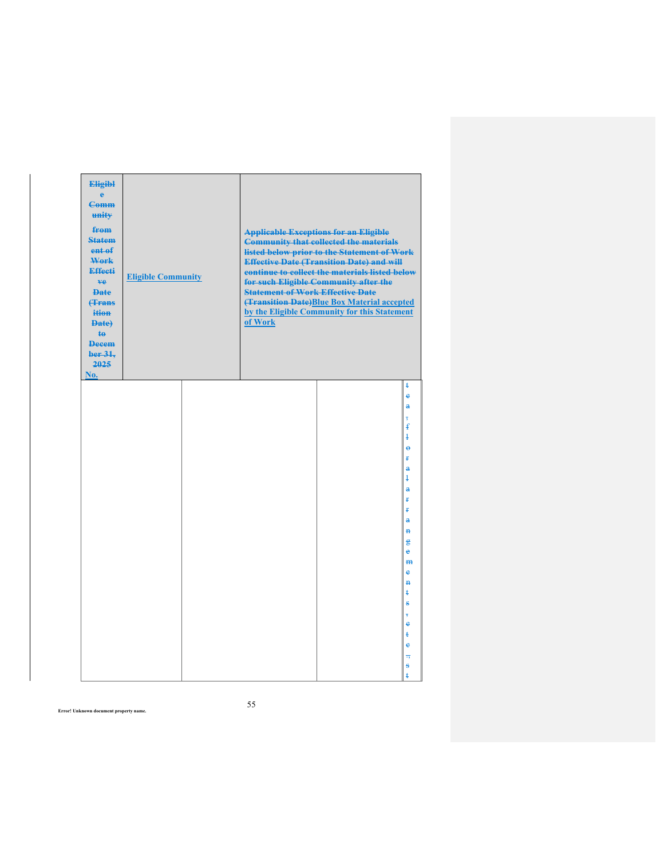| <b>Eligibl</b><br>è<br><b>Comm</b><br>unity<br>from<br><b>Statem</b><br>ent of<br>Work<br><b>Effecti</b><br>ve<br><b>Date</b><br><b>(Trans</b><br>ition<br>Date)<br>te<br><b>Decem</b><br>ber 31.<br>2025<br>No. | <b>Eligible Community</b> | <b>Statement of Work Effective Date</b><br>of Work | <b>Applicable Exceptions for an Eligible</b><br><b>Community that collected the materials</b><br>listed below prior to the Statement of Work<br><b>Effective Date (Transition Date) and will</b><br>continue to collect the materials listed below<br>for such Eligible Community after the<br>(Transition Date)Blue Box Material accepted<br>by the Eligible Community for this Statement |                                                                                                                                                                                                           |
|------------------------------------------------------------------------------------------------------------------------------------------------------------------------------------------------------------------|---------------------------|----------------------------------------------------|--------------------------------------------------------------------------------------------------------------------------------------------------------------------------------------------------------------------------------------------------------------------------------------------------------------------------------------------------------------------------------------------|-----------------------------------------------------------------------------------------------------------------------------------------------------------------------------------------------------------|
|                                                                                                                                                                                                                  |                           |                                                    |                                                                                                                                                                                                                                                                                                                                                                                            | ŧ<br>$\ddot{\textbf{e}}$<br>a<br>$\overline{5}$<br>$\pmb{\mathrm{f}}$<br>$\mathbf{1}$<br>$\ddot{\mathbf{e}}$<br>ŧ<br>$\ddot{\mathbf{a}}$<br>ł<br>$\ddot{\mathbf{a}}$<br>ŧ<br>¥.<br>å<br>$\mathbf{H}$<br>g |
|                                                                                                                                                                                                                  |                           |                                                    |                                                                                                                                                                                                                                                                                                                                                                                            | è<br>m<br>ĕ<br>$\overline{\mathbf{H}}$<br>ŧ<br>s<br>$\overline{5}$<br>è<br>ŧ<br>ė<br>75<br>ŝ<br>ŧ                                                                                                         |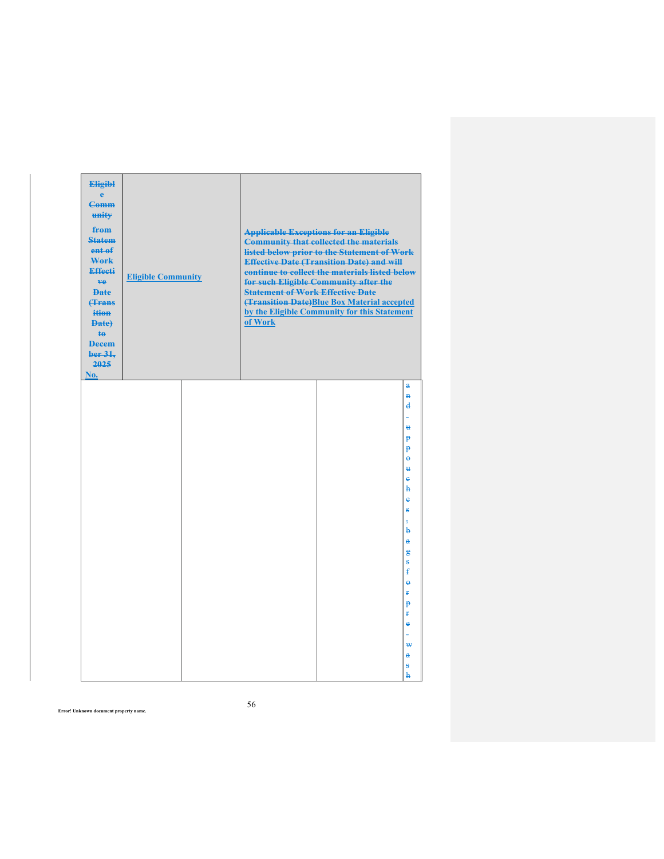| <b>Eligibl</b><br>è<br><b>Comm</b><br>unity<br>from<br><b>Statem</b><br>ent <sub>ef</sub><br>Work<br><b>Effecti</b><br>ve<br><b>Date</b><br><b>(Trans</b><br>ition<br>Date)<br><b>te</b><br><b>Decem</b><br>ber 31.<br>2025<br>No. | <b>Eligible Community</b> | <b>Statement of Work Effective Date</b><br>of Work | <b>Applicable Exceptions for an Eligible</b><br><b>Community that collected the materials</b><br>listed below prior to the Statement of Work<br><b>Effective Date (Transition Date) and will</b><br>continue to collect the materials listed below<br>for such Eligible Community after the<br>(Transition Date)Blue Box Material accepted<br>by the Eligible Community for this Statement |                                                       |
|------------------------------------------------------------------------------------------------------------------------------------------------------------------------------------------------------------------------------------|---------------------------|----------------------------------------------------|--------------------------------------------------------------------------------------------------------------------------------------------------------------------------------------------------------------------------------------------------------------------------------------------------------------------------------------------------------------------------------------------|-------------------------------------------------------|
|                                                                                                                                                                                                                                    |                           |                                                    |                                                                                                                                                                                                                                                                                                                                                                                            | $\overline{a}$<br>$\mathbf{H}$<br>$\overline{d}$<br>u |
|                                                                                                                                                                                                                                    |                           |                                                    |                                                                                                                                                                                                                                                                                                                                                                                            | p<br>P<br>$\ddot{\theta}$<br>₩<br>e<br>h              |
|                                                                                                                                                                                                                                    |                           |                                                    |                                                                                                                                                                                                                                                                                                                                                                                            | e<br>s<br>÷<br>b<br>$\ddot{\mathbf{a}}$               |
|                                                                                                                                                                                                                                    |                           |                                                    |                                                                                                                                                                                                                                                                                                                                                                                            | 鲁<br>$\ddot{\mathbf{s}}$<br>ŧ<br>$\ddot{\theta}$<br>ŧ |
|                                                                                                                                                                                                                                    |                           |                                                    |                                                                                                                                                                                                                                                                                                                                                                                            | p<br>ŧ<br>$\ddot{\textbf{e}}$<br>₩                    |
|                                                                                                                                                                                                                                    |                           |                                                    |                                                                                                                                                                                                                                                                                                                                                                                            | $\mathbf{a}$<br>s<br>$\mathbf{h}$                     |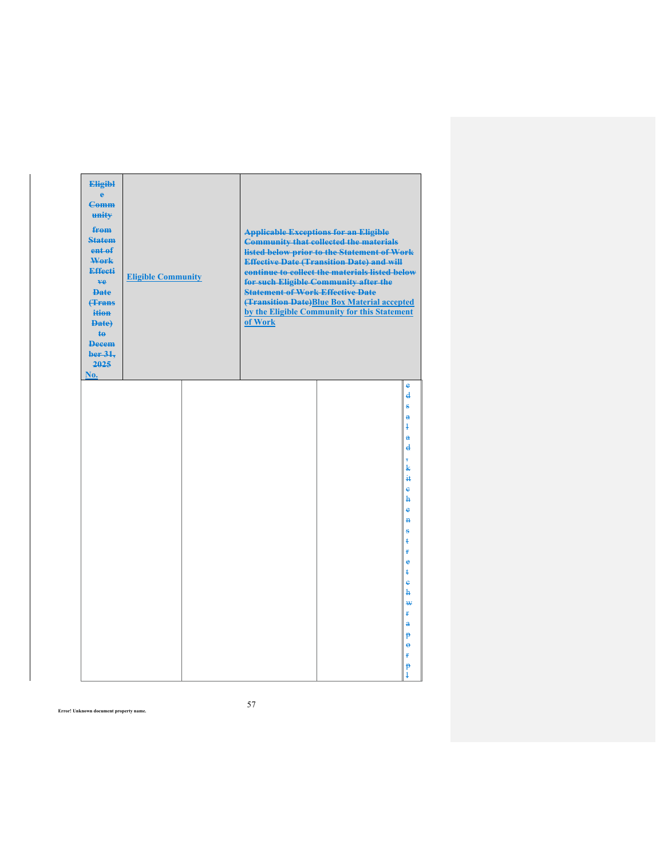| <b>Eligibl</b><br>ė<br><b>Comm</b><br>unity<br>from<br><b>Statem</b><br>ent of<br>Work<br><b>Effecti</b><br>ve<br><b>Date</b><br><b>(Trans</b><br>ition<br>Date)<br>te.<br><b>Decem</b><br>ber 31.<br>2025<br>No. | <b>Eligible Community</b> | <b>Statement of Work Effective Date</b><br>of Work | <b>Applicable Exceptions for an Eligible</b><br><b>Community that collected the materials</b><br>listed below prior to the Statement of Work<br><b>Effective Date (Transition Date) and will</b><br>continue to collect the materials listed below<br>for such Eligible Community after the<br>(Transition Date)Blue Box Material accepted<br>by the Eligible Community for this Statement |                                                                                                                                                                                                                                                                                  |
|-------------------------------------------------------------------------------------------------------------------------------------------------------------------------------------------------------------------|---------------------------|----------------------------------------------------|--------------------------------------------------------------------------------------------------------------------------------------------------------------------------------------------------------------------------------------------------------------------------------------------------------------------------------------------------------------------------------------------|----------------------------------------------------------------------------------------------------------------------------------------------------------------------------------------------------------------------------------------------------------------------------------|
|                                                                                                                                                                                                                   |                           |                                                    |                                                                                                                                                                                                                                                                                                                                                                                            | e<br>$\overline{\mathbf{d}}$<br>ŝ<br>$\ddot{\textbf{a}}$<br>ļ<br>$\mathbf{a}$<br>$\overline{\mathbf{d}}$<br>$\overline{5}$<br>k<br>Ħ<br>è<br>ħ<br>ė<br>$\overline{P}$<br>Ŝ<br>ŧ<br>ŧ<br>ė<br>ŧ<br>ė<br>ħ<br>₩<br>ŧ<br>$\ddot{\mathbf{a}}$<br>p<br>$\ddot{\theta}$<br>ŧ<br>P<br>ł |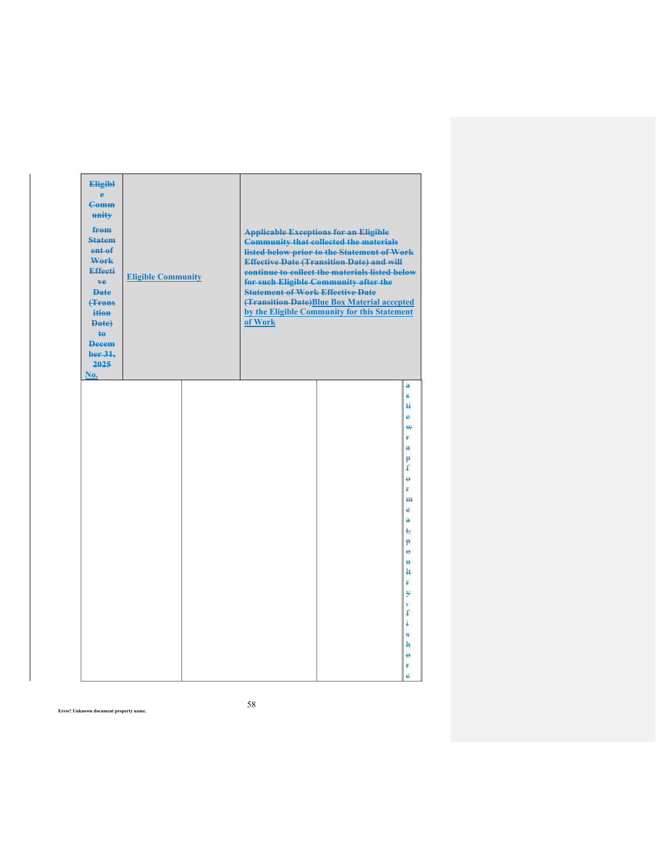| <b>Eligibl</b><br>è<br><b>Comm</b><br>unity<br>from<br><b>Statem</b><br>ent of<br>Work<br><b>Effecti</b><br>ve.<br><b>Date</b><br><b>(Trans</b><br>ition<br>Date)<br>te.<br><b>Decem</b><br>ber 31.<br>2025<br>No. | <b>Eligible Community</b> | <b>Statement of Work Effective Date</b><br>of Work | <b>Applicable Exceptions for an Eligible</b><br><b>Community that collected the materials</b><br>listed below prior to the Statement of Work<br><b>Effective Date (Transition Date) and will</b><br>continue to collect the materials listed below<br>for such Eligible Community after the<br>(Transition Date)Blue Box Material accepted<br>by the Eligible Community for this Statement |                                                                                                                                                                                                                                              |
|--------------------------------------------------------------------------------------------------------------------------------------------------------------------------------------------------------------------|---------------------------|----------------------------------------------------|--------------------------------------------------------------------------------------------------------------------------------------------------------------------------------------------------------------------------------------------------------------------------------------------------------------------------------------------------------------------------------------------|----------------------------------------------------------------------------------------------------------------------------------------------------------------------------------------------------------------------------------------------|
|                                                                                                                                                                                                                    |                           |                                                    |                                                                                                                                                                                                                                                                                                                                                                                            | a<br>ŝ<br>ti<br>ė<br>₩<br>ŧ<br>$\ddot{\textbf{a}}$<br>p<br>ŧ<br>$\ddot{\theta}$<br>¥.<br>H <sub>H</sub><br>ė<br>å<br>ŧ,<br>P<br>$\ddot{\mathbf{e}}$<br>$\mathbf{H}$<br>łŧ<br>ŧ<br>y<br>$\overline{5}$<br>€<br>ŧ<br>s<br>ħ<br>$\ddot{\theta}$ |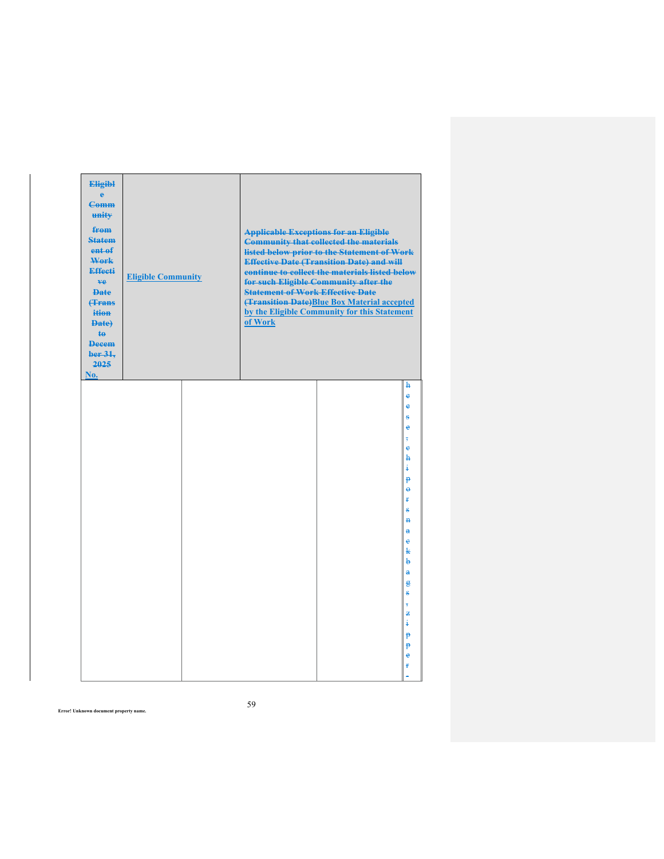| <b>Eligibl</b><br>è<br><b>Comm</b><br>unity<br>from<br><b>Statem</b><br>ent of<br>Work<br><b>Effecti</b><br>ve<br><b>Date</b><br><b>(Trans</b><br>ition<br>Date)<br><b>te</b><br><b>Decem</b><br>ber 31.<br>2025<br>No. | <b>Eligible Community</b> | <b>Statement of Work Effective Date</b><br>of Work | <b>Applicable Exceptions for an Eligible</b><br><b>Community that collected the materials</b><br>listed below prior to the Statement of Work<br><b>Effective Date (Transition Date) and will</b><br>continue to collect the materials listed below<br>for such Eligible Community after the<br>(Transition Date)Blue Box Material accepted<br>by the Eligible Community for this Statement |                                                                                                                                                                                                                |
|-------------------------------------------------------------------------------------------------------------------------------------------------------------------------------------------------------------------------|---------------------------|----------------------------------------------------|--------------------------------------------------------------------------------------------------------------------------------------------------------------------------------------------------------------------------------------------------------------------------------------------------------------------------------------------------------------------------------------------|----------------------------------------------------------------------------------------------------------------------------------------------------------------------------------------------------------------|
|                                                                                                                                                                                                                         |                           |                                                    |                                                                                                                                                                                                                                                                                                                                                                                            | ħ<br>è<br>ė<br>s<br>ė<br>$\overline{5}$<br>è<br>ħ<br>ŧ<br>$\mathbf{p}$<br>$\ddot{\theta}$<br>Ŧ<br>Š<br>$\overline{P}$<br>a<br>e<br>k<br>b<br>$\mathbf{a}$<br>g<br>ŝ<br>$\overline{5}$<br>丢<br>ŧ<br>p<br>p<br>e |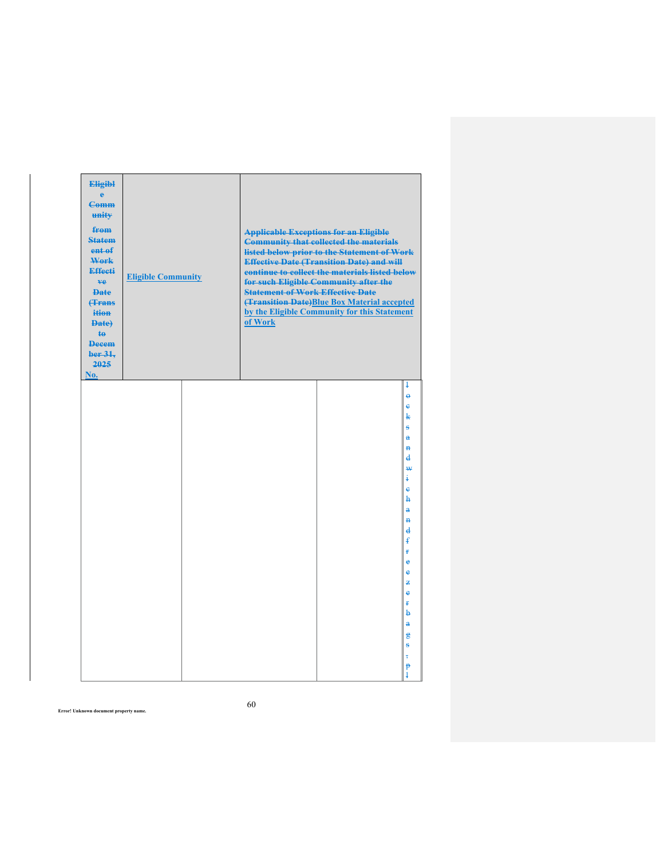| <b>Eligibl</b><br>è<br><b>Comm</b><br>unity<br>from<br><b>Statem</b><br>ent of<br>Work<br><b>Effecti</b><br>ve<br><b>Date</b><br><b>(Trans</b><br>ition<br>Date)<br><b>te</b><br><b>Decem</b><br>ber 31.<br>2025<br>No. | <b>Eligible Community</b> | <b>Statement of Work Effective Date</b><br>of Work | <b>Applicable Exceptions for an Eligible</b><br><b>Community that collected the materials</b><br>listed below prior to the Statement of Work<br><b>Effective Date (Transition Date) and will</b><br>continue to collect the materials listed below<br>for such Eligible Community after the<br>(Transition Date)Blue Box Material accepted<br>by the Eligible Community for this Statement |                                                                                                                                                                                                                                                                                       |
|-------------------------------------------------------------------------------------------------------------------------------------------------------------------------------------------------------------------------|---------------------------|----------------------------------------------------|--------------------------------------------------------------------------------------------------------------------------------------------------------------------------------------------------------------------------------------------------------------------------------------------------------------------------------------------------------------------------------------------|---------------------------------------------------------------------------------------------------------------------------------------------------------------------------------------------------------------------------------------------------------------------------------------|
|                                                                                                                                                                                                                         |                           |                                                    |                                                                                                                                                                                                                                                                                                                                                                                            | ł<br>$\ddot{\mathbf{e}}$<br>ė<br>k<br>ŝ<br>$\mathbf{a}$<br>$\overline{\mathbf{H}}$<br>$\mathbf{d}$<br>₩<br>ŧ<br>è<br>ħ<br>$\overline{a}$<br>$\overline{P}$<br>$\mathbf{d}$<br>£<br>ŧ<br>è<br>è<br>z<br>è<br>ŧ<br>b<br>$\ddot{\mathbf{a}}$<br>$\mathbf{g}$<br>ŝ<br>$\overline{5}$<br>P |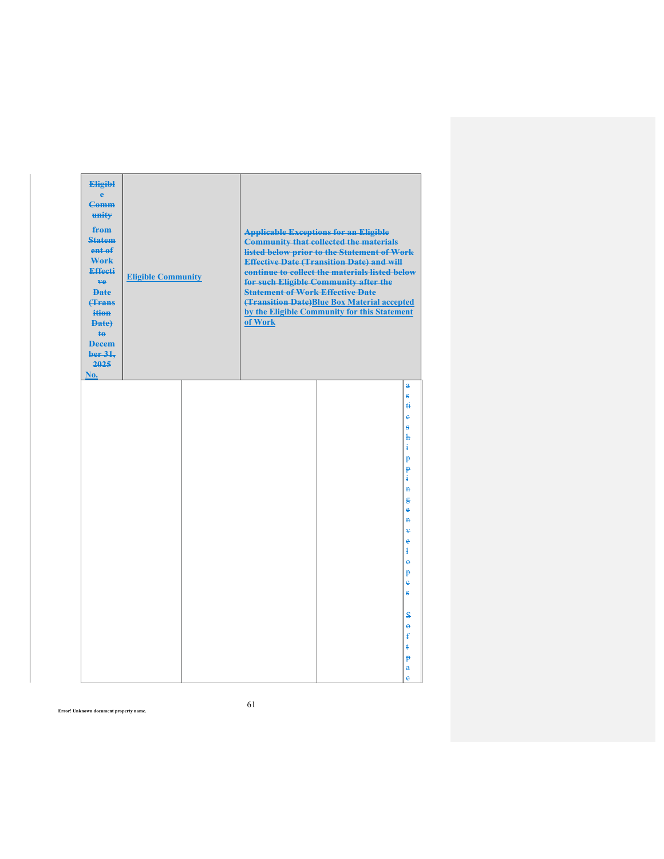| <b>Eligibl</b><br>ė<br><b>Comm</b><br>unity<br>from<br><b>Statem</b><br>ent of<br>Work<br><b>Effecti</b><br>ve.<br><b>Date</b><br><b>(Trans</b><br>ition<br>Date)<br>$\mathbf{t}$<br><b>Decem</b><br>ber 31,<br>2025<br>No. | <b>Eligible Community</b> | <b>Statement of Work Effective Date</b><br>of Work | <b>Applicable Exceptions for an Eligible</b><br><b>Community that collected the materials</b><br>listed below prior to the Statement of Work<br><b>Effective Date (Transition Date) and will</b><br>continue to collect the materials listed below<br>for such Eligible Community after the<br>(Transition Date)Blue Box Material accepted<br>by the Eligible Community for this Statement |                                                                           |
|-----------------------------------------------------------------------------------------------------------------------------------------------------------------------------------------------------------------------------|---------------------------|----------------------------------------------------|--------------------------------------------------------------------------------------------------------------------------------------------------------------------------------------------------------------------------------------------------------------------------------------------------------------------------------------------------------------------------------------------|---------------------------------------------------------------------------|
|                                                                                                                                                                                                                             |                           |                                                    |                                                                                                                                                                                                                                                                                                                                                                                            | a<br>ŝ<br>$\ddot{H}$<br>ė<br>ŝ<br>$\mathbf{h}$                            |
|                                                                                                                                                                                                                             |                           |                                                    |                                                                                                                                                                                                                                                                                                                                                                                            | ŧ<br>P<br>P<br>$\ddagger$<br>$\ddot{H}$                                   |
|                                                                                                                                                                                                                             |                           |                                                    |                                                                                                                                                                                                                                                                                                                                                                                            | $\mathbf{g}$<br>ė<br>$\ddot{a}$<br>$\ddot{\mathbf{v}}$<br>è<br>$\ddagger$ |
|                                                                                                                                                                                                                             |                           |                                                    |                                                                                                                                                                                                                                                                                                                                                                                            | $\ddot{\theta}$<br>P<br>e<br>s                                            |
|                                                                                                                                                                                                                             |                           |                                                    |                                                                                                                                                                                                                                                                                                                                                                                            | S<br>$\ddot{\mathbf{e}}$<br>£<br>ŧ<br>p<br>$\mathbf{a}$<br>è              |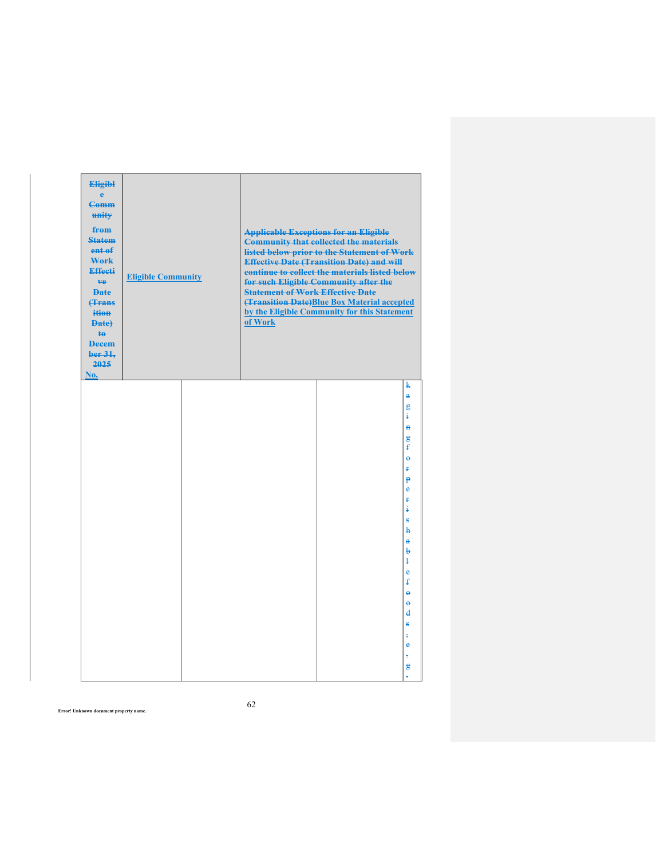| <b>Eligibl</b><br>è<br><b>Comm</b><br>unity<br>from<br><b>Statem</b><br>ent of<br>Work<br><b>Effecti</b><br>ve<br><b>Date</b><br><b>(Trans</b><br>ition<br>Date)<br><b>te</b><br><b>Decem</b><br>ber 31,<br>2025<br>No. | <b>Eligible Community</b> | <b>Statement of Work Effective Date</b><br>of Work | <b>Applicable Exceptions for an Eligible</b><br><b>Community that collected the materials</b><br>listed below prior to the Statement of Work<br><b>Effective Date (Transition Date) and will</b><br>continue to collect the materials listed below<br>for such Eligible Community after the<br>(Transition Date)Blue Box Material accepted<br>by the Eligible Community for this Statement |                                                                            |
|-------------------------------------------------------------------------------------------------------------------------------------------------------------------------------------------------------------------------|---------------------------|----------------------------------------------------|--------------------------------------------------------------------------------------------------------------------------------------------------------------------------------------------------------------------------------------------------------------------------------------------------------------------------------------------------------------------------------------------|----------------------------------------------------------------------------|
|                                                                                                                                                                                                                         |                           |                                                    |                                                                                                                                                                                                                                                                                                                                                                                            | k<br>$\ddot{\textbf{a}}$<br>g<br>ŧ<br>$\mathbf{H}$<br>$\mathbf{g}$         |
|                                                                                                                                                                                                                         |                           |                                                    |                                                                                                                                                                                                                                                                                                                                                                                            | ŧ<br>$\ddot{\theta}$<br>ŧ<br>p<br>$\ddot{\textbf{e}}$<br>ť                 |
|                                                                                                                                                                                                                         |                           |                                                    |                                                                                                                                                                                                                                                                                                                                                                                            | i<br>g,<br>h<br>$\ddot{\mathbf{a}}$<br>þ<br>ł                              |
|                                                                                                                                                                                                                         |                           |                                                    |                                                                                                                                                                                                                                                                                                                                                                                            | $\mathbf e$<br>£<br>$\ddot{\mathbf{e}}$<br>$\ddot{\theta}$<br>$\mathbf{d}$ |
|                                                                                                                                                                                                                         |                           |                                                    |                                                                                                                                                                                                                                                                                                                                                                                            | s<br>$\overline{5}$<br>$\ddot{\textbf{e}}$<br>÷<br>g                       |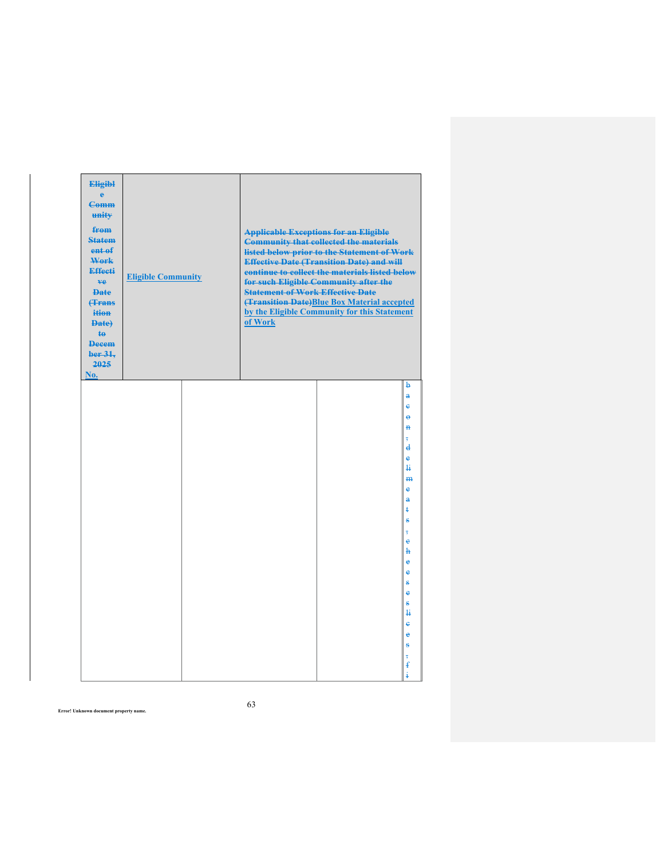| <b>Eligibl</b><br>è<br><b>Comm</b><br>unity<br>from<br><b>Statem</b><br>ent of<br>Work<br><b>Effecti</b><br>ve<br><b>Date</b><br><b>(Trans</b><br>ition<br>Date)<br><b>te</b><br><b>Decem</b><br>ber 31,<br>2025<br>No. | <b>Eligible Community</b> | <b>Statement of Work Effective Date</b><br>of Work | <b>Applicable Exceptions for an Eligible</b><br><b>Community that collected the materials</b><br>listed below prior to the Statement of Work<br><b>Effective Date (Transition Date) and will</b><br>continue to collect the materials listed below<br>for such Eligible Community after the<br>(Transition Date)Blue Box Material accepted<br>by the Eligible Community for this Statement |                                                                                                                                                                                                                                                 |
|-------------------------------------------------------------------------------------------------------------------------------------------------------------------------------------------------------------------------|---------------------------|----------------------------------------------------|--------------------------------------------------------------------------------------------------------------------------------------------------------------------------------------------------------------------------------------------------------------------------------------------------------------------------------------------------------------------------------------------|-------------------------------------------------------------------------------------------------------------------------------------------------------------------------------------------------------------------------------------------------|
|                                                                                                                                                                                                                         |                           |                                                    |                                                                                                                                                                                                                                                                                                                                                                                            | þ<br>å<br>ė<br>$\ddot{\mathbf{e}}$<br>$\overline{B}$<br>$\overline{5}$<br>d<br>è<br>4<br>H <sub>H</sub><br>è<br>$\ddot{\mathbf{a}}$<br>ŧ<br>S<br>$\overline{5}$<br>$\ddot{\textbf{e}}$<br>ħ<br>è<br>è<br>$\bf{s}$<br>è<br>ŝ<br>4<br>ė<br>è<br>s |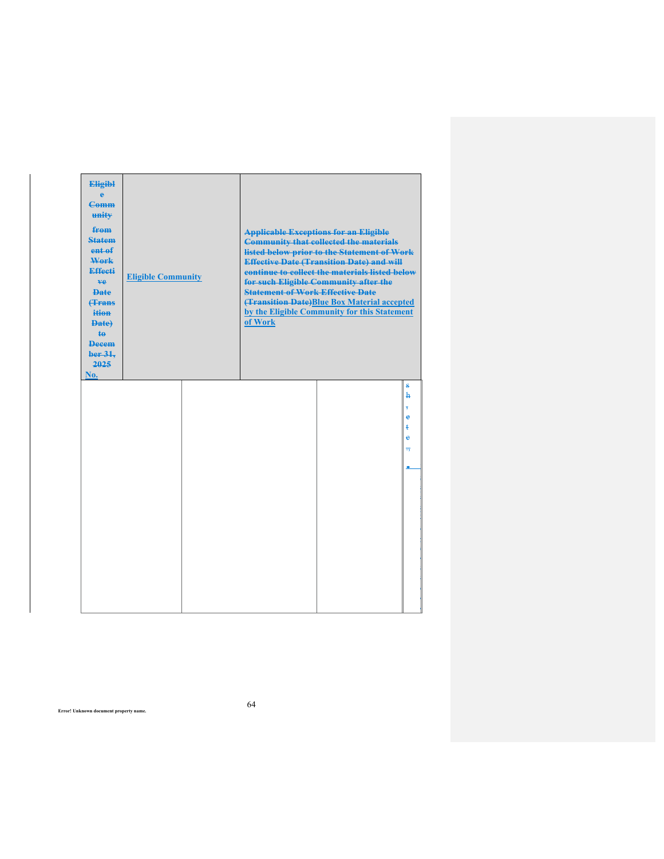| <b>Eligibl</b><br>ė<br><b>Comm</b><br>unity<br>from<br><b>Statem</b><br>ent of<br>Work<br><b>Effecti</b><br>ve.<br><b>Date</b><br><b>(Trans</b><br>ition<br>Date)<br>$\ddagger$<br><b>Decem</b><br>ber 31.<br>2025<br>No. | <b>Eligible Community</b> |  | <b>Applicable Exceptions for an Eligible</b><br><b>Community that collected the materials</b><br>listed below prior to the Statement of Work<br><b>Effective Date (Transition Date) and will</b><br>continue to collect the materials listed below<br>for such Eligible Community after the<br><b>Statement of Work Effective Date</b><br>(Transition Date) Blue Box Material accepted<br>by the Eligible Community for this Statement<br>of Work |  |                                                            |
|---------------------------------------------------------------------------------------------------------------------------------------------------------------------------------------------------------------------------|---------------------------|--|---------------------------------------------------------------------------------------------------------------------------------------------------------------------------------------------------------------------------------------------------------------------------------------------------------------------------------------------------------------------------------------------------------------------------------------------------|--|------------------------------------------------------------|
|                                                                                                                                                                                                                           |                           |  |                                                                                                                                                                                                                                                                                                                                                                                                                                                   |  | s<br>ħ<br>$\overline{5}$<br>è<br>ŧ<br>è<br>$\overline{17}$ |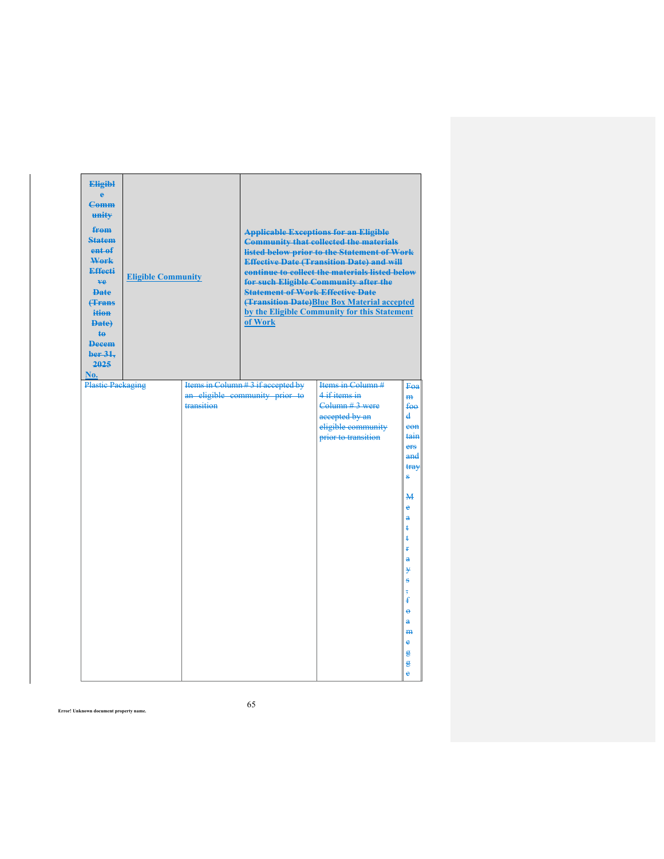| <b>Eligibl</b><br>ė<br><b>Comm</b><br>unity<br>from<br><b>Statem</b><br>ent <sub>ef</sub><br>Work<br><b>Effecti</b><br>ve.<br><b>Date</b><br><b>(Trans</b><br>ition<br>Date)<br><b>te</b><br><b>Decem</b><br>ber 31.<br>2025<br>No.<br><b>Plastic Packaging</b> | <b>Eligible Community</b> |            | <b>Statement of Work Effective Date</b><br>of Work                  | <b>Applicable Exceptions for an Eligible</b><br><b>Community that collected the materials</b><br>listed below prior to the Statement of Work<br><b>Effective Date (Transition Date) and will</b><br>continue to collect the materials listed below<br>for such Eligible Community after the<br><b>(Transition Date)</b> Blue Box Material accepted<br>by the Eligible Community for this Statement<br>Items in Column # |                                                                        |
|-----------------------------------------------------------------------------------------------------------------------------------------------------------------------------------------------------------------------------------------------------------------|---------------------------|------------|---------------------------------------------------------------------|-------------------------------------------------------------------------------------------------------------------------------------------------------------------------------------------------------------------------------------------------------------------------------------------------------------------------------------------------------------------------------------------------------------------------|------------------------------------------------------------------------|
|                                                                                                                                                                                                                                                                 |                           | transition | Items in Column #3 if accepted by<br>an eligible community prior to | $4$ if items in<br>Column # 3 were<br>accepted by an<br>eligible community<br>prior to transition                                                                                                                                                                                                                                                                                                                       | Fea<br>m <sub>1</sub><br>$f_{\Theta\Theta}$<br>d<br>eon<br>tain<br>ers |
|                                                                                                                                                                                                                                                                 |                           |            |                                                                     |                                                                                                                                                                                                                                                                                                                                                                                                                         | and<br>tray<br>s<br>$\mathbf{M}$                                       |
|                                                                                                                                                                                                                                                                 |                           |            |                                                                     |                                                                                                                                                                                                                                                                                                                                                                                                                         | e<br>å<br>ŧ<br>ŧ                                                       |
|                                                                                                                                                                                                                                                                 |                           |            |                                                                     |                                                                                                                                                                                                                                                                                                                                                                                                                         | ŧ<br>$\ddot{\textbf{a}}$<br>¥<br>Ŝ                                     |
|                                                                                                                                                                                                                                                                 |                           |            |                                                                     |                                                                                                                                                                                                                                                                                                                                                                                                                         | ŧ<br>$\ddot{\theta}$<br>ê<br>m                                         |
|                                                                                                                                                                                                                                                                 |                           |            |                                                                     |                                                                                                                                                                                                                                                                                                                                                                                                                         | è<br>g<br>g<br>ė                                                       |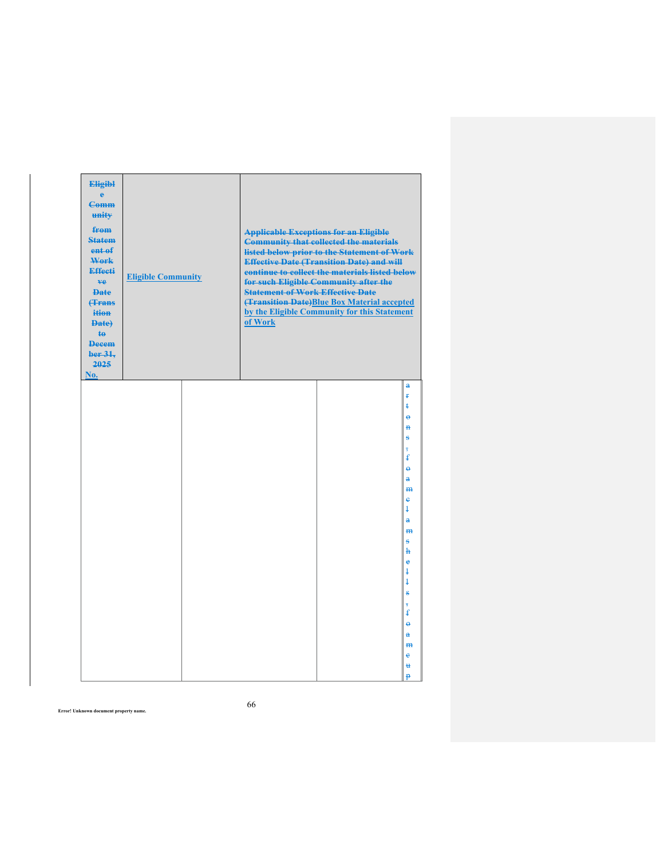| <b>Eligibl</b><br>ė<br><b>Comm</b><br>unity<br>from<br><b>Statem</b><br>ent of<br>Work<br><b>Effecti</b><br>ve.<br><b>Date</b><br><b>(Trans</b><br>ition<br>Date)<br>te<br><b>Decem</b><br>ber 31.<br>2025<br>No. | <b>Eligible Community</b> | <b>Statement of Work Effective Date</b><br>of Work | <b>Applicable Exceptions for an Eligible</b><br><b>Community that collected the materials</b><br>listed below prior to the Statement of Work<br><b>Effective Date (Transition Date) and will</b><br>continue to collect the materials listed below<br>for such Eligible Community after the<br>(Transition Date) Blue Box Material accepted<br>by the Eligible Community for this Statement |                                                                                                                                                     |
|-------------------------------------------------------------------------------------------------------------------------------------------------------------------------------------------------------------------|---------------------------|----------------------------------------------------|---------------------------------------------------------------------------------------------------------------------------------------------------------------------------------------------------------------------------------------------------------------------------------------------------------------------------------------------------------------------------------------------|-----------------------------------------------------------------------------------------------------------------------------------------------------|
|                                                                                                                                                                                                                   |                           |                                                    |                                                                                                                                                                                                                                                                                                                                                                                             | $\mathbf{a}$<br>ŧ<br>ŧ<br>$\ddot{\mathbf{e}}$<br>$\overline{B}$<br>s<br>$\overline{5}$<br>£<br>$\ddot{\mathbf{e}}$<br>$\ddot{\mathrm{a}}$<br>m<br>e |
|                                                                                                                                                                                                                   |                           |                                                    |                                                                                                                                                                                                                                                                                                                                                                                             | ļ<br>å<br>m<br>s<br>ħ<br>è<br>ŧ<br>ł<br>s<br>$\overline{5}$<br>£                                                                                    |
|                                                                                                                                                                                                                   |                           |                                                    |                                                                                                                                                                                                                                                                                                                                                                                             | $\ddot{\theta}$<br>$\mathbf{a}$<br>H <sub>H</sub><br>e<br>u<br>Ð                                                                                    |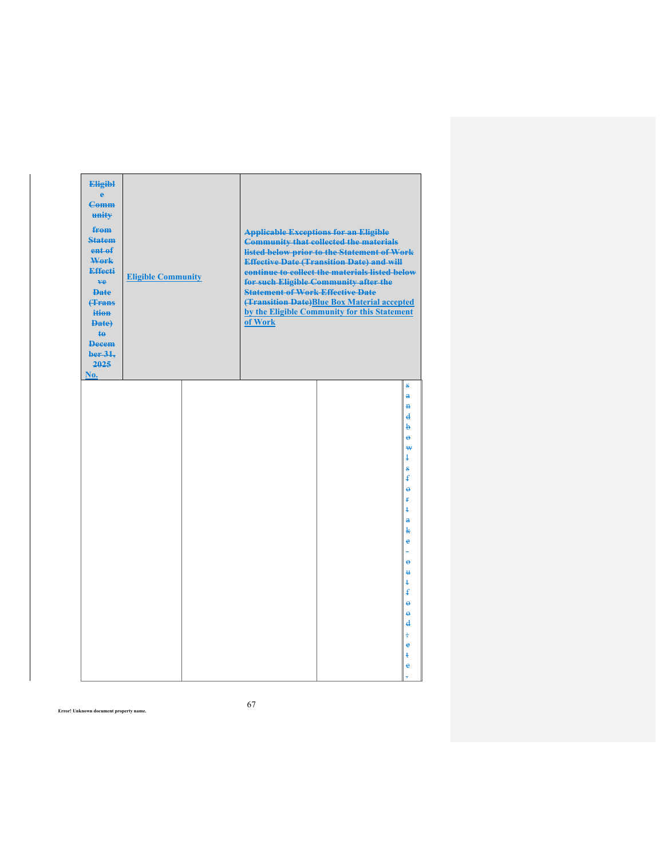| <b>Eligibl</b><br>è<br><b>Comm</b><br>unity<br>from<br><b>Statem</b><br>ent of<br>Work<br><b>Effecti</b><br>ve.<br><b>Date</b><br><b>(Trans</b><br>ition<br>Date)<br><b>te</b><br><b>Decem</b><br>ber 31.<br>2025<br>No. | <b>Eligible Community</b> | <b>Statement of Work Effective Date</b><br>of Work | <b>Applicable Exceptions for an Eligible</b><br><b>Community that collected the materials</b><br>listed below prior to the Statement of Work<br><b>Effective Date (Transition Date) and will</b><br>continue to collect the materials listed below<br>for such Eligible Community after the<br>(Transition Date)Blue Box Material accepted<br>by the Eligible Community for this Statement |                                                                          |
|--------------------------------------------------------------------------------------------------------------------------------------------------------------------------------------------------------------------------|---------------------------|----------------------------------------------------|--------------------------------------------------------------------------------------------------------------------------------------------------------------------------------------------------------------------------------------------------------------------------------------------------------------------------------------------------------------------------------------------|--------------------------------------------------------------------------|
|                                                                                                                                                                                                                          |                           |                                                    |                                                                                                                                                                                                                                                                                                                                                                                            | ŝ<br>$\ddot{\mathbf{a}}$<br>$\overline{\mathbf{a}}$<br>$\mathbf{d}$<br>þ |
|                                                                                                                                                                                                                          |                           |                                                    |                                                                                                                                                                                                                                                                                                                                                                                            | $\ddot{\theta}$<br>₩<br>ł<br>s<br>ŧ                                      |
|                                                                                                                                                                                                                          |                           |                                                    |                                                                                                                                                                                                                                                                                                                                                                                            | $\ddot{\theta}$<br>ŧ<br>ŧ<br>å                                           |
|                                                                                                                                                                                                                          |                           |                                                    |                                                                                                                                                                                                                                                                                                                                                                                            | k<br>$\ddot{\phantom{1}}$<br>$\ddot{\mathbf{e}}$<br>$\mathbf{H}$         |
|                                                                                                                                                                                                                          |                           |                                                    |                                                                                                                                                                                                                                                                                                                                                                                            | ŧ<br>ŧ<br>$\ddot{\theta}$<br>$\ddot{\theta}$<br>$\mathbf{d}$             |
|                                                                                                                                                                                                                          |                           |                                                    |                                                                                                                                                                                                                                                                                                                                                                                            | $\frac{1}{2}$<br>$\ddot{\textbf{e}}$<br>ŧ<br>ė                           |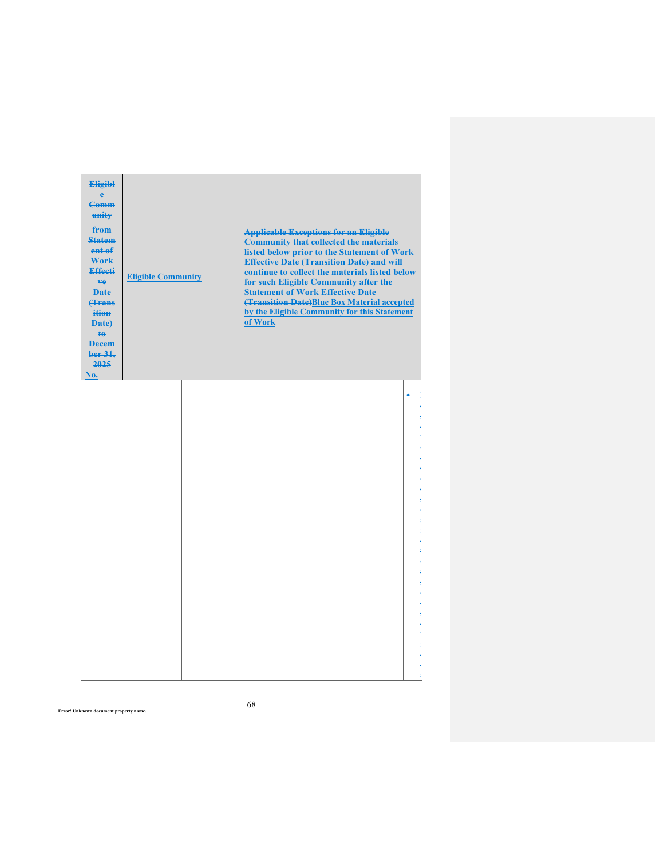| <b>Eligibl</b><br>ė<br><b>Comm</b><br>unity<br>from<br><b>Statem</b><br>ent of<br>Work<br><b>Effecti</b><br>ve.<br><b>Date</b><br><b><i><u>frans</u></i></b><br>ition<br>Date)<br>$\ddagger$<br><b>Decem</b><br>ber 31.<br>2025<br>No. | <b>Eligible Community</b> | <b>Statement of Work Effective Date</b><br>of Work | <b>Applicable Exceptions for an Eligible</b><br><b>Community that collected the materials</b><br>listed below prior to the Statement of Work<br><b>Effective Date (Transition Date) and will</b><br>continue to collect the materials listed below<br>for such Eligible Community after the<br>(Transition Date) Blue Box Material accepted<br>by the Eligible Community for this Statement |  |
|----------------------------------------------------------------------------------------------------------------------------------------------------------------------------------------------------------------------------------------|---------------------------|----------------------------------------------------|---------------------------------------------------------------------------------------------------------------------------------------------------------------------------------------------------------------------------------------------------------------------------------------------------------------------------------------------------------------------------------------------|--|
|                                                                                                                                                                                                                                        |                           |                                                    |                                                                                                                                                                                                                                                                                                                                                                                             |  |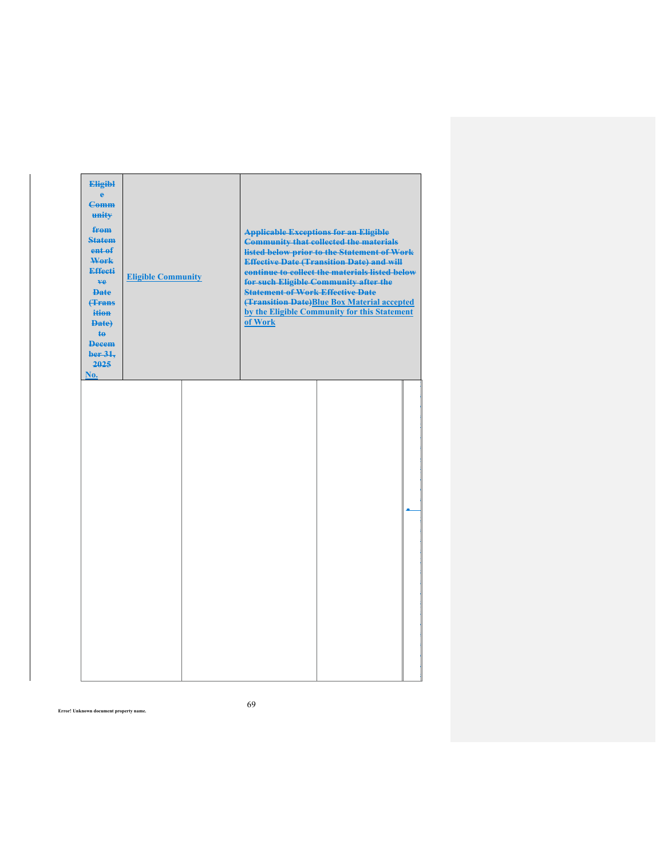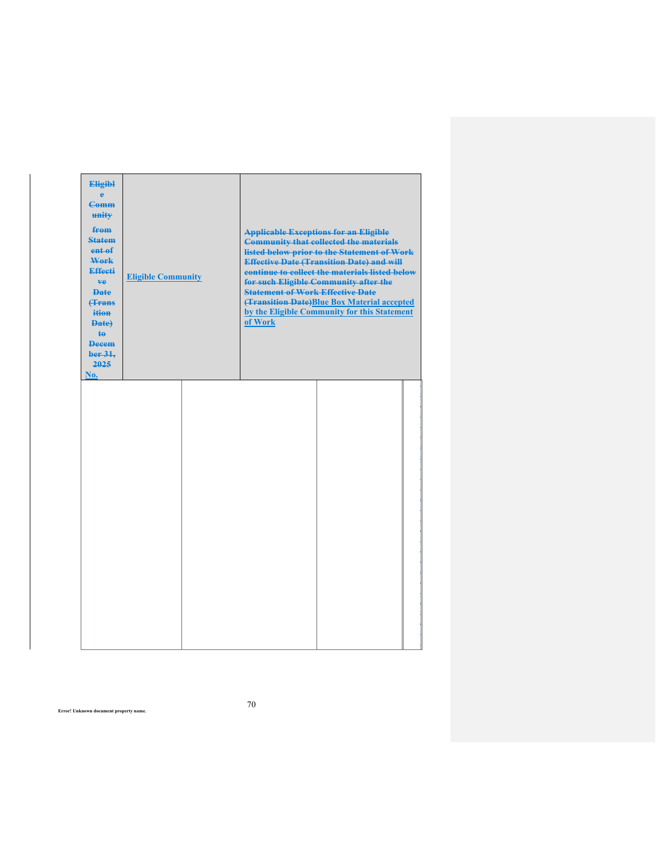| <b>Eligibl</b><br>ê<br><b>Comm</b><br>unity<br>from<br><b>Statem</b><br>ent of<br>Work<br>Effecti<br>ve.<br><b>Date</b><br><b>(Trans</b> )<br>ition<br>Date)<br>te.<br><b>Decem</b><br>ber 31,<br>2025<br>No. | <b>Eligible Community</b> | <b>Applicable Exceptions for an Eligible</b><br><b>Statement of Work Effective Date</b><br>of Work | <b>Community that collected the materials</b><br>listed below prior to the Statement of Work<br><b>Effective Date (Transition Date) and will</b><br>continue to collect the materials listed below<br>for such Eligible Community after the<br>(Transition Date) Blue Box Material accepted<br>by the Eligible Community for this Statement |  |
|---------------------------------------------------------------------------------------------------------------------------------------------------------------------------------------------------------------|---------------------------|----------------------------------------------------------------------------------------------------|---------------------------------------------------------------------------------------------------------------------------------------------------------------------------------------------------------------------------------------------------------------------------------------------------------------------------------------------|--|
|                                                                                                                                                                                                               |                           |                                                                                                    |                                                                                                                                                                                                                                                                                                                                             |  |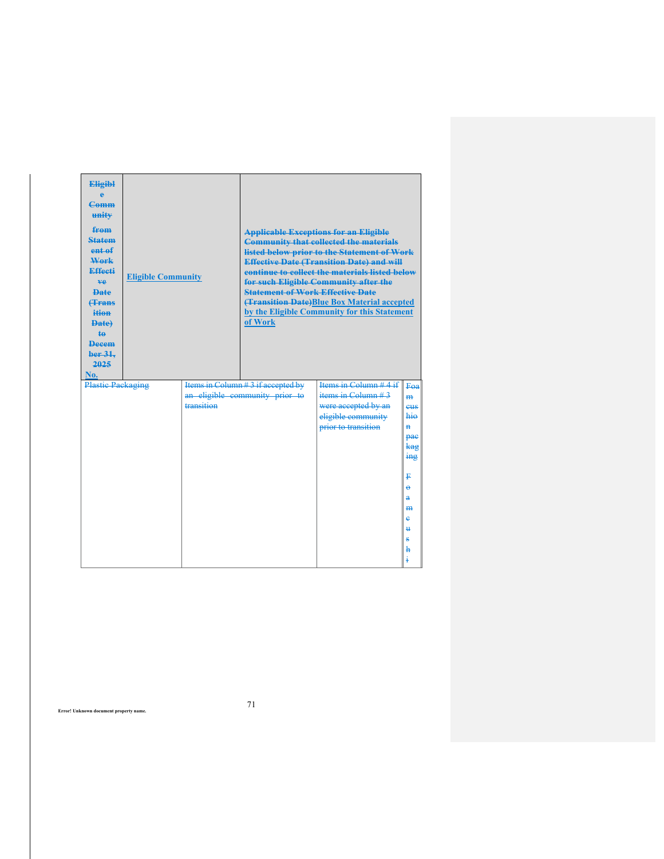| <b>Eligibl</b><br>A<br>$Camm$<br>unity<br>from<br><b>Statem</b><br>entaf<br>Work<br>Effecti<br><b>ve</b><br><b>Date</b><br><b>(Trans</b><br>ition<br><b>Date)</b><br>$\ddagger$<br><b>Decem</b><br>ber 31.<br>2025<br>No. | <b>Eligible Community</b> |            | <b>Applicable Exceptions for an Eligible</b><br><b>Community that collected the materials</b><br>listed below prior to the Statement of Work<br><b>Effective Date (Transition Date) and will</b><br>continue to collect the materials listed below<br>for such Eligible Community after the<br><b>Statement of Work Effective Date</b><br><b>(Transition Date)Blue Box Material accepted</b><br>by the Eligible Community for this Statement<br>of Work |                         |                     |  |  |
|---------------------------------------------------------------------------------------------------------------------------------------------------------------------------------------------------------------------------|---------------------------|------------|---------------------------------------------------------------------------------------------------------------------------------------------------------------------------------------------------------------------------------------------------------------------------------------------------------------------------------------------------------------------------------------------------------------------------------------------------------|-------------------------|---------------------|--|--|
| Plastic Packaging                                                                                                                                                                                                         |                           |            | Items in Column #3 if accepted by                                                                                                                                                                                                                                                                                                                                                                                                                       | Items in Column $#4$ if | Fea                 |  |  |
|                                                                                                                                                                                                                           |                           |            | an eligible community prior to                                                                                                                                                                                                                                                                                                                                                                                                                          | items in Column $#3$    | H <sub>2</sub>      |  |  |
|                                                                                                                                                                                                                           |                           | transition |                                                                                                                                                                                                                                                                                                                                                                                                                                                         | were accepted by an     | eus                 |  |  |
|                                                                                                                                                                                                                           |                           |            |                                                                                                                                                                                                                                                                                                                                                                                                                                                         | eligible community      | hio                 |  |  |
|                                                                                                                                                                                                                           |                           |            |                                                                                                                                                                                                                                                                                                                                                                                                                                                         | prior to transition     | $\ddot{\textbf{H}}$ |  |  |
|                                                                                                                                                                                                                           |                           |            |                                                                                                                                                                                                                                                                                                                                                                                                                                                         |                         | pae<br>kag          |  |  |
|                                                                                                                                                                                                                           |                           |            |                                                                                                                                                                                                                                                                                                                                                                                                                                                         |                         | $\frac{1}{2}$       |  |  |
|                                                                                                                                                                                                                           |                           |            |                                                                                                                                                                                                                                                                                                                                                                                                                                                         |                         |                     |  |  |
|                                                                                                                                                                                                                           |                           |            |                                                                                                                                                                                                                                                                                                                                                                                                                                                         |                         | ₽                   |  |  |
|                                                                                                                                                                                                                           |                           |            |                                                                                                                                                                                                                                                                                                                                                                                                                                                         |                         | $\ddot{ }$          |  |  |
|                                                                                                                                                                                                                           |                           |            |                                                                                                                                                                                                                                                                                                                                                                                                                                                         |                         | $\overline{a}$      |  |  |
|                                                                                                                                                                                                                           |                           |            |                                                                                                                                                                                                                                                                                                                                                                                                                                                         |                         | <b>HH</b>           |  |  |
|                                                                                                                                                                                                                           |                           |            |                                                                                                                                                                                                                                                                                                                                                                                                                                                         |                         | è                   |  |  |
|                                                                                                                                                                                                                           |                           |            |                                                                                                                                                                                                                                                                                                                                                                                                                                                         |                         | Ħ.                  |  |  |
|                                                                                                                                                                                                                           |                           |            |                                                                                                                                                                                                                                                                                                                                                                                                                                                         |                         | s<br>h              |  |  |
|                                                                                                                                                                                                                           |                           |            |                                                                                                                                                                                                                                                                                                                                                                                                                                                         |                         |                     |  |  |
|                                                                                                                                                                                                                           |                           |            |                                                                                                                                                                                                                                                                                                                                                                                                                                                         |                         |                     |  |  |

71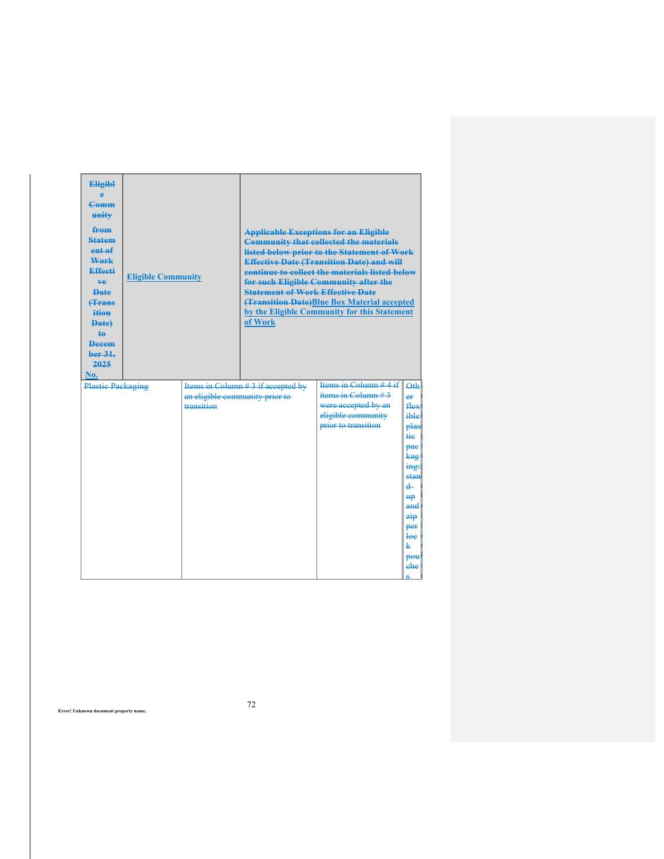| <b>Eligibl</b><br>e<br><b>Comm</b><br>unity<br>from<br><b>Statem</b><br>ent of<br>Work<br><b>Effecti</b><br>ve.<br><b>Date</b><br><b>(Trans</b><br>ition<br>Date)<br><b>te</b><br><b>Decem</b><br>ber 31.<br>2025<br>No. | <b>Eligible Community</b> |                                              | of Work                            | <b>Applicable Exceptions for an Eligible</b><br><b>Community that collected the materials</b><br>listed below prior to the Statement of Work<br><b>Effective Date (Transition Date) and will</b><br>continue to collect the materials listed below<br>for such Eligible Community after the<br><b>Statement of Work Effective Date</b><br>(Transition Date)Blue Box Material accepted<br>by the Eligible Community for this Statement |                                                                                                                                |  |  |
|--------------------------------------------------------------------------------------------------------------------------------------------------------------------------------------------------------------------------|---------------------------|----------------------------------------------|------------------------------------|---------------------------------------------------------------------------------------------------------------------------------------------------------------------------------------------------------------------------------------------------------------------------------------------------------------------------------------------------------------------------------------------------------------------------------------|--------------------------------------------------------------------------------------------------------------------------------|--|--|
| <b>Plastic Packaging</b>                                                                                                                                                                                                 |                           | an eligible community prior to<br>transition | Items in Column # 3 if accepted by | items in Column $#3$<br>were accepted by an<br>eligible community<br>prior to transition                                                                                                                                                                                                                                                                                                                                              | $\Theta$ th<br>er<br>flex<br>ible<br>plas<br>tie<br>рас<br>kag<br>ing:<br>stan<br>$\ddot{ }$<br><b>up</b><br>and<br>zip<br>per |  |  |
|                                                                                                                                                                                                                          |                           |                                              |                                    |                                                                                                                                                                                                                                                                                                                                                                                                                                       | <del>loc</del><br>k<br>pou<br>ehe<br>۵                                                                                         |  |  |

72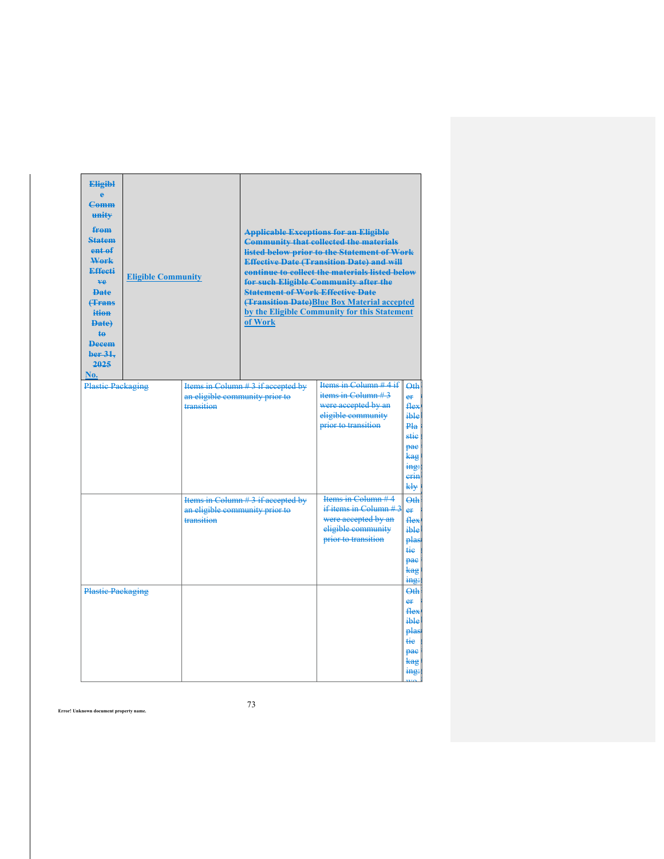| <b>Eligibl</b><br><b>Comm</b><br>unity<br>from<br><b>Statem</b><br>ent of<br>Work<br><b>Effecti</b><br>ve.<br><b>Date</b><br><b><i><u>frans</u></i></b><br>ition<br>Date)<br><b>te</b><br>Decem<br>ber 31.<br>2025<br>No. | <b>Eligible Community</b> |                                                                                   | <b>Applicable Exceptions for an Eligible</b><br><b>Community that collected the materials</b><br>listed below prior to the Statement of Work<br><b>Effective Date (Transition Date) and will</b><br>continue to collect the materials listed below<br>for such Eligible Community after the<br><b>Statement of Work Effective Date</b><br><b>(Transition Date)</b> Blue Box Material accepted<br>by the Eligible Community for this Statement<br>of Work |                                                                                                                     |                                                                                               |  |  |
|---------------------------------------------------------------------------------------------------------------------------------------------------------------------------------------------------------------------------|---------------------------|-----------------------------------------------------------------------------------|----------------------------------------------------------------------------------------------------------------------------------------------------------------------------------------------------------------------------------------------------------------------------------------------------------------------------------------------------------------------------------------------------------------------------------------------------------|---------------------------------------------------------------------------------------------------------------------|-----------------------------------------------------------------------------------------------|--|--|
| <b>Plastic Packaging</b>                                                                                                                                                                                                  |                           | an eligible community prior to<br>transition                                      | Items in Column #3 if accepted by                                                                                                                                                                                                                                                                                                                                                                                                                        | Items in Column $#4$ if<br>items in Column $#3$<br>were accepted by an<br>eligible community<br>prior to transition | $\Theta$ th<br>er<br>flex<br>ible<br>Pla<br>stie<br>pae<br>kag<br>ing:<br>erin<br>kły         |  |  |
|                                                                                                                                                                                                                           |                           | Items in Column #3 if accepted by<br>an eligible community prior to<br>transition |                                                                                                                                                                                                                                                                                                                                                                                                                                                          | Items in Column #4<br>if items in Column $#3$<br>were accepted by an<br>eligible community<br>prior to transition   | Qth<br>er<br>flex<br>ible<br>plas<br>tie.<br>pae<br>kag                                       |  |  |
| <b>Plastic Packaging</b>                                                                                                                                                                                                  |                           |                                                                                   |                                                                                                                                                                                                                                                                                                                                                                                                                                                          |                                                                                                                     | ing:<br><b>Oth</b><br>e⊭<br><b>flex</b><br>ible<br>plas<br>₩e<br>pae<br>kag<br>$\frac{mg}{m}$ |  |  |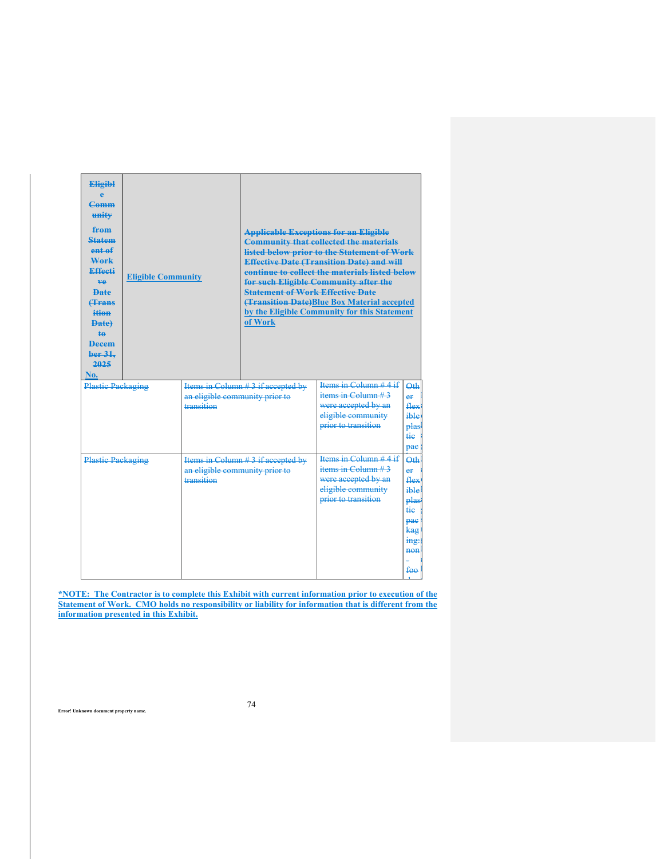| <b>Eligibl</b><br>Ä<br>$Camm$<br>unity<br>from<br><b>Statem</b><br>entaf<br>Work<br>Effecti<br>ve.<br><b>Date</b><br><b>(Trans</b><br>ition<br><b>Date</b><br><b>te</b><br><b>Decem</b><br>ber 31.<br>2025<br>No. | <b>Eligible Community</b> |                                              | <b>Applicable Exceptions for an Eligible</b><br><b>Community that collected the materials</b><br>listed below prior to the Statement of Work<br><b>Effective Date (Transition Date) and will</b><br>continue to collect the materials listed below<br>for such Eligible Community after the<br><b>Statement of Work Effective Date</b><br><b>(Transition Date)</b> Blue Box Material accepted<br>by the Eligible Community for this Statement<br>of Work |                                                                                                                     |                                                                                                       |  |
|-------------------------------------------------------------------------------------------------------------------------------------------------------------------------------------------------------------------|---------------------------|----------------------------------------------|----------------------------------------------------------------------------------------------------------------------------------------------------------------------------------------------------------------------------------------------------------------------------------------------------------------------------------------------------------------------------------------------------------------------------------------------------------|---------------------------------------------------------------------------------------------------------------------|-------------------------------------------------------------------------------------------------------|--|
| <b>Plastic Packaging</b>                                                                                                                                                                                          |                           | an eligible community prior to<br>transition | Items in Column # 3 if accepted by                                                                                                                                                                                                                                                                                                                                                                                                                       | Items in Column $#4$ if<br>items in Column $#3$<br>were accepted by an<br>eligible community<br>prior to transition | Qth<br>er<br>flex<br>ible<br>plas<br><del>tie</del><br>pae                                            |  |
| <b>Plastic Packaging</b>                                                                                                                                                                                          |                           | an eligible community prior to<br>transition | Items in Column # 3 if accepted by                                                                                                                                                                                                                                                                                                                                                                                                                       | Items in Column $#4$ if<br>items in Column $#3$<br>were accepted by an<br>eligible community<br>prior to transition | Q <sub>th</sub><br>e⊭<br>flex<br>ible<br>plas<br>tie<br>pae<br>kag<br>mg:<br>$then$<br><del>fөө</del> |  |

**\*NOTE: The Contractor is to complete this Exhibit with current information prior to execution of the Statement of Work. CMO holds no responsibility or liability for information that is different from the information presented in this Exhibit.** 

74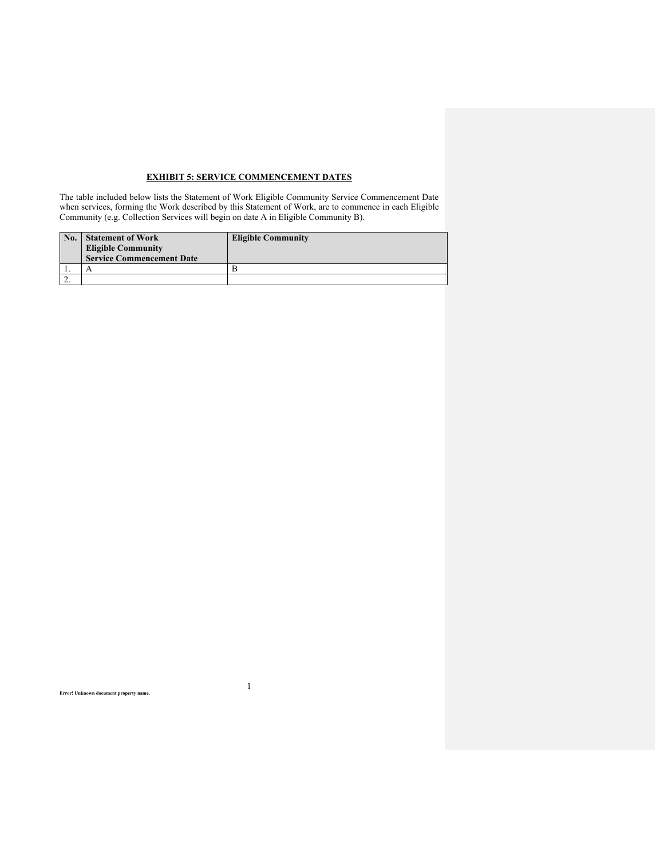# **EXHIBIT 5: SERVICE COMMENCEMENT DATES**

The table included below lists the Statement of Work Eligible Community Service Commencement Date when services, forming the Work described by this Statement of Work, are to commence in each Eligible Community (e.g. Collection Services will begin on date A in Eligible Community B).

| No. | <b>Statement of Work</b><br><b>Eligible Community</b><br><b>Service Commencement Date</b> | <b>Eligible Community</b> |
|-----|-------------------------------------------------------------------------------------------|---------------------------|
|     |                                                                                           |                           |
|     |                                                                                           |                           |

1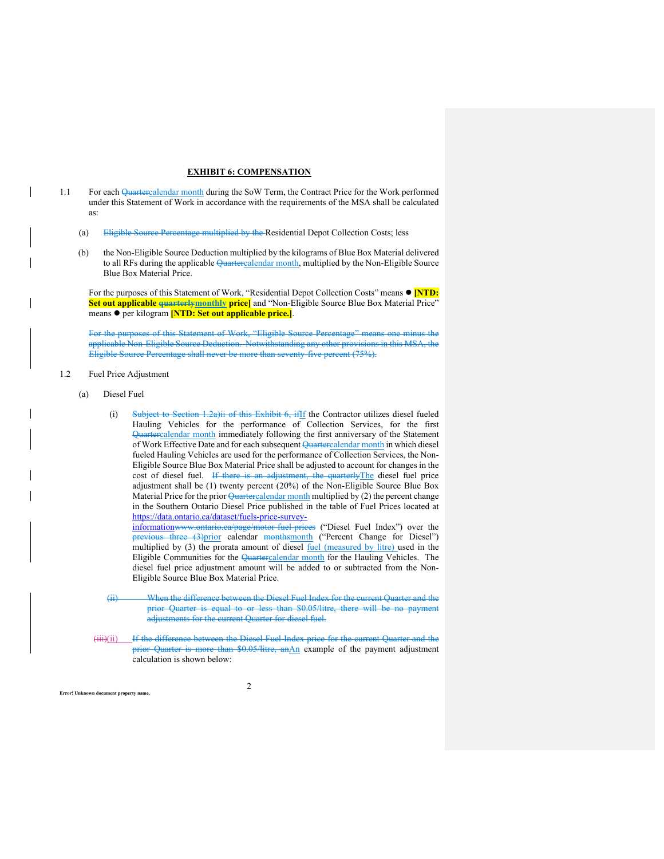### **EXHIBIT 6: COMPENSATION**

- 1.1 For each Quartercalendar month during the SoW Term, the Contract Price for the Work performed under this Statement of Work in accordance with the requirements of the MSA shall be calculated as:
	- (a) Eligible Source Percentage multiplied by the Residential Depot Collection Costs; less
	- (b) the Non-Eligible Source Deduction multiplied by the kilograms of Blue Box Material delivered to all RFs during the applicable Quartercalendar month, multiplied by the Non-Eligible Source Blue Box Material Price.

For the purposes of this Statement of Work, "Residential Depot Collection Costs" means  $\bullet$  [NTD: **Set out applicable quarterlymonthly price]** and "Non-Eligible Source Blue Box Material Price" means per kilogram **[NTD: Set out applicable price.]**.

For the purposes of this Statement of Work, "Eligible Source Percentage" means one minus the applicable Non-Eligible Source Deduction. Notwithstanding any other provisions in this MSA, the Eligible Source Percentage shall never be more than seventy-five percent (75%).

- 1.2 Fuel Price Adjustment
	- (a) Diesel Fuel

**Error! Unknown document property na** 

(i) Subject to Section 1.2a)ii of this Exhibit 6, ifIf the Contractor utilizes diesel fueled Hauling Vehicles for the performance of Collection Services, for the first Quartercalendar month immediately following the first anniversary of the Statement of Work Effective Date and for each subsequent Quartercalendar month in which diesel fueled Hauling Vehicles are used for the performance of Collection Services, the Non-Eligible Source Blue Box Material Price shall be adjusted to account for changes in the cost of diesel fuel. If there is an adjustment, the quarterlyThe diesel fuel price adjustment shall be (1) twenty percent (20%) of the Non-Eligible Source Blue Box Material Price for the prior  $\sqrt{$ uartercalendar month multiplied by (2) the percent change in the Southern Ontario Diesel Price published in the table of Fuel Prices located at https://data.ontario.ca/dataset/fuels-price-survey-

informationwww.ontario.ca/page/motor-fuel-prices ("Diesel Fuel Index") over the previous three (3)prior calendar monthsmonth ("Percent Change for Diesel") multiplied by (3) the prorata amount of diesel fuel (measured by litre) used in the Eligible Communities for the Quartercalendar month for the Hauling Vehicles. The diesel fuel price adjustment amount will be added to or subtracted from the Non-Eligible Source Blue Box Material Price.

- (ii) When the difference between the Diesel Fuel Index for the current Quarter and the prior Quarter is equal to or less than \$0.05/litre, there will be no payment adjustments for the current Quarter for diesel fuel.
- (iii)(ii) If the difference between the Diesel Fuel Index price for the current Quarter and the prior Quarter is more than \$0.05/litre, anAn example of the payment adjustment calculation is shown below:

 $\mathfrak{D}$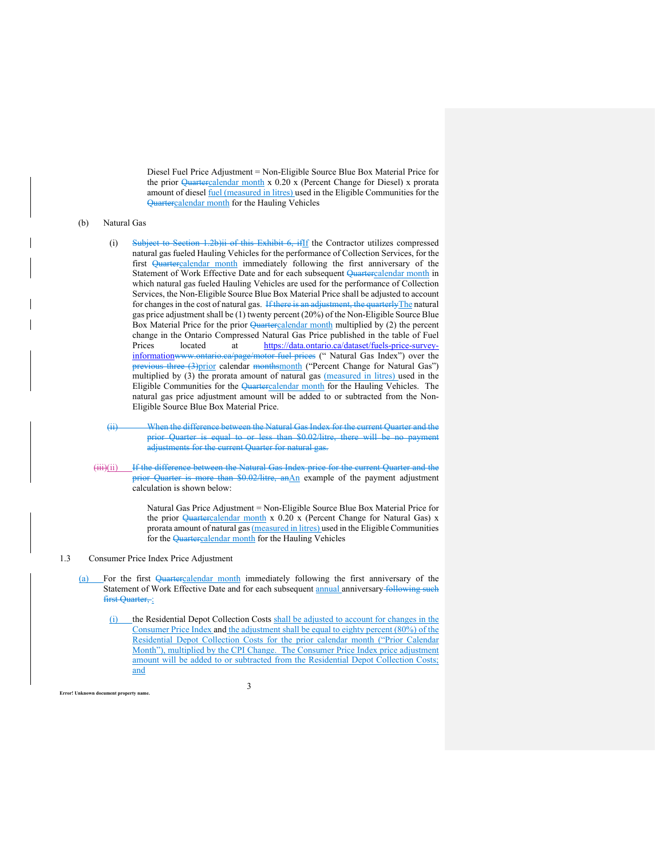Diesel Fuel Price Adjustment = Non-Eligible Source Blue Box Material Price for the prior Quartercalendar month x 0.20 x (Percent Change for Diesel) x prorata amount of diesel fuel (measured in litres) used in the Eligible Communities for the Quartercalendar month for the Hauling Vehicles

#### (b) Natural Gas

- (i) Subject to Section 1.2b)ii of this Exhibit 6, ifIf the Contractor utilizes compressed natural gas fueled Hauling Vehicles for the performance of Collection Services, for the first Quartercalendar month immediately following the first anniversary of the Statement of Work Effective Date and for each subsequent Quartercalendar month in which natural gas fueled Hauling Vehicles are used for the performance of Collection Services, the Non-Eligible Source Blue Box Material Price shall be adjusted to account for changes in the cost of natural gas. If there is an adjustment, the quarterly The natural gas price adjustment shall be (1) twenty percent (20%) of the Non-Eligible Source Blue Box Material Price for the prior Quartercalendar month multiplied by (2) the percent change in the Ontario Compressed Natural Gas Price published in the table of Fuel Prices located at https://data.ontario.ca/dataset/fuels-price-surveyinformationwww.ontario.ca/page/motor-fuel-prices (" Natural Gas Index") over the previous three (3)prior calendar monthsmonth ("Percent Change for Natural Gas") multiplied by (3) the prorata amount of natural gas (measured in litres) used in the Eligible Communities for the Quartercalendar month for the Hauling Vehicles. The natural gas price adjustment amount will be added to or subtracted from the Non-Eligible Source Blue Box Material Price.
- (ii) When the difference between the Natural Gas Index for the current Quarter and the prior Quarter is equal to or less than \$0.02/litre, there will be no paym adjustments for the current Quarter for natural gas.
- (iii)(ii) If the difference between the Natural Gas Index price for the current Quarter and the prior Quarter is more than \$0.02/litre, anAn example of the payment adjustment calculation is shown below:

Natural Gas Price Adjustment = Non-Eligible Source Blue Box Material Price for the prior Quartercalendar month x 0.20 x (Percent Change for Natural Gas) x prorata amount of natural gas (measured in litres) used in the Eligible Communities for the Quartercalendar month for the Hauling Vehicles

### 1.3 Consumer Price Index Price Adjustment

**Error!** Unknown document property na

- (a) For the first Quartercalendar month immediately following the first anniversary of the Statement of Work Effective Date and for each subsequent **annual** anniversary following such first Quarter, :
	- (i) the Residential Depot Collection Costs shall be adjusted to account for changes in the Consumer Price Index and the adjustment shall be equal to eighty percent (80%) of the Residential Depot Collection Costs for the prior calendar month ("Prior Calendar Month"), multiplied by the CPI Change. The Consumer Price Index price adjustment amount will be added to or subtracted from the Residential Depot Collection Costs; and

3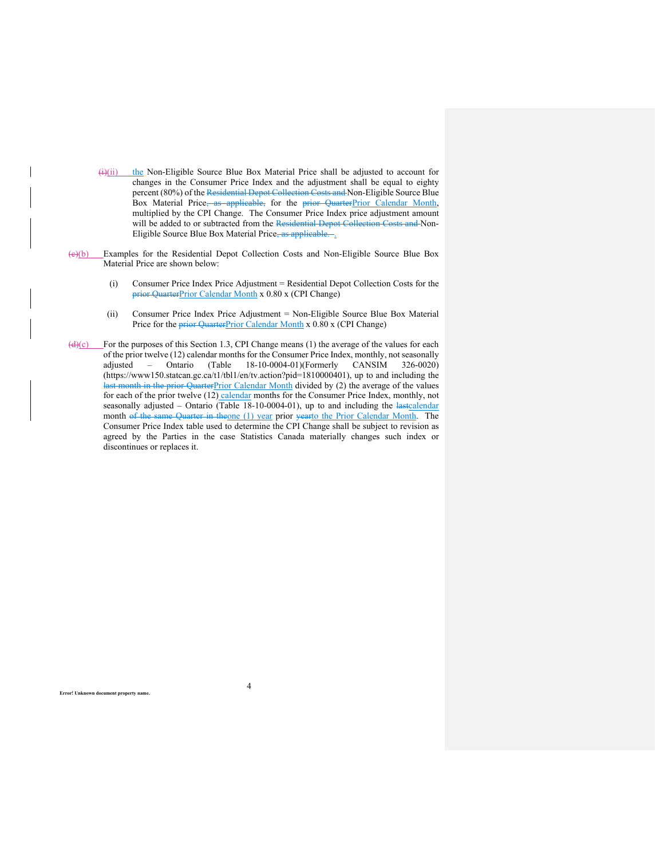- $(i)(ii)$  the Non-Eligible Source Blue Box Material Price shall be adjusted to account for changes in the Consumer Price Index and the adjustment shall be equal to eighty percent (80%) of the Residential Depot Collection Costs and Non-Eligible Source Blue Box Material Price, as applicable, for the prior QuarterPrior Calendar Month, multiplied by the CPI Change. The Consumer Price Index price adjustment amount will be added to or subtracted from the Residential Depot Collection Costs and Non-Eligible Source Blue Box Material Price, as applicable.
- (c)(b) Examples for the Residential Depot Collection Costs and Non-Eligible Source Blue Box Material Price are shown below:
	- (i) Consumer Price Index Price Adjustment = Residential Depot Collection Costs for the prior QuarterPrior Calendar Month x 0.80 x (CPI Change)
	- (ii) Consumer Price Index Price Adjustment = Non-Eligible Source Blue Box Material Price for the prior QuarterPrior Calendar Month x 0.80 x (CPI Change)
- $\frac{d}{dx}$ (c) For the purposes of this Section 1.3, CPI Change means (1) the average of the values for each of the prior twelve (12) calendar months for the Consumer Price Index, monthly, not seasonally adjusted – Ontario (Table 18-10-0004-01)(Formerly CANSIM 326-0020) (https://www150.statcan.gc.ca/t1/tbl1/en/tv.action?pid=1810000401), up to and including the last month in the prior QuarterPrior Calendar Month divided by (2) the average of the values for each of the prior twelve (12) calendar months for the Consumer Price Index, monthly, not seasonally adjusted - Ontario (Table 18-10-0004-01), up to and including the lastcalendar month of the same Quarter in theone (1) year prior yearto the Prior Calendar Month. The Consumer Price Index table used to determine the CPI Change shall be subject to revision as agreed by the Parties in the case Statistics Canada materially changes such index or discontinues or replaces it.

4